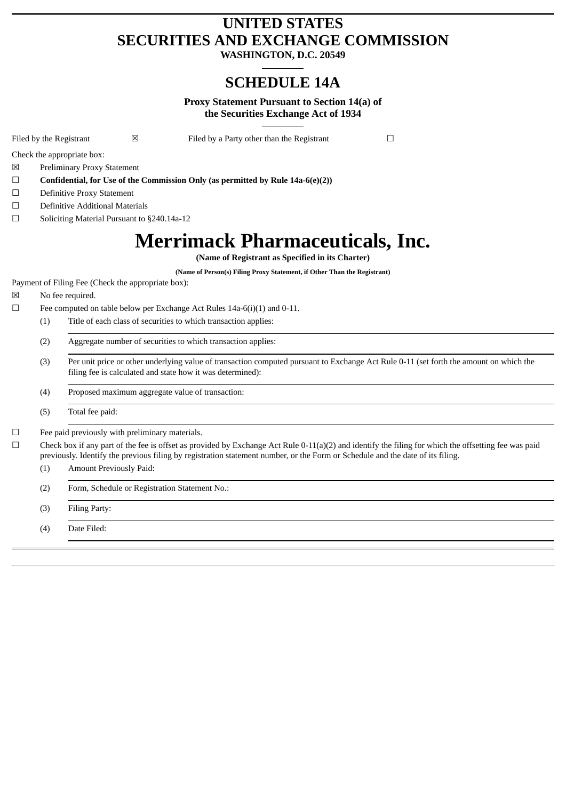# **UNITED STATES SECURITIES AND EXCHANGE COMMISSION**

**WASHINGTON, D.C. 20549**

# **SCHEDULE 14A**

**Proxy Statement Pursuant to Section 14(a) of the Securities Exchange Act of 1934**

Filed by the Registrant  $\boxtimes$  Filed by a Party other than the Registrant  $\Box$ 

Check the appropriate box:

☒ Preliminary Proxy Statement

- ☐ **Confidential, for Use of the Commission Only (as permitted by Rule 14a-6(e)(2))**
- ☐ Definitive Proxy Statement

☐ Definitive Additional Materials

☐ Soliciting Material Pursuant to §240.14a-12

# **Merrimack Pharmaceuticals, Inc.**

**(Name of Registrant as Specified in its Charter)**

**(Name of Person(s) Filing Proxy Statement, if Other Than the Registrant)**

Payment of Filing Fee (Check the appropriate box):

# ☒ No fee required.

- $\Box$  Fee computed on table below per Exchange Act Rules 14a-6(i)(1) and 0-11.
	- (1) Title of each class of securities to which transaction applies:
		- (2) Aggregate number of securities to which transaction applies:
		- (3) Per unit price or other underlying value of transaction computed pursuant to Exchange Act Rule 0‑11 (set forth the amount on which the filing fee is calculated and state how it was determined):
		- (4) Proposed maximum aggregate value of transaction:
		- (5) Total fee paid:
- $\Box$  Fee paid previously with preliminary materials.

 $\Box$  Check box if any part of the fee is offset as provided by Exchange Act Rule 0-11(a)(2) and identify the filing for which the offsetting fee was paid previously. Identify the previous filing by registration statement number, or the Form or Schedule and the date of its filing.

- (1) Amount Previously Paid:
- (2) Form, Schedule or Registration Statement No.:

(3) Filing Party:

(4) Date Filed: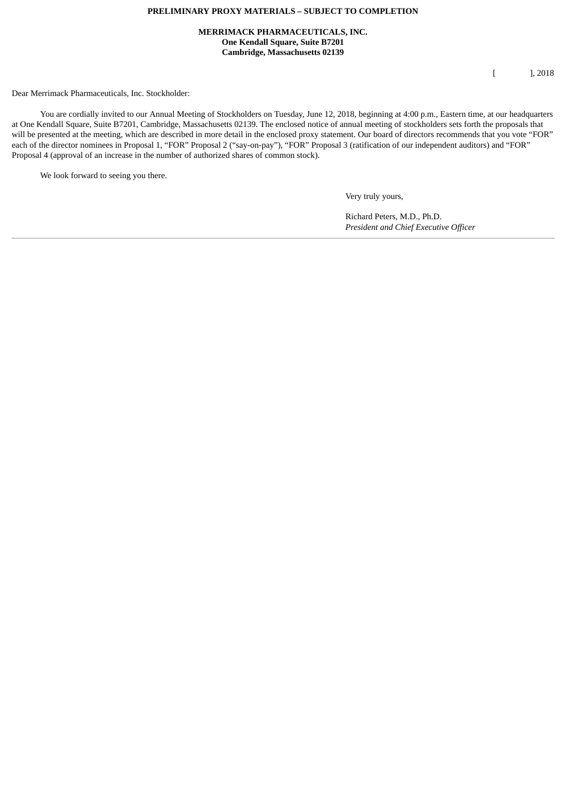# **PRELIMINARY PROXY MATERIALS – SUBJECT TO COMPLETION**

# **MERRIMACK PHARMACEUTICALS, INC. One Kendall Square, Suite B7201 Cambridge, Massachusetts 02139**

[ ], 2018

Dear Merrimack Pharmaceuticals, Inc. Stockholder:

You are cordially invited to our Annual Meeting of Stockholders on Tuesday, June 12, 2018, beginning at 4:00 p.m., Eastern time, at our headquarters at One Kendall Square, Suite B7201, Cambridge, Massachusetts 02139. The enclosed notice of annual meeting of stockholders sets forth the proposals that will be presented at the meeting, which are described in more detail in the enclosed proxy statement. Our board of directors recommends that you vote "FOR" each of the director nominees in Proposal 1, "FOR" Proposal 2 ("say-on-pay"), "FOR" Proposal 3 (ratification of our independent auditors) and "FOR" Proposal 4 (approval of an increase in the number of authorized shares of common stock).

We look forward to seeing you there.

Very truly yours,

Richard Peters, M.D., Ph.D. *President and Chief Executive Officer*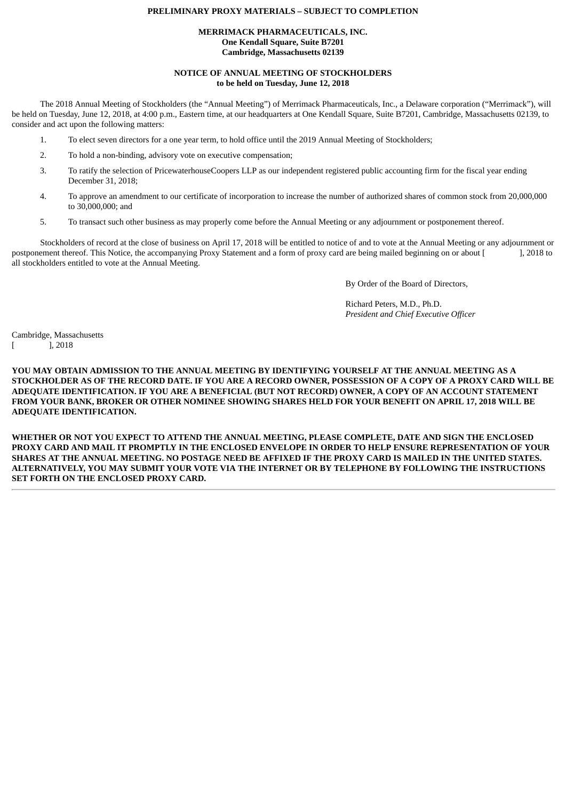# **PRELIMINARY PROXY MATERIALS – SUBJECT TO COMPLETION**

# **MERRIMACK PHARMACEUTICALS, INC. One Kendall Square, Suite B7201 Cambridge, Massachusetts 02139**

# **NOTICE OF ANNUAL MEETING OF STOCKHOLDERS to be held on Tuesday, June 12, 2018**

The 2018 Annual Meeting of Stockholders (the "Annual Meeting") of Merrimack Pharmaceuticals, Inc., a Delaware corporation ("Merrimack"), will be held on Tuesday, June 12, 2018, at 4:00 p.m., Eastern time, at our headquarters at One Kendall Square, Suite B7201, Cambridge, Massachusetts 02139, to consider and act upon the following matters:

- 1. To elect seven directors for a one year term, to hold office until the 2019 Annual Meeting of Stockholders;
- 2. To hold a non-binding, advisory vote on executive compensation;
- 3. To ratify the selection of PricewaterhouseCoopers LLP as our independent registered public accounting firm for the fiscal year ending December 31, 2018;
- 4. To approve an amendment to our certificate of incorporation to increase the number of authorized shares of common stock from 20,000,000 to 30,000,000; and
- 5. To transact such other business as may properly come before the Annual Meeting or any adjournment or postponement thereof.

Stockholders of record at the close of business on April 17, 2018 will be entitled to notice of and to vote at the Annual Meeting or any adjournment or postponement thereof. This Notice, the accompanying Proxy Statement and a form of proxy card are being mailed beginning on or about [ ], 2018 to all stockholders entitled to vote at the Annual Meeting.

By Order of the Board of Directors,

Richard Peters, M.D., Ph.D. *President and Chief Executive Officer*

Cambridge, Massachusetts  $[$  ], 2018

**YOU MAY OBTAIN ADMISSION TO THE ANNUAL MEETING BY IDENTIFYING YOURSELF AT THE ANNUAL MEETING AS A** STOCKHOLDER AS OF THE RECORD DATE. IF YOU ARE A RECORD OWNER, POSSESSION OF A COPY OF A PROXY CARD WILL BE **ADEQUATE IDENTIFICATION. IF YOU ARE A BENEFICIAL (BUT NOT RECORD) OWNER, A COPY OF AN ACCOUNT STATEMENT** FROM YOUR BANK, BROKER OR OTHER NOMINEE SHOWING SHARES HELD FOR YOUR BENEFIT ON APRIL 17, 2018 WILL BE **ADEQUATE IDENTIFICATION.**

**WHETHER OR NOT YOU EXPECT TO ATTEND THE ANNUAL MEETING, PLEASE COMPLETE, DATE AND SIGN THE ENCLOSED** PROXY CARD AND MAIL IT PROMPTLY IN THE ENCLOSED ENVELOPE IN ORDER TO HELP ENSURE REPRESENTATION OF YOUR SHARES AT THE ANNUAL MEETING. NO POSTAGE NEED BE AFFIXED IF THE PROXY CARD IS MAILED IN THE UNITED STATES. **ALTERNATIVELY, YOU MAY SUBMIT YOUR VOTE VIA THE INTERNET OR BY TELEPHONE BY FOLLOWING THE INSTRUCTIONS SET FORTH ON THE ENCLOSED PROXY CARD.**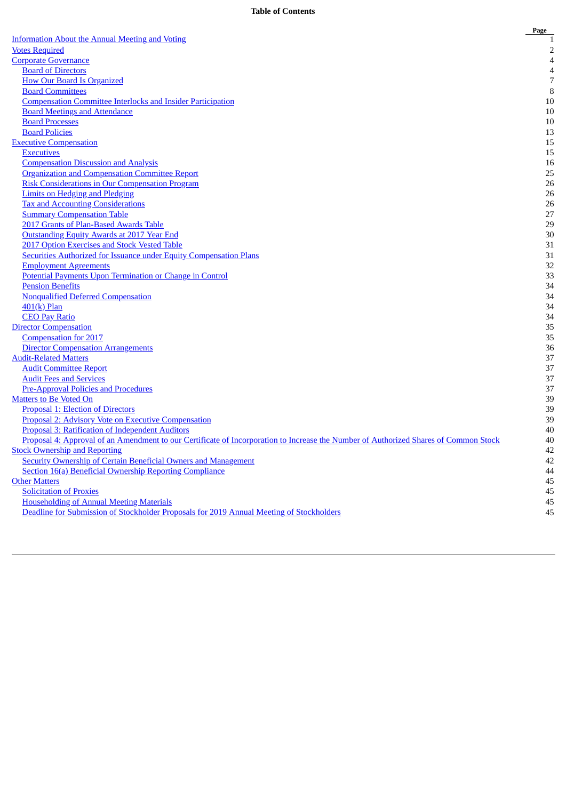# **Table of Contents**

|                                                                                                                                      | Page                     |
|--------------------------------------------------------------------------------------------------------------------------------------|--------------------------|
| <u>Information About the Annual Meeting and Voting</u>                                                                               | 1                        |
| <b>Votes Required</b>                                                                                                                | 2                        |
| <b>Corporate Governance</b>                                                                                                          | $\overline{4}$           |
| <b>Board of Directors</b>                                                                                                            | $\overline{\mathcal{A}}$ |
| <b>How Our Board Is Organized</b>                                                                                                    | $\overline{7}$           |
| <b>Board Committees</b>                                                                                                              | 8                        |
| <b>Compensation Committee Interlocks and Insider Participation</b>                                                                   | 10                       |
| <b>Board Meetings and Attendance</b>                                                                                                 | 10                       |
| <b>Board Processes</b>                                                                                                               | 10                       |
| <b>Board Policies</b>                                                                                                                | 13                       |
| <b>Executive Compensation</b>                                                                                                        | 15                       |
| <b>Executives</b>                                                                                                                    | 15                       |
| <b>Compensation Discussion and Analysis</b>                                                                                          | 16                       |
| <b>Organization and Compensation Committee Report</b>                                                                                | 25                       |
| <b>Risk Considerations in Our Compensation Program</b>                                                                               | 26                       |
| <b>Limits on Hedging and Pledging</b>                                                                                                | 26                       |
| <b>Tax and Accounting Considerations</b>                                                                                             | 26                       |
| <b>Summary Compensation Table</b>                                                                                                    | 27                       |
| 2017 Grants of Plan-Based Awards Table                                                                                               | 29                       |
| <b>Outstanding Equity Awards at 2017 Year End</b>                                                                                    | 30                       |
| 2017 Option Exercises and Stock Vested Table                                                                                         | 31                       |
| Securities Authorized for Issuance under Equity Compensation Plans                                                                   | 31                       |
| <b>Employment Agreements</b>                                                                                                         | 32                       |
| Potential Payments Upon Termination or Change in Control                                                                             | 33                       |
| <b>Pension Benefits</b>                                                                                                              | 34                       |
| <b>Nonqualified Deferred Compensation</b>                                                                                            | 34                       |
| 401(k) Plan                                                                                                                          | 34                       |
| <b>CEO Pay Ratio</b>                                                                                                                 | 34                       |
| <b>Director Compensation</b>                                                                                                         | 35                       |
| <b>Compensation for 2017</b>                                                                                                         | 35                       |
| <b>Director Compensation Arrangements</b>                                                                                            | 36                       |
| <b>Audit-Related Matters</b>                                                                                                         | 37                       |
| <b>Audit Committee Report</b>                                                                                                        | 37                       |
| <b>Audit Fees and Services</b>                                                                                                       | 37                       |
| <b>Pre-Approval Policies and Procedures</b>                                                                                          | 37                       |
| <b>Matters to Be Voted On</b>                                                                                                        | 39                       |
| <b>Proposal 1: Election of Directors</b>                                                                                             | 39                       |
| Proposal 2: Advisory Vote on Executive Compensation                                                                                  | 39                       |
| Proposal 3: Ratification of Independent Auditors                                                                                     | 40                       |
| Proposal 4: Approval of an Amendment to our Certificate of Incorporation to Increase the Number of Authorized Shares of Common Stock | 40                       |
| <b>Stock Ownership and Reporting</b>                                                                                                 | 42                       |
| <b>Security Ownership of Certain Beneficial Owners and Management</b>                                                                | 42                       |
| Section 16(a) Beneficial Ownership Reporting Compliance                                                                              | 44                       |
| <b>Other Matters</b>                                                                                                                 | 45                       |
| <b>Solicitation of Proxies</b>                                                                                                       | 45                       |
| <b>Householding of Annual Meeting Materials</b>                                                                                      | 45                       |
| Deadline for Submission of Stockholder Proposals for 2019 Annual Meeting of Stockholders                                             | 45                       |
|                                                                                                                                      |                          |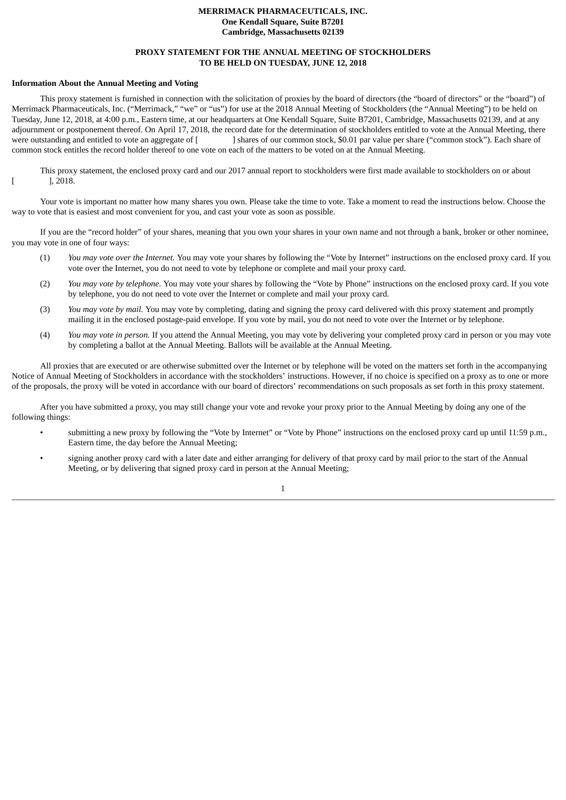# **MERRIMACK PHARMACEUTICALS, INC. One Kendall Square, Suite B7201 Cambridge, Massachusetts 02139**

# **PROXY STATEMENT FOR THE ANNUAL MEETING OF STOCKHOLDERS TO BE HELD ON TUESDAY, JUNE 12, 2018**

# <span id="page-4-0"></span>**Information About the Annual Meeting and Voting**

This proxy statement is furnished in connection with the solicitation of proxies by the board of directors (the "board of directors" or the "board") of Merrimack Pharmaceuticals, Inc. ("Merrimack," "we" or "us") for use at the 2018 Annual Meeting of Stockholders (the "Annual Meeting") to be held on Tuesday, June 12, 2018, at 4:00 p.m., Eastern time, at our headquarters at One Kendall Square, Suite B7201, Cambridge, Massachusetts 02139, and at any adjournment or postponement thereof. On April 17, 2018, the record date for the determination of stockholders entitled to vote at the Annual Meeting, there were outstanding and entitled to vote an aggregate of [1000] share ] shares of our common stock, \$0.01 par value per share ("common stock"). Each share of common stock entitles the record holder thereof to one vote on each of the matters to be voted on at the Annual Meeting.

This proxy statement, the enclosed proxy card and our 2017 annual report to stockholders were first made available to stockholders on or about [ ], 2018.

Your vote is important no matter how many shares you own. Please take the time to vote. Take a moment to read the instructions below. Choose the way to vote that is easiest and most convenient for you, and cast your vote as soon as possible.

If you are the "record holder" of your shares, meaning that you own your shares in your own name and not through a bank, broker or other nominee, you may vote in one of four ways:

- (1) *You may vote over the Internet.* You may vote your shares by following the "Vote by Internet" instructions on the enclosed proxy card. If you vote over the Internet, you do not need to vote by telephone or complete and mail your proxy card.
- (2) *You may vote by telephone.* You may vote your shares by following the "Vote by Phone" instructions on the enclosed proxy card. If you vote by telephone, you do not need to vote over the Internet or complete and mail your proxy card.
- (3) *You may vote by mail.* You may vote by completing, dating and signing the proxy card delivered with this proxy statement and promptly mailing it in the enclosed postage-paid envelope. If you vote by mail, you do not need to vote over the Internet or by telephone.
- (4) *You may vote in person.* If you attend the Annual Meeting, you may vote by delivering your completed proxy card in person or you may vote by completing a ballot at the Annual Meeting. Ballots will be available at the Annual Meeting.

All proxies that are executed or are otherwise submitted over the Internet or by telephone will be voted on the matters set forth in the accompanying Notice of Annual Meeting of Stockholders in accordance with the stockholders' instructions. However, if no choice is specified on a proxy as to one or more of the proposals, the proxy will be voted in accordance with our board of directors' recommendations on such proposals as set forth in this proxy statement.

After you have submitted a proxy, you may still change your vote and revoke your proxy prior to the Annual Meeting by doing any one of the following things:

- submitting a new proxy by following the "Vote by Internet" or "Vote by Phone" instructions on the enclosed proxy card up until 11:59 p.m., Eastern time, the day before the Annual Meeting;
- signing another proxy card with a later date and either arranging for delivery of that proxy card by mail prior to the start of the Annual Meeting, or by delivering that signed proxy card in person at the Annual Meeting;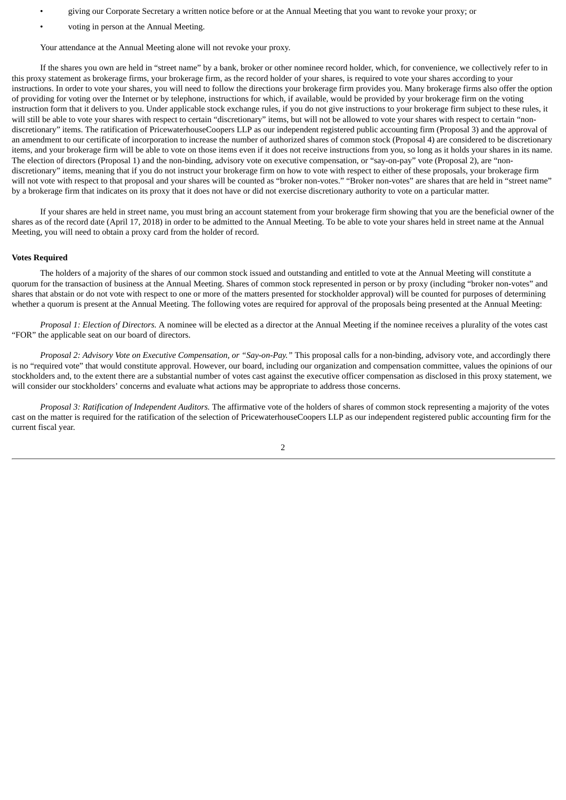- giving our Corporate Secretary a written notice before or at the Annual Meeting that you want to revoke your proxy; or
- voting in person at the Annual Meeting.

Your attendance at the Annual Meeting alone will not revoke your proxy.

If the shares you own are held in "street name" by a bank, broker or other nominee record holder, which, for convenience, we collectively refer to in this proxy statement as brokerage firms, your brokerage firm, as the record holder of your shares, is required to vote your shares according to your instructions. In order to vote your shares, you will need to follow the directions your brokerage firm provides you. Many brokerage firms also offer the option of providing for voting over the Internet or by telephone, instructions for which, if available, would be provided by your brokerage firm on the voting instruction form that it delivers to you. Under applicable stock exchange rules, if you do not give instructions to your brokerage firm subject to these rules, it will still be able to vote your shares with respect to certain "discretionary" items, but will not be allowed to vote your shares with respect to certain "nondiscretionary" items. The ratification of PricewaterhouseCoopers LLP as our independent registered public accounting firm (Proposal 3) and the approval of an amendment to our certificate of incorporation to increase the number of authorized shares of common stock (Proposal 4) are considered to be discretionary items, and your brokerage firm will be able to vote on those items even if it does not receive instructions from you, so long as it holds your shares in its name. The election of directors (Proposal 1) and the non-binding, advisory vote on executive compensation, or "say-on-pay" vote (Proposal 2), are "nondiscretionary" items, meaning that if you do not instruct your brokerage firm on how to vote with respect to either of these proposals, your brokerage firm will not vote with respect to that proposal and your shares will be counted as "broker non-votes." "Broker non-votes" are shares that are held in "street name" by a brokerage firm that indicates on its proxy that it does not have or did not exercise discretionary authority to vote on a particular matter.

If your shares are held in street name, you must bring an account statement from your brokerage firm showing that you are the beneficial owner of the shares as of the record date (April 17, 2018) in order to be admitted to the Annual Meeting. To be able to vote your shares held in street name at the Annual Meeting, you will need to obtain a proxy card from the holder of record.

#### <span id="page-5-0"></span>**Votes Required**

The holders of a majority of the shares of our common stock issued and outstanding and entitled to vote at the Annual Meeting will constitute a quorum for the transaction of business at the Annual Meeting. Shares of common stock represented in person or by proxy (including "broker non-votes" and shares that abstain or do not vote with respect to one or more of the matters presented for stockholder approval) will be counted for purposes of determining whether a quorum is present at the Annual Meeting. The following votes are required for approval of the proposals being presented at the Annual Meeting:

*Proposal 1: Election of Directors.* A nominee will be elected as a director at the Annual Meeting if the nominee receives a plurality of the votes cast "FOR" the applicable seat on our board of directors.

*Proposal 2: Advisory Vote on Executive Compensation, or "Say-on-Pay."* This proposal calls for a non-binding, advisory vote, and accordingly there is no "required vote" that would constitute approval. However, our board, including our organization and compensation committee, values the opinions of our stockholders and, to the extent there are a substantial number of votes cast against the executive officer compensation as disclosed in this proxy statement, we will consider our stockholders' concerns and evaluate what actions may be appropriate to address those concerns.

*Proposal 3: Ratification of Independent Auditors.* The affirmative vote of the holders of shares of common stock representing a majority of the votes cast on the matter is required for the ratification of the selection of PricewaterhouseCoopers LLP as our independent registered public accounting firm for the current fiscal year.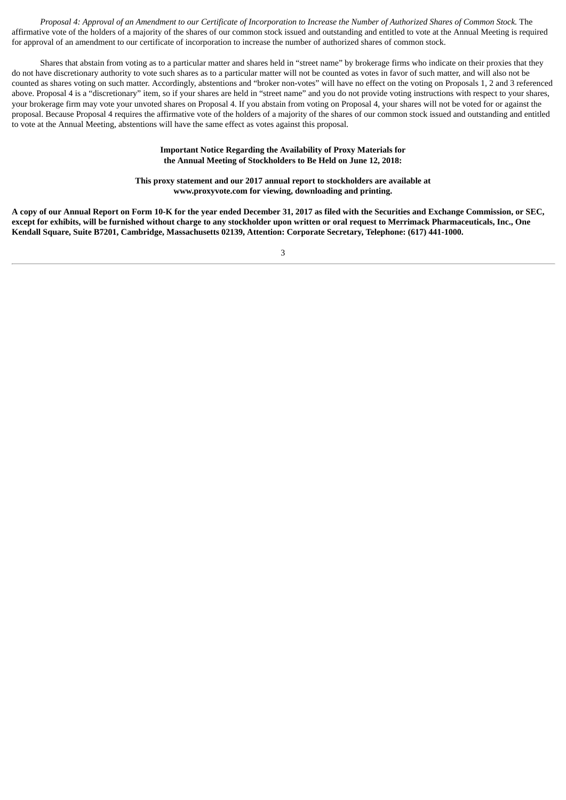Proposal 4: Approval of an Amendment to our Certificate of Incorporation to Increase the Number of Authorized Shares of Common Stock. The affirmative vote of the holders of a majority of the shares of our common stock issued and outstanding and entitled to vote at the Annual Meeting is required for approval of an amendment to our certificate of incorporation to increase the number of authorized shares of common stock.

Shares that abstain from voting as to a particular matter and shares held in "street name" by brokerage firms who indicate on their proxies that they do not have discretionary authority to vote such shares as to a particular matter will not be counted as votes in favor of such matter, and will also not be counted as shares voting on such matter. Accordingly, abstentions and "broker non-votes" will have no effect on the voting on Proposals 1, 2 and 3 referenced above. Proposal 4 is a "discretionary" item, so if your shares are held in "street name" and you do not provide voting instructions with respect to your shares, your brokerage firm may vote your unvoted shares on Proposal 4. If you abstain from voting on Proposal 4, your shares will not be voted for or against the proposal. Because Proposal 4 requires the affirmative vote of the holders of a majority of the shares of our common stock issued and outstanding and entitled to vote at the Annual Meeting, abstentions will have the same effect as votes against this proposal.

# **Important Notice Regarding the Availability of Proxy Materials for the Annual Meeting of Stockholders to Be Held on June 12, 2018:**

**This proxy statement and our 2017 annual report to stockholders are available at www.proxyvote.com for viewing, downloading and printing.**

A copy of our Annual Report on Form 10-K for the year ended December 31, 2017 as filed with the Securities and Exchange Commission, or SEC, except for exhibits, will be furnished without charge to any stockholder upon written or oral request to Merrimack Pharmaceuticals, Inc., One **Kendall Square, Suite B7201, Cambridge, Massachusetts 02139, Attention: Corporate Secretary, Telephone: (617) 441-1000.**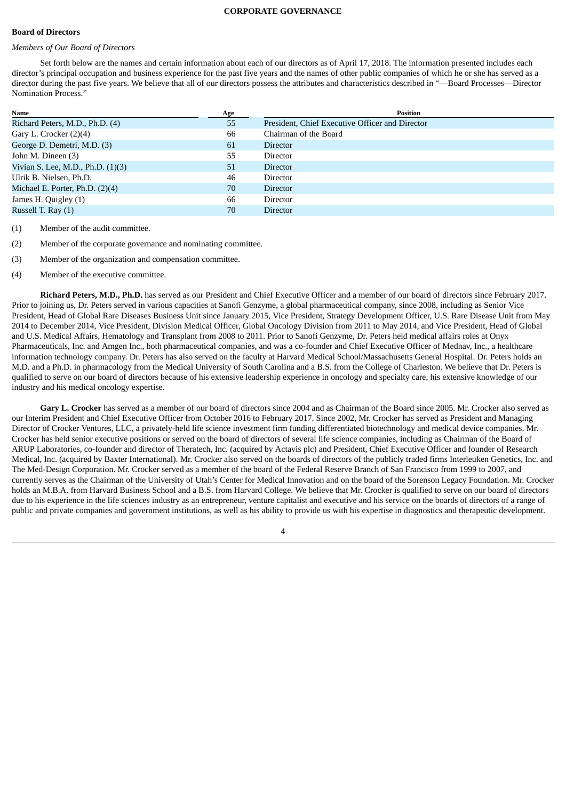# **CORPORATE GOVERNANCE**

# <span id="page-7-1"></span><span id="page-7-0"></span>**Board of Directors**

# *Members of Our Board of Directors*

Set forth below are the names and certain information about each of our directors as of April 17, 2018. The information presented includes each director's principal occupation and business experience for the past five years and the names of other public companies of which he or she has served as a director during the past five years. We believe that all of our directors possess the attributes and characteristics described in "-Board Processes--Director Nomination Process."

| Name                              | Age | <b>Position</b>                                 |
|-----------------------------------|-----|-------------------------------------------------|
| Richard Peters, M.D., Ph.D. (4)   | 55  | President, Chief Executive Officer and Director |
| Gary L. Crocker (2)(4)            | 66  | Chairman of the Board                           |
| George D. Demetri, M.D. (3)       | 61  | <b>Director</b>                                 |
| John M. Dineen (3)                | 55  | Director                                        |
| Vivian S. Lee, M.D., Ph.D. (1)(3) | 51  | <b>Director</b>                                 |
| Ulrik B. Nielsen, Ph.D.           | 46  | Director                                        |
| Michael E. Porter, Ph.D. (2)(4)   | 70  | <b>Director</b>                                 |
| James H. Quigley (1)              | 66  | Director                                        |
| Russell T. Ray (1)                | 70  | <b>Director</b>                                 |

(1) Member of the audit committee.

(2) Member of the corporate governance and nominating committee.

(3) Member of the organization and compensation committee.

(4) Member of the executive committee.

**Richard Peters, M.D., Ph.D.** has served as our President and Chief Executive Officer and a member of our board of directors since February 2017. Prior to joining us, Dr. Peters served in various capacities at Sanofi Genzyme, a global pharmaceutical company, since 2008, including as Senior Vice President, Head of Global Rare Diseases Business Unit since January 2015, Vice President, Strategy Development Officer, U.S. Rare Disease Unit from May 2014 to December 2014, Vice President, Division Medical Officer, Global Oncology Division from 2011 to May 2014, and Vice President, Head of Global and U.S. Medical Affairs, Hematology and Transplant from 2008 to 2011. Prior to Sanofi Genzyme, Dr. Peters held medical affairs roles at Onyx Pharmaceuticals, Inc. and Amgen Inc., both pharmaceutical companies, and was a co-founder and Chief Executive Officer of Mednav, Inc., a healthcare information technology company. Dr. Peters has also served on the faculty at Harvard Medical School/Massachusetts General Hospital. Dr. Peters holds an M.D. and a Ph.D. in pharmacology from the Medical University of South Carolina and a B.S. from the College of Charleston. We believe that Dr. Peters is qualified to serve on our board of directors because of his extensive leadership experience in oncology and specialty care, his extensive knowledge of our industry and his medical oncology expertise.

**Gary L. Crocker** has served as a member of our board of directors since 2004 and as Chairman of the Board since 2005. Mr. Crocker also served as our Interim President and Chief Executive Officer from October 2016 to February 2017. Since 2002, Mr. Crocker has served as President and Managing Director of Crocker Ventures, LLC, a privately-held life science investment firm funding differentiated biotechnology and medical device companies. Mr. Crocker has held senior executive positions or served on the board of directors of several life science companies, including as Chairman of the Board of ARUP Laboratories, co-founder and director of Theratech, Inc. (acquired by Actavis plc) and President, Chief Executive Officer and founder of Research Medical, Inc. (acquired by Baxter International). Mr. Crocker also served on the boards of directors of the publicly traded firms Interleuken Genetics, Inc. and The Med-Design Corporation. Mr. Crocker served as a member of the board of the Federal Reserve Branch of San Francisco from 1999 to 2007, and currently serves as the Chairman of the University of Utah's Center for Medical Innovation and on the board of the Sorenson Legacy Foundation. Mr. Crocker holds an M.B.A. from Harvard Business School and a B.S. from Harvard College. We believe that Mr. Crocker is qualified to serve on our board of directors due to his experience in the life sciences industry as an entrepreneur, venture capitalist and executive and his service on the boards of directors of a range of public and private companies and government institutions, as well as his ability to provide us with his expertise in diagnostics and therapeutic development.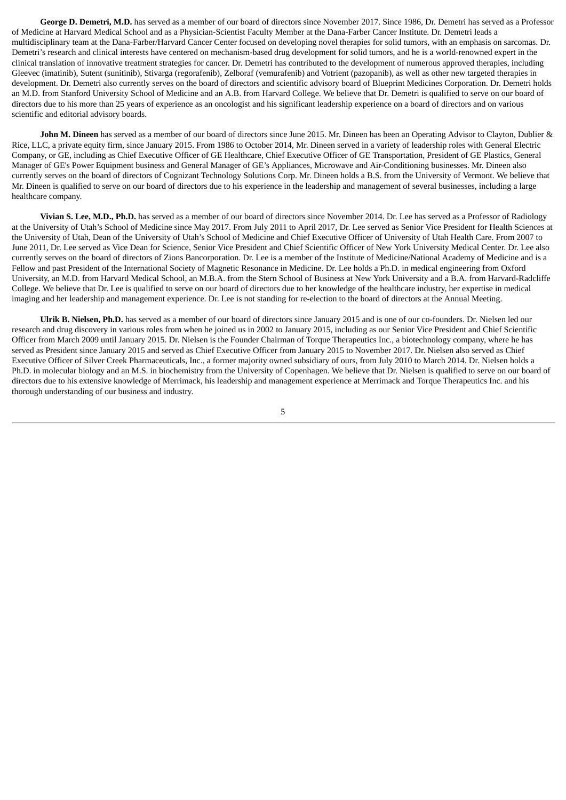**George D. Demetri, M.D.** has served as a member of our board of directors since November 2017. Since 1986, Dr. Demetri has served as a Professor of Medicine at Harvard Medical School and as a Physician-Scientist Faculty Member at the Dana-Farber Cancer Institute. Dr. Demetri leads a multidisciplinary team at the Dana-Farber/Harvard Cancer Center focused on developing novel therapies for solid tumors, with an emphasis on sarcomas. Dr. Demetri's research and clinical interests have centered on mechanism-based drug development for solid tumors, and he is a world-renowned expert in the clinical translation of innovative treatment strategies for cancer. Dr. Demetri has contributed to the development of numerous approved therapies, including Gleevec (imatinib), Sutent (sunitinib), Stivarga (regorafenib), Zelboraf (vemurafenib) and Votrient (pazopanib), as well as other new targeted therapies in development. Dr. Demetri also currently serves on the board of directors and scientific advisory board of Blueprint Medicines Corporation. Dr. Demetri holds an M.D. from Stanford University School of Medicine and an A.B. from Harvard College. We believe that Dr. Demetri is qualified to serve on our board of directors due to his more than 25 years of experience as an oncologist and his significant leadership experience on a board of directors and on various scientific and editorial advisory boards.

**John M. Dineen** has served as a member of our board of directors since June 2015. Mr. Dineen has been an Operating Advisor to Clayton, Dublier & Rice, LLC, a private equity firm, since January 2015. From 1986 to October 2014, Mr. Dineen served in a variety of leadership roles with General Electric Company, or GE, including as Chief Executive Officer of GE Healthcare, Chief Executive Officer of GE Transportation, President of GE Plastics, General Manager of GE's Power Equipment business and General Manager of GE's Appliances, Microwave and Air-Conditioning businesses. Mr. Dineen also currently serves on the board of directors of Cognizant Technology Solutions Corp. Mr. Dineen holds a B.S. from the University of Vermont. We believe that Mr. Dineen is qualified to serve on our board of directors due to his experience in the leadership and management of several businesses, including a large healthcare company.

**Vivian S. Lee, M.D., Ph.D.** has served as a member of our board of directors since November 2014. Dr. Lee has served as a Professor of Radiology at the University of Utah's School of Medicine since May 2017. From July 2011 to April 2017, Dr. Lee served as Senior Vice President for Health Sciences at the University of Utah, Dean of the University of Utah's School of Medicine and Chief Executive Officer of University of Utah Health Care. From 2007 to June 2011, Dr. Lee served as Vice Dean for Science, Senior Vice President and Chief Scientific Officer of New York University Medical Center. Dr. Lee also currently serves on the board of directors of Zions Bancorporation. Dr. Lee is a member of the Institute of Medicine/National Academy of Medicine and is a Fellow and past President of the International Society of Magnetic Resonance in Medicine. Dr. Lee holds a Ph.D. in medical engineering from Oxford University, an M.D. from Harvard Medical School, an M.B.A. from the Stern School of Business at New York University and a B.A. from Harvard-Radcliffe College. We believe that Dr. Lee is qualified to serve on our board of directors due to her knowledge of the healthcare industry, her expertise in medical imaging and her leadership and management experience. Dr. Lee is not standing for re-election to the board of directors at the Annual Meeting.

**Ulrik B. Nielsen, Ph.D.** has served as a member of our board of directors since January 2015 and is one of our co-founders. Dr. Nielsen led our research and drug discovery in various roles from when he joined us in 2002 to January 2015, including as our Senior Vice President and Chief Scientific Officer from March 2009 until January 2015. Dr. Nielsen is the Founder Chairman of Torque Therapeutics Inc., a biotechnology company, where he has served as President since January 2015 and served as Chief Executive Officer from January 2015 to November 2017. Dr. Nielsen also served as Chief Executive Officer of Silver Creek Pharmaceuticals, Inc., a former majority owned subsidiary of ours, from July 2010 to March 2014. Dr. Nielsen holds a Ph.D. in molecular biology and an M.S. in biochemistry from the University of Copenhagen. We believe that Dr. Nielsen is qualified to serve on our board of directors due to his extensive knowledge of Merrimack, his leadership and management experience at Merrimack and Torque Therapeutics Inc. and his thorough understanding of our business and industry.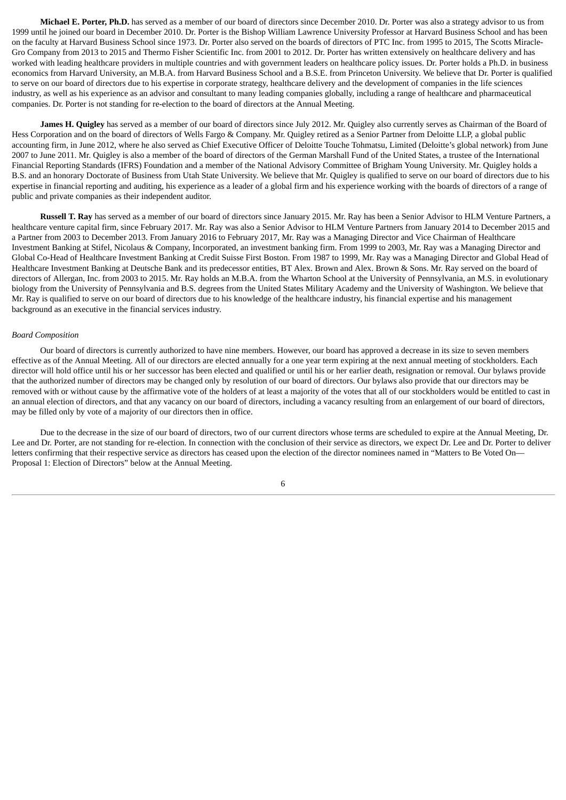**Michael E. Porter, Ph.D.** has served as a member of our board of directors since December 2010. Dr. Porter was also a strategy advisor to us from 1999 until he joined our board in December 2010. Dr. Porter is the Bishop William Lawrence University Professor at Harvard Business School and has been on the faculty at Harvard Business School since 1973. Dr. Porter also served on the boards of directors of PTC Inc. from 1995 to 2015, The Scotts Miracle-Gro Company from 2013 to 2015 and Thermo Fisher Scientific Inc. from 2001 to 2012. Dr. Porter has written extensively on healthcare delivery and has worked with leading healthcare providers in multiple countries and with government leaders on healthcare policy issues. Dr. Porter holds a Ph.D. in business economics from Harvard University, an M.B.A. from Harvard Business School and a B.S.E. from Princeton University. We believe that Dr. Porter is qualified to serve on our board of directors due to his expertise in corporate strategy, healthcare delivery and the development of companies in the life sciences industry, as well as his experience as an advisor and consultant to many leading companies globally, including a range of healthcare and pharmaceutical companies. Dr. Porter is not standing for re-election to the board of directors at the Annual Meeting.

**James H. Quigley** has served as a member of our board of directors since July 2012. Mr. Quigley also currently serves as Chairman of the Board of Hess Corporation and on the board of directors of Wells Fargo & Company. Mr. Quigley retired as a Senior Partner from Deloitte LLP, a global public accounting firm, in June 2012, where he also served as Chief Executive Officer of Deloitte Touche Tohmatsu, Limited (Deloitte's global network) from June 2007 to June 2011. Mr. Quigley is also a member of the board of directors of the German Marshall Fund of the United States, a trustee of the International Financial Reporting Standards (IFRS) Foundation and a member of the National Advisory Committee of Brigham Young University. Mr. Quigley holds a B.S. and an honorary Doctorate of Business from Utah State University. We believe that Mr. Quigley is qualified to serve on our board of directors due to his expertise in financial reporting and auditing, his experience as a leader of a global firm and his experience working with the boards of directors of a range of public and private companies as their independent auditor.

**Russell T. Ray** has served as a member of our board of directors since January 2015. Mr. Ray has been a Senior Advisor to HLM Venture Partners, a healthcare venture capital firm, since February 2017. Mr. Ray was also a Senior Advisor to HLM Venture Partners from January 2014 to December 2015 and a Partner from 2003 to December 2013. From January 2016 to February 2017, Mr. Ray was a Managing Director and Vice Chairman of Healthcare Investment Banking at Stifel, Nicolaus & Company, Incorporated, an investment banking firm. From 1999 to 2003, Mr. Ray was a Managing Director and Global Co-Head of Healthcare Investment Banking at Credit Suisse First Boston. From 1987 to 1999, Mr. Ray was a Managing Director and Global Head of Healthcare Investment Banking at Deutsche Bank and its predecessor entities, BT Alex. Brown and Alex. Brown & Sons. Mr. Ray served on the board of directors of Allergan, Inc. from 2003 to 2015. Mr. Ray holds an M.B.A. from the Wharton School at the University of Pennsylvania, an M.S. in evolutionary biology from the University of Pennsylvania and B.S. degrees from the United States Military Academy and the University of Washington. We believe that Mr. Ray is qualified to serve on our board of directors due to his knowledge of the healthcare industry, his financial expertise and his management background as an executive in the financial services industry.

#### *Board Composition*

Our board of directors is currently authorized to have nine members. However, our board has approved a decrease in its size to seven members effective as of the Annual Meeting. All of our directors are elected annually for a one year term expiring at the next annual meeting of stockholders. Each director will hold office until his or her successor has been elected and qualified or until his or her earlier death, resignation or removal. Our bylaws provide that the authorized number of directors may be changed only by resolution of our board of directors. Our bylaws also provide that our directors may be removed with or without cause by the affirmative vote of the holders of at least a majority of the votes that all of our stockholders would be entitled to cast in an annual election of directors, and that any vacancy on our board of directors, including a vacancy resulting from an enlargement of our board of directors, may be filled only by vote of a majority of our directors then in office.

Due to the decrease in the size of our board of directors, two of our current directors whose terms are scheduled to expire at the Annual Meeting, Dr. Lee and Dr. Porter, are not standing for re-election. In connection with the conclusion of their service as directors, we expect Dr. Lee and Dr. Porter to deliver letters confirming that their respective service as directors has ceased upon the election of the director nominees named in "Matters to Be Voted On— Proposal 1: Election of Directors" below at the Annual Meeting.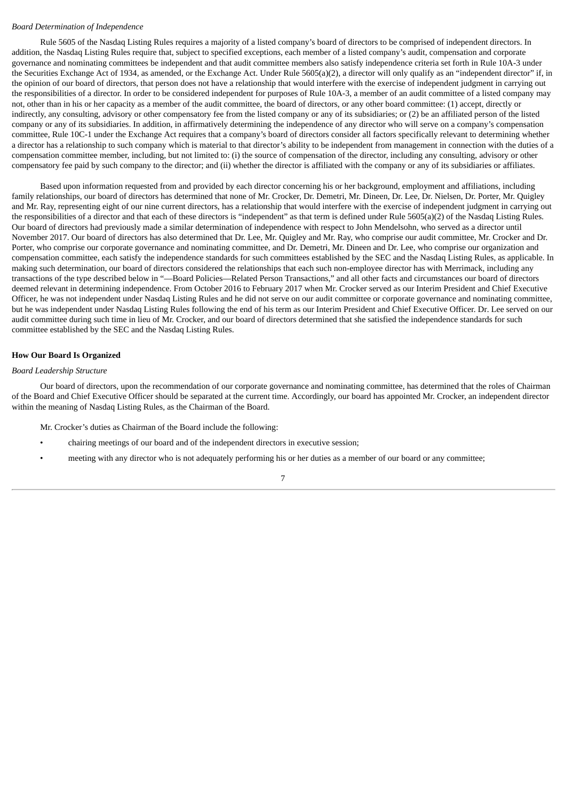# *Board Determination of Independence*

Rule 5605 of the Nasdaq Listing Rules requires a majority of a listed company's board of directors to be comprised of independent directors. In addition, the Nasdaq Listing Rules require that, subject to specified exceptions, each member of a listed company's audit, compensation and corporate governance and nominating committees be independent and that audit committee members also satisfy independence criteria set forth in Rule 10A-3 under the Securities Exchange Act of 1934, as amended, or the Exchange Act. Under Rule 5605(a)(2), a director will only qualify as an "independent director" if, in the opinion of our board of directors, that person does not have a relationship that would interfere with the exercise of independent judgment in carrying out the responsibilities of a director. In order to be considered independent for purposes of Rule 10A-3, a member of an audit committee of a listed company may not, other than in his or her capacity as a member of the audit committee, the board of directors, or any other board committee: (1) accept, directly or indirectly, any consulting, advisory or other compensatory fee from the listed company or any of its subsidiaries; or (2) be an affiliated person of the listed company or any of its subsidiaries. In addition, in affirmatively determining the independence of any director who will serve on a company's compensation committee, Rule 10C-1 under the Exchange Act requires that a company's board of directors consider all factors specifically relevant to determining whether a director has a relationship to such company which is material to that director's ability to be independent from management in connection with the duties of a compensation committee member, including, but not limited to: (i) the source of compensation of the director, including any consulting, advisory or other compensatory fee paid by such company to the director; and (ii) whether the director is affiliated with the company or any of its subsidiaries or affiliates.

Based upon information requested from and provided by each director concerning his or her background, employment and affiliations, including family relationships, our board of directors has determined that none of Mr. Crocker, Dr. Demetri, Mr. Dineen, Dr. Lee, Dr. Nielsen, Dr. Porter, Mr. Quigley and Mr. Ray, representing eight of our nine current directors, has a relationship that would interfere with the exercise of independent judgment in carrying out the responsibilities of a director and that each of these directors is "independent" as that term is defined under Rule 5605(a)(2) of the Nasdaq Listing Rules. Our board of directors had previously made a similar determination of independence with respect to John Mendelsohn, who served as a director until November 2017. Our board of directors has also determined that Dr. Lee, Mr. Quigley and Mr. Ray, who comprise our audit committee, Mr. Crocker and Dr. Porter, who comprise our corporate governance and nominating committee, and Dr. Demetri, Mr. Dineen and Dr. Lee, who comprise our organization and compensation committee, each satisfy the independence standards for such committees established by the SEC and the Nasdaq Listing Rules, as applicable. In making such determination, our board of directors considered the relationships that each such non-employee director has with Merrimack, including any transactions of the type described below in "—Board Policies—Related Person Transactions," and all other facts and circumstances our board of directors deemed relevant in determining independence. From October 2016 to February 2017 when Mr. Crocker served as our Interim President and Chief Executive Officer, he was not independent under Nasdaq Listing Rules and he did not serve on our audit committee or corporate governance and nominating committee, but he was independent under Nasdaq Listing Rules following the end of his term as our Interim President and Chief Executive Officer. Dr. Lee served on our audit committee during such time in lieu of Mr. Crocker, and our board of directors determined that she satisfied the independence standards for such committee established by the SEC and the Nasdaq Listing Rules.

# <span id="page-10-0"></span>**How Our Board Is Organized**

# *Board Leadership Structure*

Our board of directors, upon the recommendation of our corporate governance and nominating committee, has determined that the roles of Chairman of the Board and Chief Executive Officer should be separated at the current time. Accordingly, our board has appointed Mr. Crocker, an independent director within the meaning of Nasdaq Listing Rules, as the Chairman of the Board.

Mr. Crocker's duties as Chairman of the Board include the following:

- chairing meetings of our board and of the independent directors in executive session;
- meeting with any director who is not adequately performing his or her duties as a member of our board or any committee;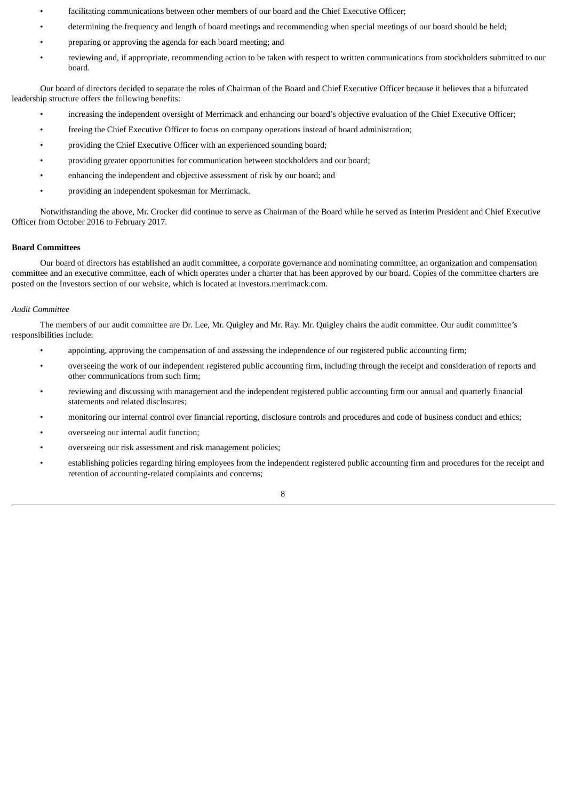- facilitating communications between other members of our board and the Chief Executive Officer;
- determining the frequency and length of board meetings and recommending when special meetings of our board should be held;
- preparing or approving the agenda for each board meeting; and
- reviewing and, if appropriate, recommending action to be taken with respect to written communications from stockholders submitted to our board.

Our board of directors decided to separate the roles of Chairman of the Board and Chief Executive Officer because it believes that a bifurcated leadership structure offers the following benefits:

- increasing the independent oversight of Merrimack and enhancing our board's objective evaluation of the Chief Executive Officer;
- freeing the Chief Executive Officer to focus on company operations instead of board administration;
- providing the Chief Executive Officer with an experienced sounding board;
- providing greater opportunities for communication between stockholders and our board;
- enhancing the independent and objective assessment of risk by our board; and
- providing an independent spokesman for Merrimack.

Notwithstanding the above, Mr. Crocker did continue to serve as Chairman of the Board while he served as Interim President and Chief Executive Officer from October 2016 to February 2017.

# <span id="page-11-0"></span>**Board Committees**

Our board of directors has established an audit committee, a corporate governance and nominating committee, an organization and compensation committee and an executive committee, each of which operates under a charter that has been approved by our board. Copies of the committee charters are posted on the Investors section of our website, which is located at investors.merrimack.com.

# *Audit Committee*

The members of our audit committee are Dr. Lee, Mr. Quigley and Mr. Ray. Mr. Quigley chairs the audit committee. Our audit committee's responsibilities include:

- appointing, approving the compensation of and assessing the independence of our registered public accounting firm;
- overseeing the work of our independent registered public accounting firm, including through the receipt and consideration of reports and other communications from such firm;
- reviewing and discussing with management and the independent registered public accounting firm our annual and quarterly financial statements and related disclosures;
- monitoring our internal control over financial reporting, disclosure controls and procedures and code of business conduct and ethics;
- overseeing our internal audit function;
- overseeing our risk assessment and risk management policies;
- establishing policies regarding hiring employees from the independent registered public accounting firm and procedures for the receipt and retention of accounting-related complaints and concerns;

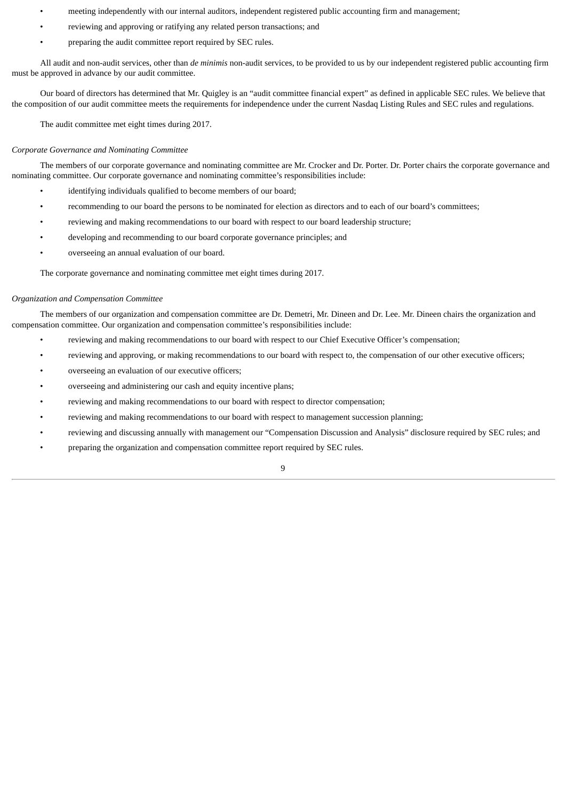- meeting independently with our internal auditors, independent registered public accounting firm and management;
- reviewing and approving or ratifying any related person transactions; and
- preparing the audit committee report required by SEC rules.

All audit and non-audit services, other than *de minimis* non-audit services, to be provided to us by our independent registered public accounting firm must be approved in advance by our audit committee.

Our board of directors has determined that Mr. Quigley is an "audit committee financial expert" as defined in applicable SEC rules. We believe that the composition of our audit committee meets the requirements for independence under the current Nasdaq Listing Rules and SEC rules and regulations.

The audit committee met eight times during 2017.

# *Corporate Governance and Nominating Committee*

The members of our corporate governance and nominating committee are Mr. Crocker and Dr. Porter. Dr. Porter chairs the corporate governance and nominating committee. Our corporate governance and nominating committee's responsibilities include:

- identifying individuals qualified to become members of our board;
- recommending to our board the persons to be nominated for election as directors and to each of our board's committees;
- reviewing and making recommendations to our board with respect to our board leadership structure;
- developing and recommending to our board corporate governance principles; and
- overseeing an annual evaluation of our board.

The corporate governance and nominating committee met eight times during 2017.

# *Organization and Compensation Committee*

The members of our organization and compensation committee are Dr. Demetri, Mr. Dineen and Dr. Lee. Mr. Dineen chairs the organization and compensation committee. Our organization and compensation committee's responsibilities include:

- reviewing and making recommendations to our board with respect to our Chief Executive Officer's compensation;
- reviewing and approving, or making recommendations to our board with respect to, the compensation of our other executive officers;
- overseeing an evaluation of our executive officers;
- overseeing and administering our cash and equity incentive plans;
- reviewing and making recommendations to our board with respect to director compensation;
- reviewing and making recommendations to our board with respect to management succession planning;
- reviewing and discussing annually with management our "Compensation Discussion and Analysis" disclosure required by SEC rules; and
- preparing the organization and compensation committee report required by SEC rules.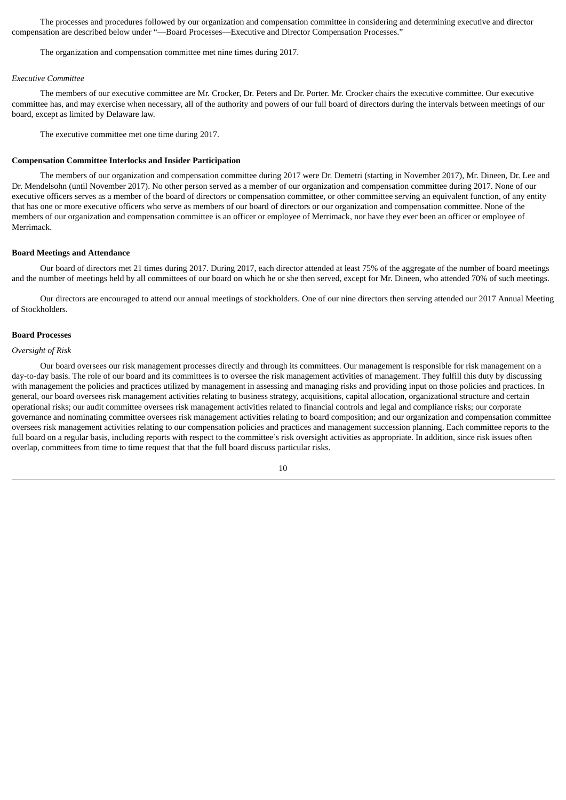The processes and procedures followed by our organization and compensation committee in considering and determining executive and director compensation are described below under "—Board Processes—Executive and Director Compensation Processes."

The organization and compensation committee met nine times during 2017.

#### *Executive Committee*

The members of our executive committee are Mr. Crocker, Dr. Peters and Dr. Porter. Mr. Crocker chairs the executive committee. Our executive committee has, and may exercise when necessary, all of the authority and powers of our full board of directors during the intervals between meetings of our board, except as limited by Delaware law.

The executive committee met one time during 2017.

#### <span id="page-13-0"></span>**Compensation Committee Interlocks and Insider Participation**

The members of our organization and compensation committee during 2017 were Dr. Demetri (starting in November 2017), Mr. Dineen, Dr. Lee and Dr. Mendelsohn (until November 2017). No other person served as a member of our organization and compensation committee during 2017. None of our executive officers serves as a member of the board of directors or compensation committee, or other committee serving an equivalent function, of any entity that has one or more executive officers who serve as members of our board of directors or our organization and compensation committee. None of the members of our organization and compensation committee is an officer or employee of Merrimack, nor have they ever been an officer or employee of Merrimack.

#### <span id="page-13-1"></span>**Board Meetings and Attendance**

Our board of directors met 21 times during 2017. During 2017, each director attended at least 75% of the aggregate of the number of board meetings and the number of meetings held by all committees of our board on which he or she then served, except for Mr. Dineen, who attended 70% of such meetings.

Our directors are encouraged to attend our annual meetings of stockholders. One of our nine directors then serving attended our 2017 Annual Meeting of Stockholders.

#### <span id="page-13-2"></span>**Board Processes**

# *Oversight of Risk*

Our board oversees our risk management processes directly and through its committees. Our management is responsible for risk management on a day-to-day basis. The role of our board and its committees is to oversee the risk management activities of management. They fulfill this duty by discussing with management the policies and practices utilized by management in assessing and managing risks and providing input on those policies and practices. In general, our board oversees risk management activities relating to business strategy, acquisitions, capital allocation, organizational structure and certain operational risks; our audit committee oversees risk management activities related to financial controls and legal and compliance risks; our corporate governance and nominating committee oversees risk management activities relating to board composition; and our organization and compensation committee oversees risk management activities relating to our compensation policies and practices and management succession planning. Each committee reports to the full board on a regular basis, including reports with respect to the committee's risk oversight activities as appropriate. In addition, since risk issues often overlap, committees from time to time request that that the full board discuss particular risks.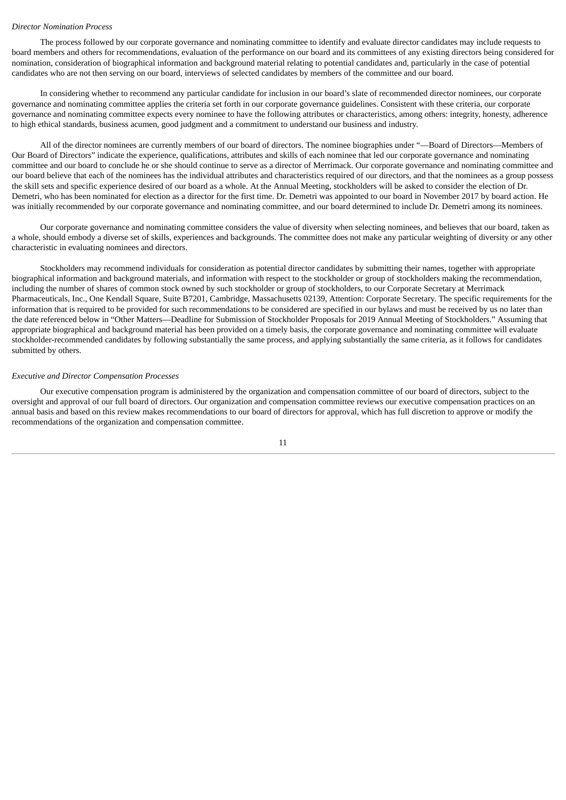#### *Director Nomination Process*

The process followed by our corporate governance and nominating committee to identify and evaluate director candidates may include requests to board members and others for recommendations, evaluation of the performance on our board and its committees of any existing directors being considered for nomination, consideration of biographical information and background material relating to potential candidates and, particularly in the case of potential candidates who are not then serving on our board, interviews of selected candidates by members of the committee and our board.

In considering whether to recommend any particular candidate for inclusion in our board's slate of recommended director nominees, our corporate governance and nominating committee applies the criteria set forth in our corporate governance guidelines. Consistent with these criteria, our corporate governance and nominating committee expects every nominee to have the following attributes or characteristics, among others: integrity, honesty, adherence to high ethical standards, business acumen, good judgment and a commitment to understand our business and industry.

All of the director nominees are currently members of our board of directors. The nominee biographies under "—Board of Directors—Members of Our Board of Directors" indicate the experience, qualifications, attributes and skills of each nominee that led our corporate governance and nominating committee and our board to conclude he or she should continue to serve as a director of Merrimack. Our corporate governance and nominating committee and our board believe that each of the nominees has the individual attributes and characteristics required of our directors, and that the nominees as a group possess the skill sets and specific experience desired of our board as a whole. At the Annual Meeting, stockholders will be asked to consider the election of Dr. Demetri, who has been nominated for election as a director for the first time. Dr. Demetri was appointed to our board in November 2017 by board action. He was initially recommended by our corporate governance and nominating committee, and our board determined to include Dr. Demetri among its nominees.

Our corporate governance and nominating committee considers the value of diversity when selecting nominees, and believes that our board, taken as a whole, should embody a diverse set of skills, experiences and backgrounds. The committee does not make any particular weighting of diversity or any other characteristic in evaluating nominees and directors.

Stockholders may recommend individuals for consideration as potential director candidates by submitting their names, together with appropriate biographical information and background materials, and information with respect to the stockholder or group of stockholders making the recommendation, including the number of shares of common stock owned by such stockholder or group of stockholders, to our Corporate Secretary at Merrimack Pharmaceuticals, Inc., One Kendall Square, Suite B7201, Cambridge, Massachusetts 02139, Attention: Corporate Secretary. The specific requirements for the information that is required to be provided for such recommendations to be considered are specified in our bylaws and must be received by us no later than the date referenced below in "Other Matters—Deadline for Submission of Stockholder Proposals for 2019 Annual Meeting of Stockholders." Assuming that appropriate biographical and background material has been provided on a timely basis, the corporate governance and nominating committee will evaluate stockholder-recommended candidates by following substantially the same process, and applying substantially the same criteria, as it follows for candidates submitted by others.

# *Executive and Director Compensation Processes*

Our executive compensation program is administered by the organization and compensation committee of our board of directors, subject to the oversight and approval of our full board of directors. Our organization and compensation committee reviews our executive compensation practices on an annual basis and based on this review makes recommendations to our board of directors for approval, which has full discretion to approve or modify the recommendations of the organization and compensation committee.

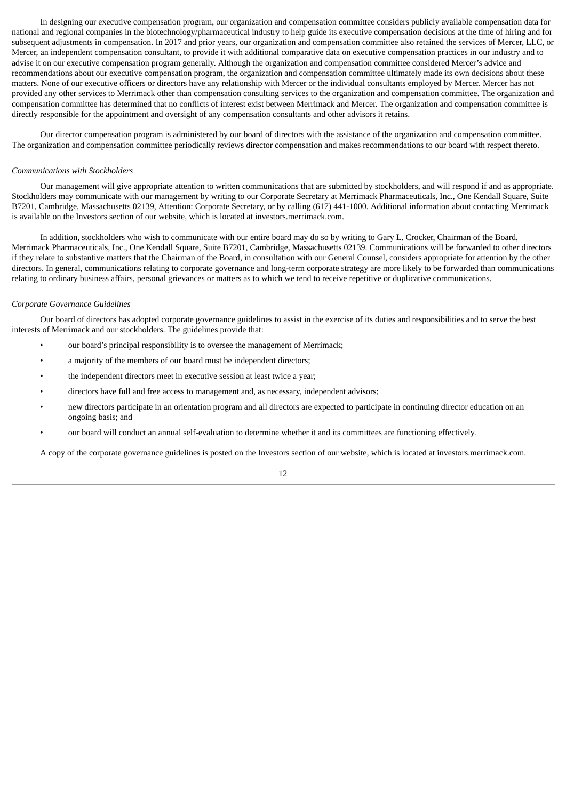In designing our executive compensation program, our organization and compensation committee considers publicly available compensation data for national and regional companies in the biotechnology/pharmaceutical industry to help guide its executive compensation decisions at the time of hiring and for subsequent adjustments in compensation. In 2017 and prior years, our organization and compensation committee also retained the services of Mercer, LLC, or Mercer, an independent compensation consultant, to provide it with additional comparative data on executive compensation practices in our industry and to advise it on our executive compensation program generally. Although the organization and compensation committee considered Mercer's advice and recommendations about our executive compensation program, the organization and compensation committee ultimately made its own decisions about these matters. None of our executive officers or directors have any relationship with Mercer or the individual consultants employed by Mercer. Mercer has not provided any other services to Merrimack other than compensation consulting services to the organization and compensation committee. The organization and compensation committee has determined that no conflicts of interest exist between Merrimack and Mercer. The organization and compensation committee is directly responsible for the appointment and oversight of any compensation consultants and other advisors it retains.

Our director compensation program is administered by our board of directors with the assistance of the organization and compensation committee. The organization and compensation committee periodically reviews director compensation and makes recommendations to our board with respect thereto.

#### *Communications with Stockholders*

Our management will give appropriate attention to written communications that are submitted by stockholders, and will respond if and as appropriate. Stockholders may communicate with our management by writing to our Corporate Secretary at Merrimack Pharmaceuticals, Inc., One Kendall Square, Suite B7201, Cambridge, Massachusetts 02139, Attention: Corporate Secretary, or by calling (617) 441-1000. Additional information about contacting Merrimack is available on the Investors section of our website, which is located at investors.merrimack.com.

In addition, stockholders who wish to communicate with our entire board may do so by writing to Gary L. Crocker, Chairman of the Board, Merrimack Pharmaceuticals, Inc., One Kendall Square, Suite B7201, Cambridge, Massachusetts 02139. Communications will be forwarded to other directors if they relate to substantive matters that the Chairman of the Board, in consultation with our General Counsel, considers appropriate for attention by the other directors. In general, communications relating to corporate governance and long-term corporate strategy are more likely to be forwarded than communications relating to ordinary business affairs, personal grievances or matters as to which we tend to receive repetitive or duplicative communications.

#### *Corporate Governance Guidelines*

Our board of directors has adopted corporate governance guidelines to assist in the exercise of its duties and responsibilities and to serve the best interests of Merrimack and our stockholders. The guidelines provide that:

- our board's principal responsibility is to oversee the management of Merrimack;
- a majority of the members of our board must be independent directors;
- the independent directors meet in executive session at least twice a year;
- directors have full and free access to management and, as necessary, independent advisors;
- new directors participate in an orientation program and all directors are expected to participate in continuing director education on an ongoing basis; and
- our board will conduct an annual self-evaluation to determine whether it and its committees are functioning effectively.

A copy of the corporate governance guidelines is posted on the Investors section of our website, which is located at investors.merrimack.com.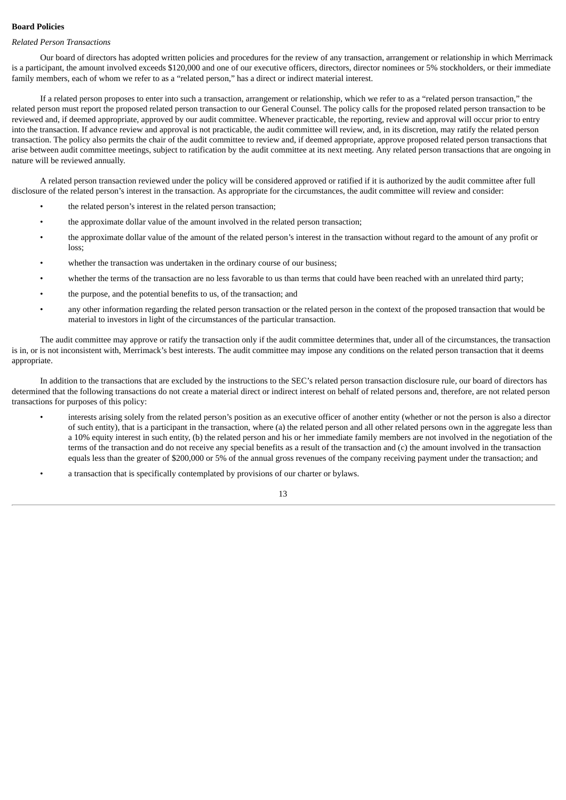# <span id="page-16-0"></span>**Board Policies**

#### *Related Person Transactions*

Our board of directors has adopted written policies and procedures for the review of any transaction, arrangement or relationship in which Merrimack is a participant, the amount involved exceeds \$120,000 and one of our executive officers, directors, director nominees or 5% stockholders, or their immediate family members, each of whom we refer to as a "related person," has a direct or indirect material interest.

If a related person proposes to enter into such a transaction, arrangement or relationship, which we refer to as a "related person transaction," the related person must report the proposed related person transaction to our General Counsel. The policy calls for the proposed related person transaction to be reviewed and, if deemed appropriate, approved by our audit committee. Whenever practicable, the reporting, review and approval will occur prior to entry into the transaction. If advance review and approval is not practicable, the audit committee will review, and, in its discretion, may ratify the related person transaction. The policy also permits the chair of the audit committee to review and, if deemed appropriate, approve proposed related person transactions that arise between audit committee meetings, subject to ratification by the audit committee at its next meeting. Any related person transactions that are ongoing in nature will be reviewed annually.

A related person transaction reviewed under the policy will be considered approved or ratified if it is authorized by the audit committee after full disclosure of the related person's interest in the transaction. As appropriate for the circumstances, the audit committee will review and consider:

- the related person's interest in the related person transaction;
- the approximate dollar value of the amount involved in the related person transaction;
- the approximate dollar value of the amount of the related person's interest in the transaction without regard to the amount of any profit or loss;
- whether the transaction was undertaken in the ordinary course of our business;
- whether the terms of the transaction are no less favorable to us than terms that could have been reached with an unrelated third party;
- the purpose, and the potential benefits to us, of the transaction; and
- any other information regarding the related person transaction or the related person in the context of the proposed transaction that would be material to investors in light of the circumstances of the particular transaction.

The audit committee may approve or ratify the transaction only if the audit committee determines that, under all of the circumstances, the transaction is in, or is not inconsistent with, Merrimack's best interests. The audit committee may impose any conditions on the related person transaction that it deems appropriate.

In addition to the transactions that are excluded by the instructions to the SEC's related person transaction disclosure rule, our board of directors has determined that the following transactions do not create a material direct or indirect interest on behalf of related persons and, therefore, are not related person transactions for purposes of this policy:

- interests arising solely from the related person's position as an executive officer of another entity (whether or not the person is also a director of such entity), that is a participant in the transaction, where (a) the related person and all other related persons own in the aggregate less than a 10% equity interest in such entity, (b) the related person and his or her immediate family members are not involved in the negotiation of the terms of the transaction and do not receive any special benefits as a result of the transaction and (c) the amount involved in the transaction equals less than the greater of \$200,000 or 5% of the annual gross revenues of the company receiving payment under the transaction; and
- a transaction that is specifically contemplated by provisions of our charter or bylaws.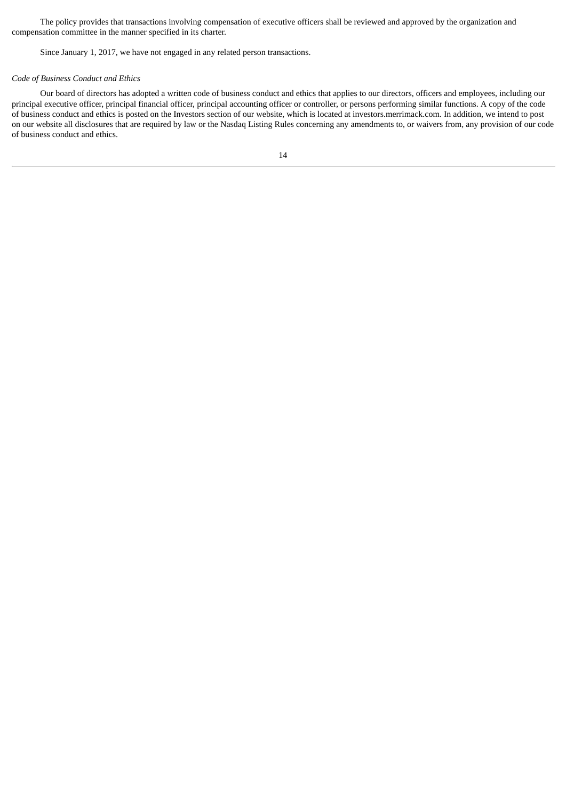The policy provides that transactions involving compensation of executive officers shall be reviewed and approved by the organization and compensation committee in the manner specified in its charter.

Since January 1, 2017, we have not engaged in any related person transactions.

# *Code of Business Conduct and Ethics*

Our board of directors has adopted a written code of business conduct and ethics that applies to our directors, officers and employees, including our principal executive officer, principal financial officer, principal accounting officer or controller, or persons performing similar functions. A copy of the code of business conduct and ethics is posted on the Investors section of our website, which is located at investors.merrimack.com. In addition, we intend to post on our website all disclosures that are required by law or the Nasdaq Listing Rules concerning any amendments to, or waivers from, any provision of our code of business conduct and ethics.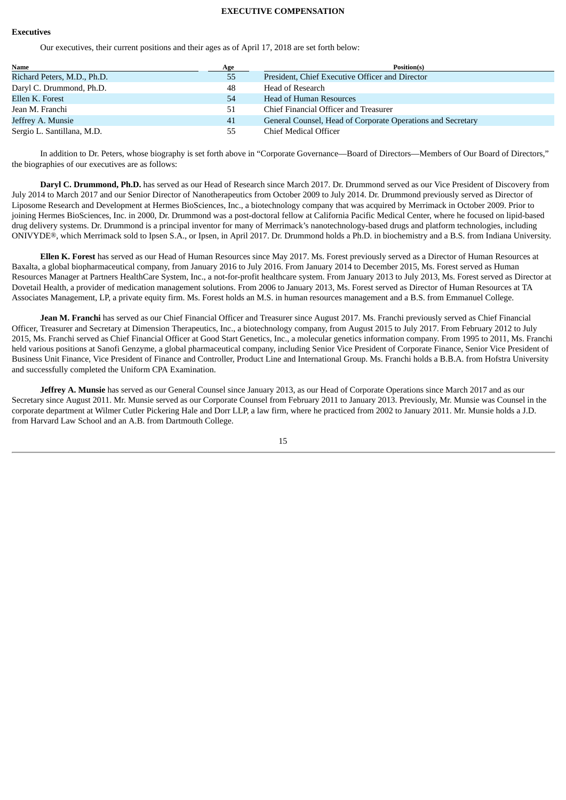# **EXECUTIVE COMPENSATION**

# <span id="page-18-1"></span><span id="page-18-0"></span>**Executives**

Our executives, their current positions and their ages as of April 17, 2018 are set forth below:

| Name                        | Age | Position(s)                                                 |
|-----------------------------|-----|-------------------------------------------------------------|
| Richard Peters, M.D., Ph.D. | 55  | President, Chief Executive Officer and Director             |
| Daryl C. Drummond, Ph.D.    | 48  | Head of Research                                            |
| Ellen K. Forest             | 54  | <b>Head of Human Resources</b>                              |
| Jean M. Franchi             | 51  | Chief Financial Officer and Treasurer                       |
| Jeffrey A. Munsie           | 41  | General Counsel, Head of Corporate Operations and Secretary |
| Sergio L. Santillana, M.D.  | 55  | Chief Medical Officer                                       |
|                             |     |                                                             |

In addition to Dr. Peters, whose biography is set forth above in "Corporate Governance—Board of Directors—Members of Our Board of Directors," the biographies of our executives are as follows:

**Daryl C. Drummond, Ph.D.** has served as our Head of Research since March 2017. Dr. Drummond served as our Vice President of Discovery from July 2014 to March 2017 and our Senior Director of Nanotherapeutics from October 2009 to July 2014. Dr. Drummond previously served as Director of Liposome Research and Development at Hermes BioSciences, Inc., a biotechnology company that was acquired by Merrimack in October 2009. Prior to joining Hermes BioSciences, Inc. in 2000, Dr. Drummond was a post-doctoral fellow at California Pacific Medical Center, where he focused on lipid-based drug delivery systems. Dr. Drummond is a principal inventor for many of Merrimack's nanotechnology-based drugs and platform technologies, including ONIVYDE®, which Merrimack sold to Ipsen S.A., or Ipsen, in April 2017. Dr. Drummond holds a Ph.D. in biochemistry and a B.S. from Indiana University.

**Ellen K. Forest** has served as our Head of Human Resources since May 2017. Ms. Forest previously served as a Director of Human Resources at Baxalta, a global biopharmaceutical company, from January 2016 to July 2016. From January 2014 to December 2015, Ms. Forest served as Human Resources Manager at Partners HealthCare System, Inc., a not-for-profit healthcare system. From January 2013 to July 2013, Ms. Forest served as Director at Dovetail Health, a provider of medication management solutions. From 2006 to January 2013, Ms. Forest served as Director of Human Resources at TA Associates Management, LP, a private equity firm. Ms. Forest holds an M.S. in human resources management and a B.S. from Emmanuel College.

**Jean M. Franchi** has served as our Chief Financial Officer and Treasurer since August 2017. Ms. Franchi previously served as Chief Financial Officer, Treasurer and Secretary at Dimension Therapeutics, Inc., a biotechnology company, from August 2015 to July 2017. From February 2012 to July 2015, Ms. Franchi served as Chief Financial Officer at Good Start Genetics, Inc., a molecular genetics information company. From 1995 to 2011, Ms. Franchi held various positions at Sanofi Genzyme, a global pharmaceutical company, including Senior Vice President of Corporate Finance, Senior Vice President of Business Unit Finance, Vice President of Finance and Controller, Product Line and International Group. Ms. Franchi holds a B.B.A. from Hofstra University and successfully completed the Uniform CPA Examination.

**Jeffrey A. Munsie** has served as our General Counsel since January 2013, as our Head of Corporate Operations since March 2017 and as our Secretary since August 2011. Mr. Munsie served as our Corporate Counsel from February 2011 to January 2013. Previously, Mr. Munsie was Counsel in the corporate department at Wilmer Cutler Pickering Hale and Dorr LLP, a law firm, where he practiced from 2002 to January 2011. Mr. Munsie holds a J.D. from Harvard Law School and an A.B. from Dartmouth College.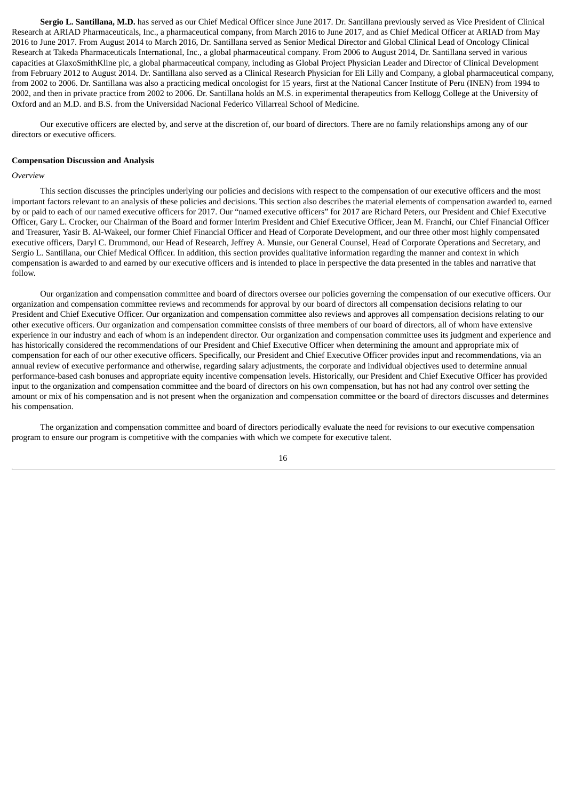**Sergio L. Santillana, M.D.** has served as our Chief Medical Officer since June 2017. Dr. Santillana previously served as Vice President of Clinical Research at ARIAD Pharmaceuticals, Inc., a pharmaceutical company, from March 2016 to June 2017, and as Chief Medical Officer at ARIAD from May 2016 to June 2017. From August 2014 to March 2016, Dr. Santillana served as Senior Medical Director and Global Clinical Lead of Oncology Clinical Research at Takeda Pharmaceuticals International, Inc., a global pharmaceutical company. From 2006 to August 2014, Dr. Santillana served in various capacities at GlaxoSmithKline plc, a global pharmaceutical company, including as Global Project Physician Leader and Director of Clinical Development from February 2012 to August 2014. Dr. Santillana also served as a Clinical Research Physician for Eli Lilly and Company, a global pharmaceutical company, from 2002 to 2006. Dr. Santillana was also a practicing medical oncologist for 15 years, first at the National Cancer Institute of Peru (INEN) from 1994 to 2002, and then in private practice from 2002 to 2006. Dr. Santillana holds an M.S. in experimental therapeutics from Kellogg College at the University of Oxford and an M.D. and B.S. from the Universidad Nacional Federico Villarreal School of Medicine.

Our executive officers are elected by, and serve at the discretion of, our board of directors. There are no family relationships among any of our directors or executive officers.

# <span id="page-19-0"></span>**Compensation Discussion and Analysis**

#### *Overview*

This section discusses the principles underlying our policies and decisions with respect to the compensation of our executive officers and the most important factors relevant to an analysis of these policies and decisions. This section also describes the material elements of compensation awarded to, earned by or paid to each of our named executive officers for 2017. Our "named executive officers" for 2017 are Richard Peters, our President and Chief Executive Officer, Gary L. Crocker, our Chairman of the Board and former Interim President and Chief Executive Officer, Jean M. Franchi, our Chief Financial Officer and Treasurer, Yasir B. Al-Wakeel, our former Chief Financial Officer and Head of Corporate Development, and our three other most highly compensated executive officers, Daryl C. Drummond, our Head of Research, Jeffrey A. Munsie, our General Counsel, Head of Corporate Operations and Secretary, and Sergio L. Santillana, our Chief Medical Officer. In addition, this section provides qualitative information regarding the manner and context in which compensation is awarded to and earned by our executive officers and is intended to place in perspective the data presented in the tables and narrative that follow.

Our organization and compensation committee and board of directors oversee our policies governing the compensation of our executive officers. Our organization and compensation committee reviews and recommends for approval by our board of directors all compensation decisions relating to our President and Chief Executive Officer. Our organization and compensation committee also reviews and approves all compensation decisions relating to our other executive officers. Our organization and compensation committee consists of three members of our board of directors, all of whom have extensive experience in our industry and each of whom is an independent director. Our organization and compensation committee uses its judgment and experience and has historically considered the recommendations of our President and Chief Executive Officer when determining the amount and appropriate mix of compensation for each of our other executive officers. Specifically, our President and Chief Executive Officer provides input and recommendations, via an annual review of executive performance and otherwise, regarding salary adjustments, the corporate and individual objectives used to determine annual performance-based cash bonuses and appropriate equity incentive compensation levels. Historically, our President and Chief Executive Officer has provided input to the organization and compensation committee and the board of directors on his own compensation, but has not had any control over setting the amount or mix of his compensation and is not present when the organization and compensation committee or the board of directors discusses and determines his compensation.

The organization and compensation committee and board of directors periodically evaluate the need for revisions to our executive compensation program to ensure our program is competitive with the companies with which we compete for executive talent.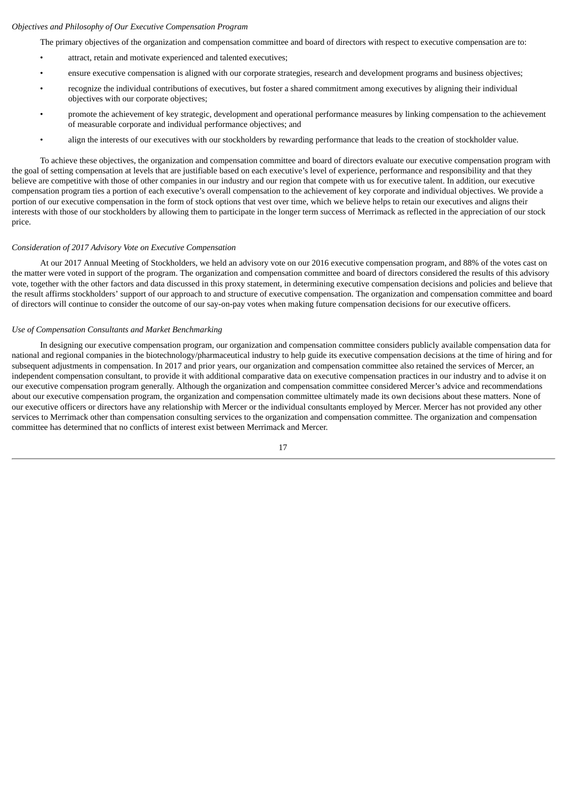# *Objectives and Philosophy of Our Executive Compensation Program*

The primary objectives of the organization and compensation committee and board of directors with respect to executive compensation are to:

- attract, retain and motivate experienced and talented executives;
- ensure executive compensation is aligned with our corporate strategies, research and development programs and business objectives;
- recognize the individual contributions of executives, but foster a shared commitment among executives by aligning their individual objectives with our corporate objectives;
- promote the achievement of key strategic, development and operational performance measures by linking compensation to the achievement of measurable corporate and individual performance objectives; and
- align the interests of our executives with our stockholders by rewarding performance that leads to the creation of stockholder value.

To achieve these objectives, the organization and compensation committee and board of directors evaluate our executive compensation program with the goal of setting compensation at levels that are justifiable based on each executive's level of experience, performance and responsibility and that they believe are competitive with those of other companies in our industry and our region that compete with us for executive talent. In addition, our executive compensation program ties a portion of each executive's overall compensation to the achievement of key corporate and individual objectives. We provide a portion of our executive compensation in the form of stock options that vest over time, which we believe helps to retain our executives and aligns their interests with those of our stockholders by allowing them to participate in the longer term success of Merrimack as reflected in the appreciation of our stock price.

# *Consideration of 2017 Advisory Vote on Executive Compensation*

At our 2017 Annual Meeting of Stockholders, we held an advisory vote on our 2016 executive compensation program, and 88% of the votes cast on the matter were voted in support of the program. The organization and compensation committee and board of directors considered the results of this advisory vote, together with the other factors and data discussed in this proxy statement, in determining executive compensation decisions and policies and believe that the result affirms stockholders' support of our approach to and structure of executive compensation. The organization and compensation committee and board of directors will continue to consider the outcome of our say-on-pay votes when making future compensation decisions for our executive officers.

#### *Use of Compensation Consultants and Market Benchmarking*

In designing our executive compensation program, our organization and compensation committee considers publicly available compensation data for national and regional companies in the biotechnology/pharmaceutical industry to help guide its executive compensation decisions at the time of hiring and for subsequent adjustments in compensation. In 2017 and prior years, our organization and compensation committee also retained the services of Mercer, an independent compensation consultant, to provide it with additional comparative data on executive compensation practices in our industry and to advise it on our executive compensation program generally. Although the organization and compensation committee considered Mercer's advice and recommendations about our executive compensation program, the organization and compensation committee ultimately made its own decisions about these matters. None of our executive officers or directors have any relationship with Mercer or the individual consultants employed by Mercer. Mercer has not provided any other services to Merrimack other than compensation consulting services to the organization and compensation committee. The organization and compensation committee has determined that no conflicts of interest exist between Merrimack and Mercer.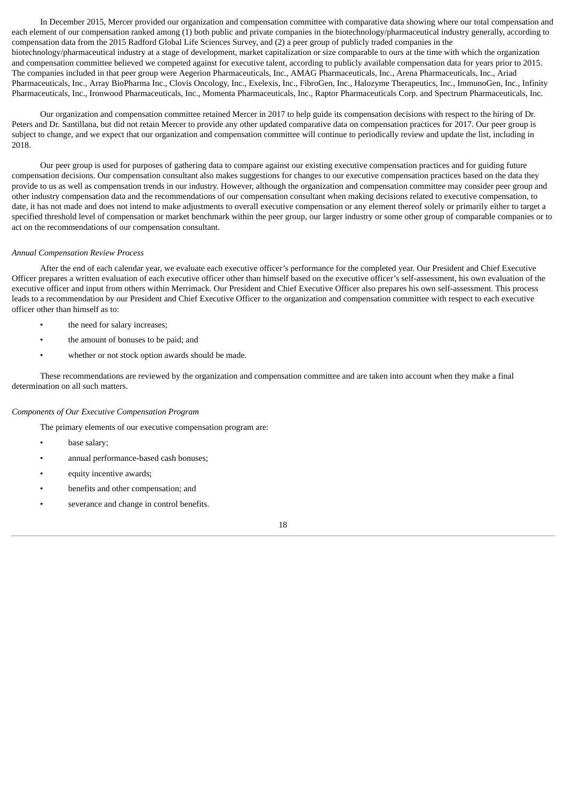In December 2015, Mercer provided our organization and compensation committee with comparative data showing where our total compensation and each element of our compensation ranked among (1) both public and private companies in the biotechnology/pharmaceutical industry generally, according to compensation data from the 2015 Radford Global Life Sciences Survey, and (2) a peer group of publicly traded companies in the biotechnology/pharmaceutical industry at a stage of development, market capitalization or size comparable to ours at the time with which the organization and compensation committee believed we competed against for executive talent, according to publicly available compensation data for years prior to 2015. The companies included in that peer group were Aegerion Pharmaceuticals, Inc., AMAG Pharmaceuticals, Inc., Arena Pharmaceuticals, Inc., Ariad Pharmaceuticals, Inc., Array BioPharma Inc., Clovis Oncology, Inc., Exelexis, Inc., FibroGen, Inc., Halozyme Therapeutics, Inc., ImmunoGen, Inc., Infinity Pharmaceuticals, Inc., Ironwood Pharmaceuticals, Inc., Momenta Pharmaceuticals, Inc., Raptor Pharmaceuticals Corp. and Spectrum Pharmaceuticals, Inc.

Our organization and compensation committee retained Mercer in 2017 to help guide its compensation decisions with respect to the hiring of Dr. Peters and Dr. Santillana, but did not retain Mercer to provide any other updated comparative data on compensation practices for 2017. Our peer group is subject to change, and we expect that our organization and compensation committee will continue to periodically review and update the list, including in 2018.

Our peer group is used for purposes of gathering data to compare against our existing executive compensation practices and for guiding future compensation decisions. Our compensation consultant also makes suggestions for changes to our executive compensation practices based on the data they provide to us as well as compensation trends in our industry. However, although the organization and compensation committee may consider peer group and other industry compensation data and the recommendations of our compensation consultant when making decisions related to executive compensation, to date, it has not made and does not intend to make adjustments to overall executive compensation or any element thereof solely or primarily either to target a specified threshold level of compensation or market benchmark within the peer group, our larger industry or some other group of comparable companies or to act on the recommendations of our compensation consultant.

# *Annual Compensation Review Process*

After the end of each calendar year, we evaluate each executive officer's performance for the completed year. Our President and Chief Executive Officer prepares a written evaluation of each executive officer other than himself based on the executive officer's self-assessment, his own evaluation of the executive officer and input from others within Merrimack. Our President and Chief Executive Officer also prepares his own self-assessment. This process leads to a recommendation by our President and Chief Executive Officer to the organization and compensation committee with respect to each executive officer other than himself as to:

- the need for salary increases;
- the amount of bonuses to be paid; and
- whether or not stock option awards should be made.

These recommendations are reviewed by the organization and compensation committee and are taken into account when they make a final determination on all such matters.

### *Components of Our Executive Compensation Program*

The primary elements of our executive compensation program are:

- base salary;
- annual performance-based cash bonuses;
- equity incentive awards;
- benefits and other compensation; and
- severance and change in control benefits.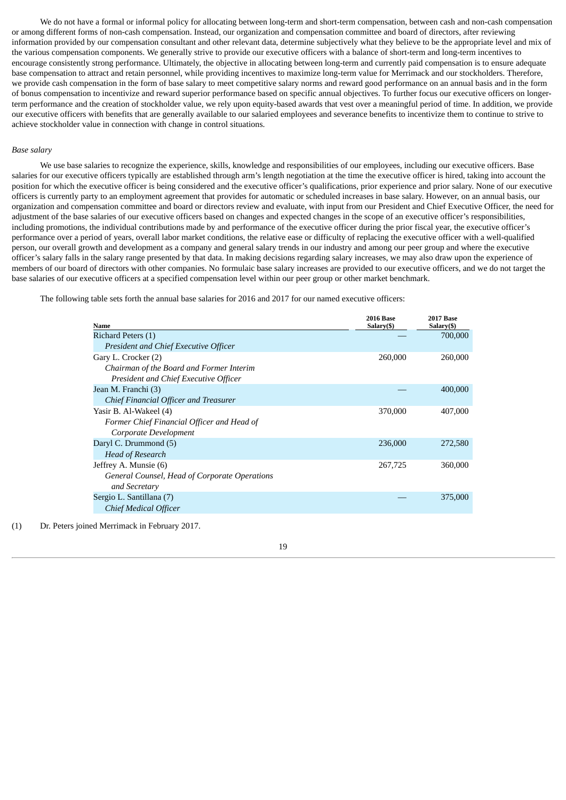We do not have a formal or informal policy for allocating between long-term and short-term compensation, between cash and non-cash compensation or among different forms of non-cash compensation. Instead, our organization and compensation committee and board of directors, after reviewing information provided by our compensation consultant and other relevant data, determine subjectively what they believe to be the appropriate level and mix of the various compensation components. We generally strive to provide our executive officers with a balance of short-term and long-term incentives to encourage consistently strong performance. Ultimately, the objective in allocating between long-term and currently paid compensation is to ensure adequate base compensation to attract and retain personnel, while providing incentives to maximize long-term value for Merrimack and our stockholders. Therefore, we provide cash compensation in the form of base salary to meet competitive salary norms and reward good performance on an annual basis and in the form of bonus compensation to incentivize and reward superior performance based on specific annual objectives. To further focus our executive officers on longerterm performance and the creation of stockholder value, we rely upon equity-based awards that vest over a meaningful period of time. In addition, we provide our executive officers with benefits that are generally available to our salaried employees and severance benefits to incentivize them to continue to strive to achieve stockholder value in connection with change in control situations.

#### *Base salary*

We use base salaries to recognize the experience, skills, knowledge and responsibilities of our employees, including our executive officers. Base salaries for our executive officers typically are established through arm's length negotiation at the time the executive officer is hired, taking into account the position for which the executive officer is being considered and the executive officer's qualifications, prior experience and prior salary. None of our executive officers is currently party to an employment agreement that provides for automatic or scheduled increases in base salary. However, on an annual basis, our organization and compensation committee and board or directors review and evaluate, with input from our President and Chief Executive Officer, the need for adjustment of the base salaries of our executive officers based on changes and expected changes in the scope of an executive officer's responsibilities, including promotions, the individual contributions made by and performance of the executive officer during the prior fiscal year, the executive officer's performance over a period of years, overall labor market conditions, the relative ease or difficulty of replacing the executive officer with a well-qualified person, our overall growth and development as a company and general salary trends in our industry and among our peer group and where the executive officer's salary falls in the salary range presented by that data. In making decisions regarding salary increases, we may also draw upon the experience of members of our board of directors with other companies. No formulaic base salary increases are provided to our executive officers, and we do not target the base salaries of our executive officers at a specified compensation level within our peer group or other market benchmark.

The following table sets forth the annual base salaries for 2016 and 2017 for our named executive officers:

| Name                                          | <b>2016 Base</b><br>Salary(\$) | <b>2017 Base</b><br>Salary(\$) |
|-----------------------------------------------|--------------------------------|--------------------------------|
| Richard Peters (1)                            |                                | 700,000                        |
| President and Chief Executive Officer         |                                |                                |
| Gary L. Crocker (2)                           | 260,000                        | 260,000                        |
| Chairman of the Board and Former Interim      |                                |                                |
| President and Chief Executive Officer         |                                |                                |
| Jean M. Franchi (3)                           |                                | 400,000                        |
| Chief Financial Officer and Treasurer         |                                |                                |
| Yasir B. Al-Wakeel (4)                        | 370,000                        | 407,000                        |
| Former Chief Financial Officer and Head of    |                                |                                |
| Corporate Development                         |                                |                                |
| Daryl C. Drummond (5)                         | 236,000                        | 272,580                        |
| <b>Head of Research</b>                       |                                |                                |
| Jeffrey A. Munsie (6)                         | 267,725                        | 360,000                        |
| General Counsel, Head of Corporate Operations |                                |                                |
| and Secretary                                 |                                |                                |
| Sergio L. Santillana (7)                      |                                | 375,000                        |
| Chief Medical Officer                         |                                |                                |

(1) Dr. Peters joined Merrimack in February 2017.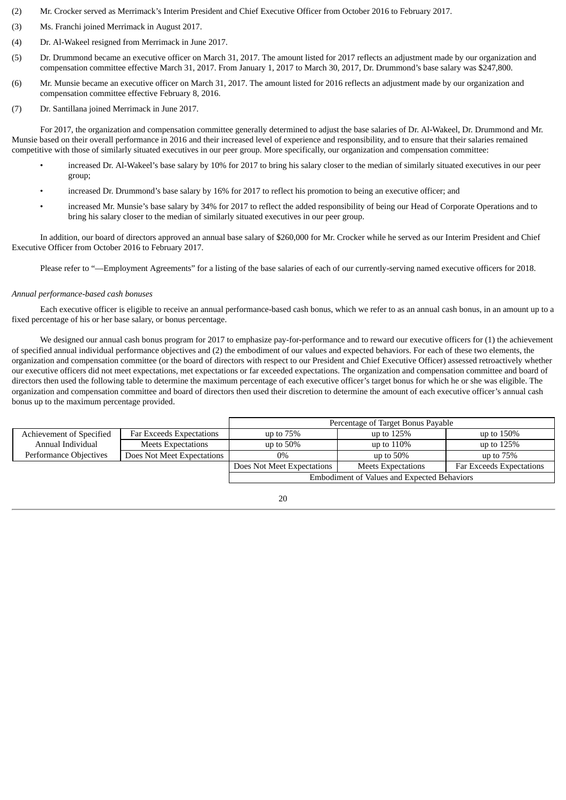- (2) Mr. Crocker served as Merrimack's Interim President and Chief Executive Officer from October 2016 to February 2017.
- (3) Ms. Franchi joined Merrimack in August 2017.
- (4) Dr. Al-Wakeel resigned from Merrimack in June 2017.
- (5) Dr. Drummond became an executive officer on March 31, 2017. The amount listed for 2017 reflects an adjustment made by our organization and compensation committee effective March 31, 2017. From January 1, 2017 to March 30, 2017, Dr. Drummond's base salary was \$247,800.
- (6) Mr. Munsie became an executive officer on March 31, 2017. The amount listed for 2016 reflects an adjustment made by our organization and compensation committee effective February 8, 2016.
- (7) Dr. Santillana joined Merrimack in June 2017.

For 2017, the organization and compensation committee generally determined to adjust the base salaries of Dr. Al-Wakeel, Dr. Drummond and Mr. Munsie based on their overall performance in 2016 and their increased level of experience and responsibility, and to ensure that their salaries remained competitive with those of similarly situated executives in our peer group. More specifically, our organization and compensation committee:

- increased Dr. Al-Wakeel's base salary by 10% for 2017 to bring his salary closer to the median of similarly situated executives in our peer group;
- increased Dr. Drummond's base salary by 16% for 2017 to reflect his promotion to being an executive officer; and
- increased Mr. Munsie's base salary by 34% for 2017 to reflect the added responsibility of being our Head of Corporate Operations and to bring his salary closer to the median of similarly situated executives in our peer group.

In addition, our board of directors approved an annual base salary of \$260,000 for Mr. Crocker while he served as our Interim President and Chief Executive Officer from October 2016 to February 2017.

Please refer to "—Employment Agreements" for a listing of the base salaries of each of our currently-serving named executive officers for 2018.

# *Annual performance-based cash bonuses*

Each executive officer is eligible to receive an annual performance-based cash bonus, which we refer to as an annual cash bonus, in an amount up to a fixed percentage of his or her base salary, or bonus percentage.

We designed our annual cash bonus program for 2017 to emphasize pay-for-performance and to reward our executive officers for (1) the achievement of specified annual individual performance objectives and (2) the embodiment of our values and expected behaviors. For each of these two elements, the organization and compensation committee (or the board of directors with respect to our President and Chief Executive Officer) assessed retroactively whether our executive officers did not meet expectations, met expectations or far exceeded expectations. The organization and compensation committee and board of directors then used the following table to determine the maximum percentage of each executive officer's target bonus for which he or she was eligible. The organization and compensation committee and board of directors then used their discretion to determine the amount of each executive officer's annual cash bonus up to the maximum percentage provided.

|                          |                            | Percentage of Target Bonus Payable          |                           |                          |  |  |
|--------------------------|----------------------------|---------------------------------------------|---------------------------|--------------------------|--|--|
| Achievement of Specified | Far Exceeds Expectations   | up to $75%$                                 | up to $125%$              | up to $150\%$            |  |  |
| Annual Individual        | <b>Meets Expectations</b>  | up to $50\%$                                | up to $110\%$             | up to $125%$             |  |  |
| Performance Objectives   | Does Not Meet Expectations | $0\%$                                       | up to $50\%$              | up to $75%$              |  |  |
|                          |                            | Does Not Meet Expectations                  | <b>Meets Expectations</b> | Far Exceeds Expectations |  |  |
|                          |                            | Embodiment of Values and Expected Behaviors |                           |                          |  |  |

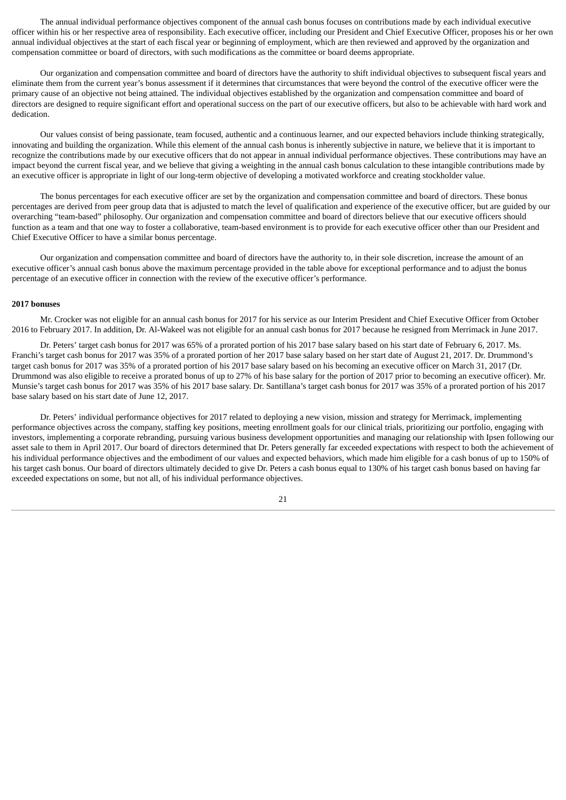The annual individual performance objectives component of the annual cash bonus focuses on contributions made by each individual executive officer within his or her respective area of responsibility. Each executive officer, including our President and Chief Executive Officer, proposes his or her own annual individual objectives at the start of each fiscal year or beginning of employment, which are then reviewed and approved by the organization and compensation committee or board of directors, with such modifications as the committee or board deems appropriate.

Our organization and compensation committee and board of directors have the authority to shift individual objectives to subsequent fiscal years and eliminate them from the current year's bonus assessment if it determines that circumstances that were beyond the control of the executive officer were the primary cause of an objective not being attained. The individual objectives established by the organization and compensation committee and board of directors are designed to require significant effort and operational success on the part of our executive officers, but also to be achievable with hard work and dedication.

Our values consist of being passionate, team focused, authentic and a continuous learner, and our expected behaviors include thinking strategically, innovating and building the organization. While this element of the annual cash bonus is inherently subjective in nature, we believe that it is important to recognize the contributions made by our executive officers that do not appear in annual individual performance objectives. These contributions may have an impact beyond the current fiscal year, and we believe that giving a weighting in the annual cash bonus calculation to these intangible contributions made by an executive officer is appropriate in light of our long-term objective of developing a motivated workforce and creating stockholder value.

The bonus percentages for each executive officer are set by the organization and compensation committee and board of directors. These bonus percentages are derived from peer group data that is adjusted to match the level of qualification and experience of the executive officer, but are guided by our overarching "team-based" philosophy. Our organization and compensation committee and board of directors believe that our executive officers should function as a team and that one way to foster a collaborative, team-based environment is to provide for each executive officer other than our President and Chief Executive Officer to have a similar bonus percentage.

Our organization and compensation committee and board of directors have the authority to, in their sole discretion, increase the amount of an executive officer's annual cash bonus above the maximum percentage provided in the table above for exceptional performance and to adjust the bonus percentage of an executive officer in connection with the review of the executive officer's performance.

#### **2017 bonuses**

Mr. Crocker was not eligible for an annual cash bonus for 2017 for his service as our Interim President and Chief Executive Officer from October 2016 to February 2017. In addition, Dr. Al-Wakeel was not eligible for an annual cash bonus for 2017 because he resigned from Merrimack in June 2017.

Dr. Peters' target cash bonus for 2017 was 65% of a prorated portion of his 2017 base salary based on his start date of February 6, 2017. Ms. Franchi's target cash bonus for 2017 was 35% of a prorated portion of her 2017 base salary based on her start date of August 21, 2017. Dr. Drummond's target cash bonus for 2017 was 35% of a prorated portion of his 2017 base salary based on his becoming an executive officer on March 31, 2017 (Dr. Drummond was also eligible to receive a prorated bonus of up to 27% of his base salary for the portion of 2017 prior to becoming an executive officer). Mr. Munsie's target cash bonus for 2017 was 35% of his 2017 base salary. Dr. Santillana's target cash bonus for 2017 was 35% of a prorated portion of his 2017 base salary based on his start date of June 12, 2017.

Dr. Peters' individual performance objectives for 2017 related to deploying a new vision, mission and strategy for Merrimack, implementing performance objectives across the company, staffing key positions, meeting enrollment goals for our clinical trials, prioritizing our portfolio, engaging with investors, implementing a corporate rebranding, pursuing various business development opportunities and managing our relationship with Ipsen following our asset sale to them in April 2017. Our board of directors determined that Dr. Peters generally far exceeded expectations with respect to both the achievement of his individual performance objectives and the embodiment of our values and expected behaviors, which made him eligible for a cash bonus of up to 150% of his target cash bonus. Our board of directors ultimately decided to give Dr. Peters a cash bonus equal to 130% of his target cash bonus based on having far exceeded expectations on some, but not all, of his individual performance objectives.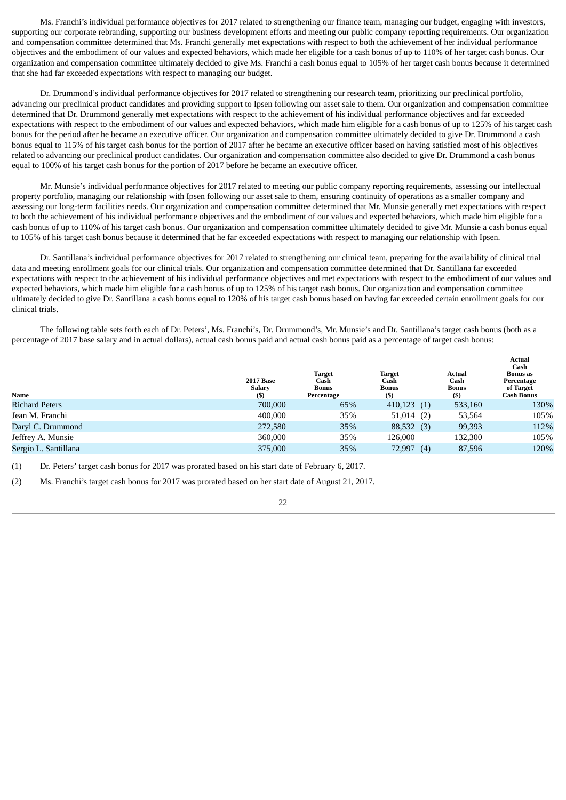Ms. Franchi's individual performance objectives for 2017 related to strengthening our finance team, managing our budget, engaging with investors, supporting our corporate rebranding, supporting our business development efforts and meeting our public company reporting requirements. Our organization and compensation committee determined that Ms. Franchi generally met expectations with respect to both the achievement of her individual performance objectives and the embodiment of our values and expected behaviors, which made her eligible for a cash bonus of up to 110% of her target cash bonus. Our organization and compensation committee ultimately decided to give Ms. Franchi a cash bonus equal to 105% of her target cash bonus because it determined that she had far exceeded expectations with respect to managing our budget.

Dr. Drummond's individual performance objectives for 2017 related to strengthening our research team, prioritizing our preclinical portfolio, advancing our preclinical product candidates and providing support to Ipsen following our asset sale to them. Our organization and compensation committee determined that Dr. Drummond generally met expectations with respect to the achievement of his individual performance objectives and far exceeded expectations with respect to the embodiment of our values and expected behaviors, which made him eligible for a cash bonus of up to 125% of his target cash bonus for the period after he became an executive officer. Our organization and compensation committee ultimately decided to give Dr. Drummond a cash bonus equal to 115% of his target cash bonus for the portion of 2017 after he became an executive officer based on having satisfied most of his objectives related to advancing our preclinical product candidates. Our organization and compensation committee also decided to give Dr. Drummond a cash bonus equal to 100% of his target cash bonus for the portion of 2017 before he became an executive officer.

Mr. Munsie's individual performance objectives for 2017 related to meeting our public company reporting requirements, assessing our intellectual property portfolio, managing our relationship with Ipsen following our asset sale to them, ensuring continuity of operations as a smaller company and assessing our long-term facilities needs. Our organization and compensation committee determined that Mr. Munsie generally met expectations with respect to both the achievement of his individual performance objectives and the embodiment of our values and expected behaviors, which made him eligible for a cash bonus of up to 110% of his target cash bonus. Our organization and compensation committee ultimately decided to give Mr. Munsie a cash bonus equal to 105% of his target cash bonus because it determined that he far exceeded expectations with respect to managing our relationship with Ipsen.

Dr. Santillana's individual performance objectives for 2017 related to strengthening our clinical team, preparing for the availability of clinical trial data and meeting enrollment goals for our clinical trials. Our organization and compensation committee determined that Dr. Santillana far exceeded expectations with respect to the achievement of his individual performance objectives and met expectations with respect to the embodiment of our values and expected behaviors, which made him eligible for a cash bonus of up to 125% of his target cash bonus. Our organization and compensation committee ultimately decided to give Dr. Santillana a cash bonus equal to 120% of his target cash bonus based on having far exceeded certain enrollment goals for our clinical trials.

The following table sets forth each of Dr. Peters', Ms. Franchi's, Dr. Drummond's, Mr. Munsie's and Dr. Santillana's target cash bonus (both as a percentage of 2017 base salary and in actual dollars), actual cash bonus paid and actual cash bonus paid as a percentage of target cash bonus:

| Name                  | <b>2017 Base</b><br>Salary<br>(S) | <b>Target</b><br>Cash<br><b>Bonus</b><br>Percentage | <b>Target</b><br>Cash<br><b>Bonus</b><br>(S) | Actual<br>Cash<br><b>Bonus</b><br>(S) | <b>Actual</b><br>Cash<br><b>Bonus</b> as<br>Percentage<br>of Target<br><b>Cash Bonus</b> |
|-----------------------|-----------------------------------|-----------------------------------------------------|----------------------------------------------|---------------------------------------|------------------------------------------------------------------------------------------|
| <b>Richard Peters</b> | 700,000                           | 65%                                                 | 410,123(1)                                   | 533,160                               | 130%                                                                                     |
| Jean M. Franchi       | 400,000                           | 35%                                                 | $51,014$ (2)                                 | 53,564                                | 105%                                                                                     |
| Daryl C. Drummond     | 272,580                           | 35%                                                 | 88,532 (3)                                   | 99,393                                | 112%                                                                                     |
| Jeffrey A. Munsie     | 360,000                           | 35%                                                 | 126,000                                      | 132,300                               | 105%                                                                                     |
| Sergio L. Santillana  | 375,000                           | 35%                                                 | 72,997<br>(4)                                | 87,596                                | 120%                                                                                     |

(1) Dr. Peters' target cash bonus for 2017 was prorated based on his start date of February 6, 2017.

(2) Ms. Franchi's target cash bonus for 2017 was prorated based on her start date of August 21, 2017.

<sup>22</sup>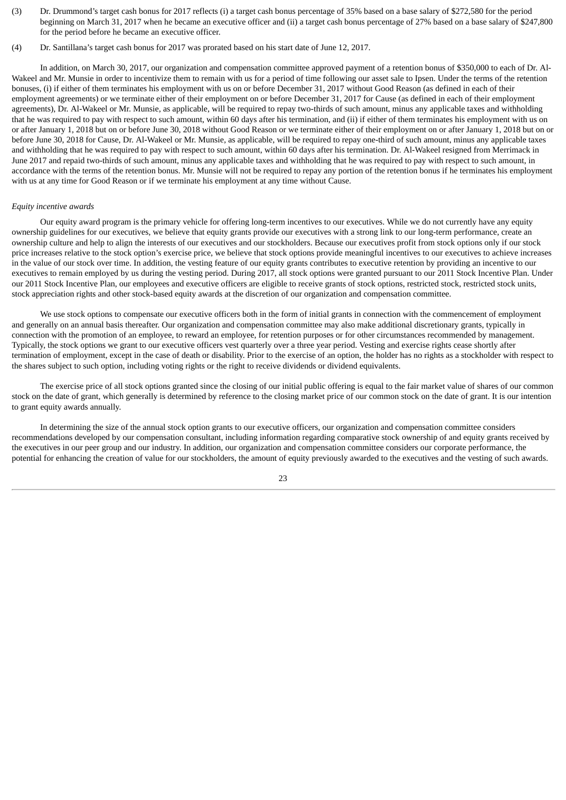- (3) Dr. Drummond's target cash bonus for 2017 reflects (i) a target cash bonus percentage of 35% based on a base salary of \$272,580 for the period beginning on March 31, 2017 when he became an executive officer and (ii) a target cash bonus percentage of 27% based on a base salary of \$247,800 for the period before he became an executive officer.
- (4) Dr. Santillana's target cash bonus for 2017 was prorated based on his start date of June 12, 2017.

In addition, on March 30, 2017, our organization and compensation committee approved payment of a retention bonus of \$350,000 to each of Dr. Al-Wakeel and Mr. Munsie in order to incentivize them to remain with us for a period of time following our asset sale to Ipsen. Under the terms of the retention bonuses, (i) if either of them terminates his employment with us on or before December 31, 2017 without Good Reason (as defined in each of their employment agreements) or we terminate either of their employment on or before December 31, 2017 for Cause (as defined in each of their employment agreements), Dr. Al-Wakeel or Mr. Munsie, as applicable, will be required to repay two-thirds of such amount, minus any applicable taxes and withholding that he was required to pay with respect to such amount, within 60 days after his termination, and (ii) if either of them terminates his employment with us on or after January 1, 2018 but on or before June 30, 2018 without Good Reason or we terminate either of their employment on or after January 1, 2018 but on or before June 30, 2018 for Cause, Dr. Al-Wakeel or Mr. Munsie, as applicable, will be required to repay one-third of such amount, minus any applicable taxes and withholding that he was required to pay with respect to such amount, within 60 days after his termination. Dr. Al-Wakeel resigned from Merrimack in June 2017 and repaid two-thirds of such amount, minus any applicable taxes and withholding that he was required to pay with respect to such amount, in accordance with the terms of the retention bonus. Mr. Munsie will not be required to repay any portion of the retention bonus if he terminates his employment with us at any time for Good Reason or if we terminate his employment at any time without Cause.

# *Equity incentive awards*

Our equity award program is the primary vehicle for offering long-term incentives to our executives. While we do not currently have any equity ownership guidelines for our executives, we believe that equity grants provide our executives with a strong link to our long-term performance, create an ownership culture and help to align the interests of our executives and our stockholders. Because our executives profit from stock options only if our stock price increases relative to the stock option's exercise price, we believe that stock options provide meaningful incentives to our executives to achieve increases in the value of our stock over time. In addition, the vesting feature of our equity grants contributes to executive retention by providing an incentive to our executives to remain employed by us during the vesting period. During 2017, all stock options were granted pursuant to our 2011 Stock Incentive Plan. Under our 2011 Stock Incentive Plan, our employees and executive officers are eligible to receive grants of stock options, restricted stock, restricted stock units, stock appreciation rights and other stock-based equity awards at the discretion of our organization and compensation committee.

We use stock options to compensate our executive officers both in the form of initial grants in connection with the commencement of employment and generally on an annual basis thereafter. Our organization and compensation committee may also make additional discretionary grants, typically in connection with the promotion of an employee, to reward an employee, for retention purposes or for other circumstances recommended by management. Typically, the stock options we grant to our executive officers vest quarterly over a three year period. Vesting and exercise rights cease shortly after termination of employment, except in the case of death or disability. Prior to the exercise of an option, the holder has no rights as a stockholder with respect to the shares subject to such option, including voting rights or the right to receive dividends or dividend equivalents.

The exercise price of all stock options granted since the closing of our initial public offering is equal to the fair market value of shares of our common stock on the date of grant, which generally is determined by reference to the closing market price of our common stock on the date of grant. It is our intention to grant equity awards annually.

In determining the size of the annual stock option grants to our executive officers, our organization and compensation committee considers recommendations developed by our compensation consultant, including information regarding comparative stock ownership of and equity grants received by the executives in our peer group and our industry. In addition, our organization and compensation committee considers our corporate performance, the potential for enhancing the creation of value for our stockholders, the amount of equity previously awarded to the executives and the vesting of such awards.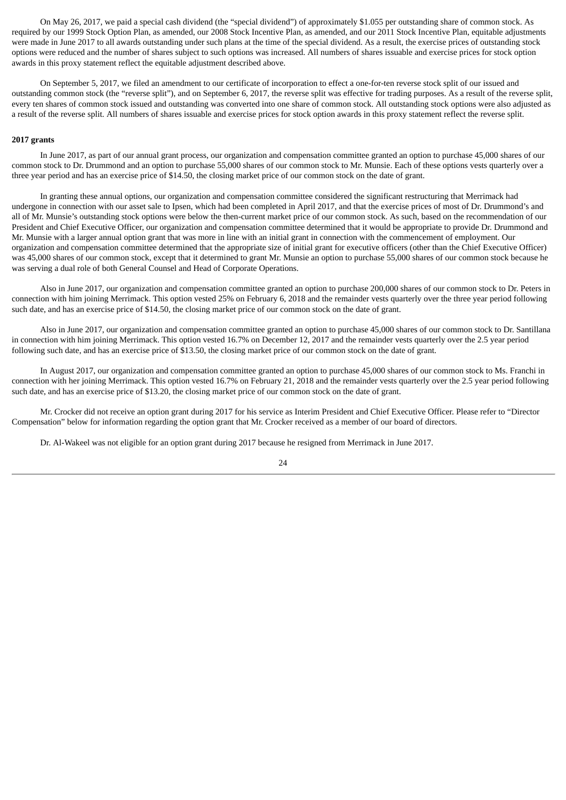On May 26, 2017, we paid a special cash dividend (the "special dividend") of approximately \$1.055 per outstanding share of common stock. As required by our 1999 Stock Option Plan, as amended, our 2008 Stock Incentive Plan, as amended, and our 2011 Stock Incentive Plan, equitable adjustments were made in June 2017 to all awards outstanding under such plans at the time of the special dividend. As a result, the exercise prices of outstanding stock options were reduced and the number of shares subject to such options was increased. All numbers of shares issuable and exercise prices for stock option awards in this proxy statement reflect the equitable adjustment described above.

On September 5, 2017, we filed an amendment to our certificate of incorporation to effect a one-for-ten reverse stock split of our issued and outstanding common stock (the "reverse split"), and on September 6, 2017, the reverse split was effective for trading purposes. As a result of the reverse split, every ten shares of common stock issued and outstanding was converted into one share of common stock. All outstanding stock options were also adjusted as a result of the reverse split. All numbers of shares issuable and exercise prices for stock option awards in this proxy statement reflect the reverse split.

# **2017 grants**

In June 2017, as part of our annual grant process, our organization and compensation committee granted an option to purchase 45,000 shares of our common stock to Dr. Drummond and an option to purchase 55,000 shares of our common stock to Mr. Munsie. Each of these options vests quarterly over a three year period and has an exercise price of \$14.50, the closing market price of our common stock on the date of grant.

In granting these annual options, our organization and compensation committee considered the significant restructuring that Merrimack had undergone in connection with our asset sale to Ipsen, which had been completed in April 2017, and that the exercise prices of most of Dr. Drummond's and all of Mr. Munsie's outstanding stock options were below the then-current market price of our common stock. As such, based on the recommendation of our President and Chief Executive Officer, our organization and compensation committee determined that it would be appropriate to provide Dr. Drummond and Mr. Munsie with a larger annual option grant that was more in line with an initial grant in connection with the commencement of employment. Our organization and compensation committee determined that the appropriate size of initial grant for executive officers (other than the Chief Executive Officer) was 45,000 shares of our common stock, except that it determined to grant Mr. Munsie an option to purchase 55,000 shares of our common stock because he was serving a dual role of both General Counsel and Head of Corporate Operations.

Also in June 2017, our organization and compensation committee granted an option to purchase 200,000 shares of our common stock to Dr. Peters in connection with him joining Merrimack. This option vested 25% on February 6, 2018 and the remainder vests quarterly over the three year period following such date, and has an exercise price of \$14.50, the closing market price of our common stock on the date of grant.

Also in June 2017, our organization and compensation committee granted an option to purchase 45,000 shares of our common stock to Dr. Santillana in connection with him joining Merrimack. This option vested 16.7% on December 12, 2017 and the remainder vests quarterly over the 2.5 year period following such date, and has an exercise price of \$13.50, the closing market price of our common stock on the date of grant.

In August 2017, our organization and compensation committee granted an option to purchase 45,000 shares of our common stock to Ms. Franchi in connection with her joining Merrimack. This option vested 16.7% on February 21, 2018 and the remainder vests quarterly over the 2.5 year period following such date, and has an exercise price of \$13.20, the closing market price of our common stock on the date of grant.

Mr. Crocker did not receive an option grant during 2017 for his service as Interim President and Chief Executive Officer. Please refer to "Director Compensation" below for information regarding the option grant that Mr. Crocker received as a member of our board of directors.

Dr. Al-Wakeel was not eligible for an option grant during 2017 because he resigned from Merrimack in June 2017.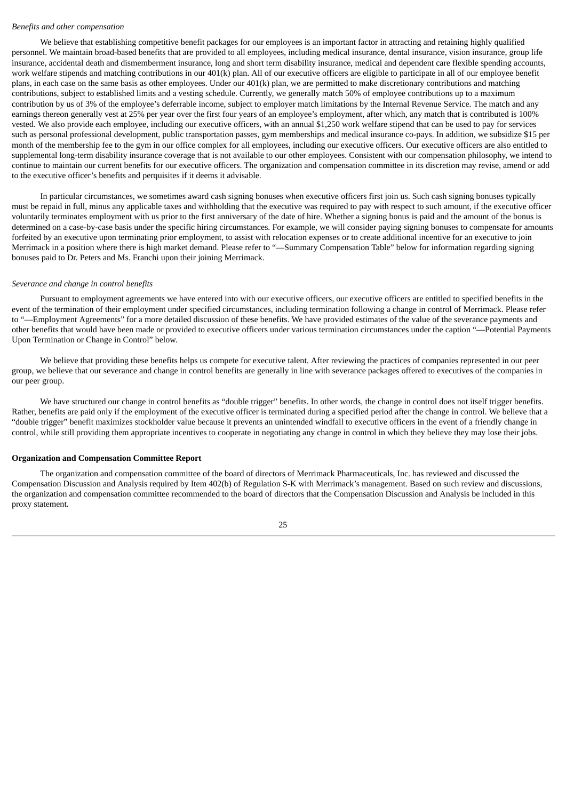# *Benefits and other compensation*

We believe that establishing competitive benefit packages for our employees is an important factor in attracting and retaining highly qualified personnel. We maintain broad-based benefits that are provided to all employees, including medical insurance, dental insurance, vision insurance, group life insurance, accidental death and dismemberment insurance, long and short term disability insurance, medical and dependent care flexible spending accounts, work welfare stipends and matching contributions in our 401(k) plan. All of our executive officers are eligible to participate in all of our employee benefit plans, in each case on the same basis as other employees. Under our 401(k) plan, we are permitted to make discretionary contributions and matching contributions, subject to established limits and a vesting schedule. Currently, we generally match 50% of employee contributions up to a maximum contribution by us of 3% of the employee's deferrable income, subject to employer match limitations by the Internal Revenue Service. The match and any earnings thereon generally vest at 25% per year over the first four years of an employee's employment, after which, any match that is contributed is 100% vested. We also provide each employee, including our executive officers, with an annual \$1,250 work welfare stipend that can be used to pay for services such as personal professional development, public transportation passes, gym memberships and medical insurance co-pays. In addition, we subsidize \$15 per month of the membership fee to the gym in our office complex for all employees, including our executive officers. Our executive officers are also entitled to supplemental long-term disability insurance coverage that is not available to our other employees. Consistent with our compensation philosophy, we intend to continue to maintain our current benefits for our executive officers. The organization and compensation committee in its discretion may revise, amend or add to the executive officer's benefits and perquisites if it deems it advisable.

In particular circumstances, we sometimes award cash signing bonuses when executive officers first join us. Such cash signing bonuses typically must be repaid in full, minus any applicable taxes and withholding that the executive was required to pay with respect to such amount, if the executive officer voluntarily terminates employment with us prior to the first anniversary of the date of hire. Whether a signing bonus is paid and the amount of the bonus is determined on a case-by-case basis under the specific hiring circumstances. For example, we will consider paying signing bonuses to compensate for amounts forfeited by an executive upon terminating prior employment, to assist with relocation expenses or to create additional incentive for an executive to join Merrimack in a position where there is high market demand. Please refer to "—Summary Compensation Table" below for information regarding signing bonuses paid to Dr. Peters and Ms. Franchi upon their joining Merrimack.

#### *Severance and change in control benefits*

Pursuant to employment agreements we have entered into with our executive officers, our executive officers are entitled to specified benefits in the event of the termination of their employment under specified circumstances, including termination following a change in control of Merrimack. Please refer to "—Employment Agreements" for a more detailed discussion of these benefits. We have provided estimates of the value of the severance payments and other benefits that would have been made or provided to executive officers under various termination circumstances under the caption "—Potential Payments Upon Termination or Change in Control" below.

We believe that providing these benefits helps us compete for executive talent. After reviewing the practices of companies represented in our peer group, we believe that our severance and change in control benefits are generally in line with severance packages offered to executives of the companies in our peer group.

We have structured our change in control benefits as "double trigger" benefits. In other words, the change in control does not itself trigger benefits. Rather, benefits are paid only if the employment of the executive officer is terminated during a specified period after the change in control. We believe that a "double trigger" benefit maximizes stockholder value because it prevents an unintended windfall to executive officers in the event of a friendly change in control, while still providing them appropriate incentives to cooperate in negotiating any change in control in which they believe they may lose their jobs.

#### <span id="page-28-0"></span>**Organization and Compensation Committee Report**

The organization and compensation committee of the board of directors of Merrimack Pharmaceuticals, Inc. has reviewed and discussed the Compensation Discussion and Analysis required by Item 402(b) of Regulation S-K with Merrimack's management. Based on such review and discussions, the organization and compensation committee recommended to the board of directors that the Compensation Discussion and Analysis be included in this proxy statement.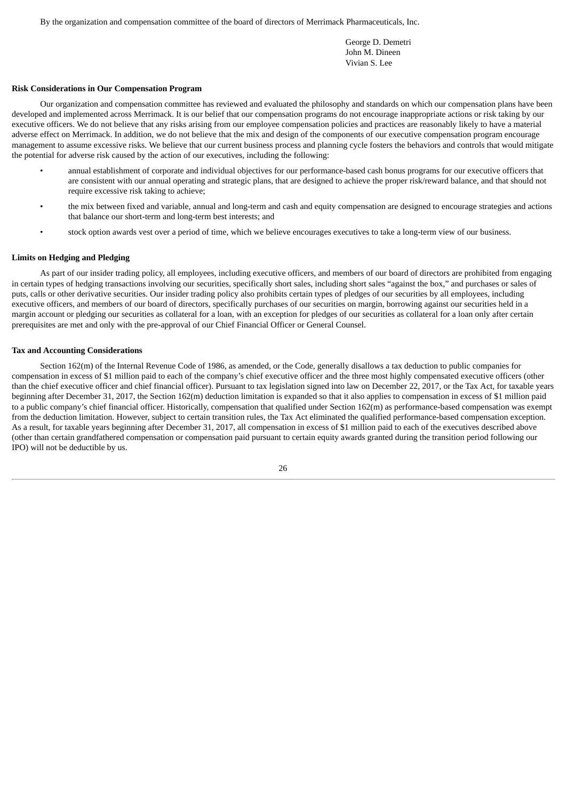By the organization and compensation committee of the board of directors of Merrimack Pharmaceuticals, Inc.

George D. Demetri John M. Dineen Vivian S. Lee

### <span id="page-29-0"></span>**Risk Considerations in Our Compensation Program**

Our organization and compensation committee has reviewed and evaluated the philosophy and standards on which our compensation plans have been developed and implemented across Merrimack. It is our belief that our compensation programs do not encourage inappropriate actions or risk taking by our executive officers. We do not believe that any risks arising from our employee compensation policies and practices are reasonably likely to have a material adverse effect on Merrimack. In addition, we do not believe that the mix and design of the components of our executive compensation program encourage management to assume excessive risks. We believe that our current business process and planning cycle fosters the behaviors and controls that would mitigate the potential for adverse risk caused by the action of our executives, including the following:

- annual establishment of corporate and individual objectives for our performance-based cash bonus programs for our executive officers that are consistent with our annual operating and strategic plans, that are designed to achieve the proper risk/reward balance, and that should not require excessive risk taking to achieve;
- the mix between fixed and variable, annual and long-term and cash and equity compensation are designed to encourage strategies and actions that balance our short-term and long-term best interests; and
- stock option awards vest over a period of time, which we believe encourages executives to take a long-term view of our business.

### <span id="page-29-1"></span>**Limits on Hedging and Pledging**

As part of our insider trading policy, all employees, including executive officers, and members of our board of directors are prohibited from engaging in certain types of hedging transactions involving our securities, specifically short sales, including short sales "against the box," and purchases or sales of puts, calls or other derivative securities. Our insider trading policy also prohibits certain types of pledges of our securities by all employees, including executive officers, and members of our board of directors, specifically purchases of our securities on margin, borrowing against our securities held in a margin account or pledging our securities as collateral for a loan, with an exception for pledges of our securities as collateral for a loan only after certain prerequisites are met and only with the pre-approval of our Chief Financial Officer or General Counsel.

# <span id="page-29-2"></span>**Tax and Accounting Considerations**

Section 162(m) of the Internal Revenue Code of 1986, as amended, or the Code, generally disallows a tax deduction to public companies for compensation in excess of \$1 million paid to each of the company's chief executive officer and the three most highly compensated executive officers (other than the chief executive officer and chief financial officer). Pursuant to tax legislation signed into law on December 22, 2017, or the Tax Act, for taxable years beginning after December 31, 2017, the Section 162(m) deduction limitation is expanded so that it also applies to compensation in excess of \$1 million paid to a public company's chief financial officer. Historically, compensation that qualified under Section 162(m) as performance-based compensation was exempt from the deduction limitation. However, subject to certain transition rules, the Tax Act eliminated the qualified performance-based compensation exception. As a result, for taxable years beginning after December 31, 2017, all compensation in excess of \$1 million paid to each of the executives described above (other than certain grandfathered compensation or compensation paid pursuant to certain equity awards granted during the transition period following our IPO) will not be deductible by us.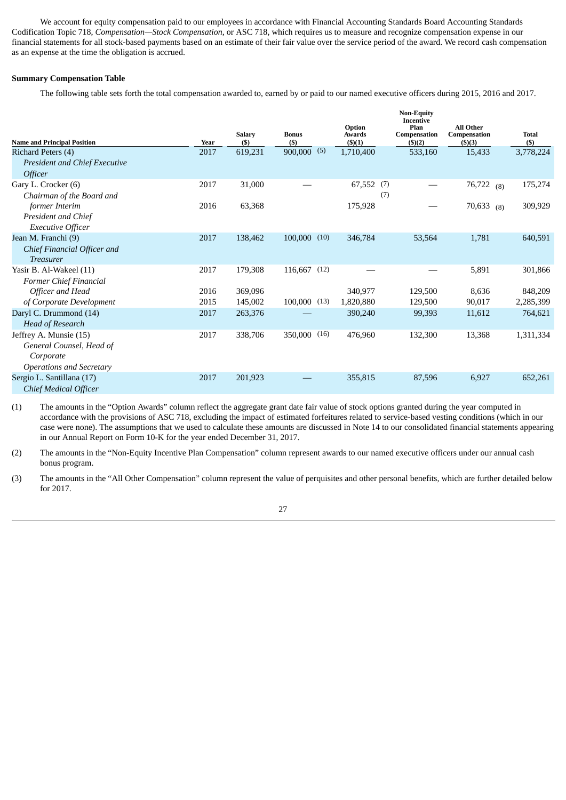We account for equity compensation paid to our employees in accordance with Financial Accounting Standards Board Accounting Standards Codification Topic 718, *Compensation—Stock Compensation*, or ASC 718, which requires us to measure and recognize compensation expense in our financial statements for all stock-based payments based on an estimate of their fair value over the service period of the award. We record cash compensation as an expense at the time the obligation is accrued.

# <span id="page-30-0"></span>**Summary Compensation Table**

The following table sets forth the total compensation awarded to, earned by or paid to our named executive officers during 2015, 2016 and 2017.

| <b>Name and Principal Position</b>                                                                 | Year | <b>Salary</b><br>(S) | <b>Bonus</b><br>(S) | Option<br><b>Awards</b><br>$($ \$ $)(1)$ | <b>Non-Equity</b><br><b>Incentive</b><br>Plan<br>Compensation<br>$($ \$) $(2)$ | <b>All Other</b><br>Compensation<br>$($ \$ $)(3)$ | <b>Total</b><br>(S) |
|----------------------------------------------------------------------------------------------------|------|----------------------|---------------------|------------------------------------------|--------------------------------------------------------------------------------|---------------------------------------------------|---------------------|
| <b>Richard Peters (4)</b><br><b>President and Chief Executive</b><br>Officer                       | 2017 | 619,231              | (5)<br>900,000      | 1,710,400                                | 533,160                                                                        | 15,433                                            | 3,778,224           |
| Gary L. Crocker (6)<br>Chairman of the Board and                                                   | 2017 | 31,000               |                     | 67,552                                   | (7)<br>(7)                                                                     | 76,722                                            | 175,274<br>(8)      |
| former Interim<br><b>President and Chief</b><br><b>Executive Officer</b>                           | 2016 | 63,368               |                     | 175,928                                  |                                                                                | 70,633                                            | 309,929<br>(8)      |
| Jean M. Franchi (9)<br>Chief Financial Officer and<br><b>Treasurer</b>                             | 2017 | 138,462              | 100,000<br>(10)     | 346,784                                  | 53,564                                                                         | 1,781                                             | 640,591             |
| Yasir B. Al-Wakeel (11)<br>Former Chief Financial                                                  | 2017 | 179,308              | 116,667 (12)        |                                          |                                                                                | 5,891                                             | 301,866             |
| Officer and Head                                                                                   | 2016 | 369,096              |                     | 340,977                                  | 129,500                                                                        | 8,636                                             | 848,209             |
| of Corporate Development                                                                           | 2015 | 145,002              | 100,000<br>(13)     | 1,820,880                                | 129,500                                                                        | 90,017                                            | 2,285,399           |
| Daryl C. Drummond (14)<br>Head of Research                                                         | 2017 | 263,376              |                     | 390,240                                  | 99,393                                                                         | 11,612                                            | 764,621             |
| Jeffrey A. Munsie (15)<br>General Counsel, Head of<br>Corporate<br><b>Operations and Secretary</b> | 2017 | 338,706              | 350,000<br>(16)     | 476,960                                  | 132,300                                                                        | 13,368                                            | 1,311,334           |
| Sergio L. Santillana (17)<br><b>Chief Medical Officer</b>                                          | 2017 | 201,923              |                     | 355,815                                  | 87,596                                                                         | 6,927                                             | 652,261             |

(1) The amounts in the "Option Awards" column reflect the aggregate grant date fair value of stock options granted during the year computed in accordance with the provisions of ASC 718, excluding the impact of estimated forfeitures related to service-based vesting conditions (which in our case were none). The assumptions that we used to calculate these amounts are discussed in Note 14 to our consolidated financial statements appearing in our Annual Report on Form 10-K for the year ended December 31, 2017.

(2) The amounts in the "Non-Equity Incentive Plan Compensation" column represent awards to our named executive officers under our annual cash bonus program.

(3) The amounts in the "All Other Compensation" column represent the value of perquisites and other personal benefits, which are further detailed below for 2017.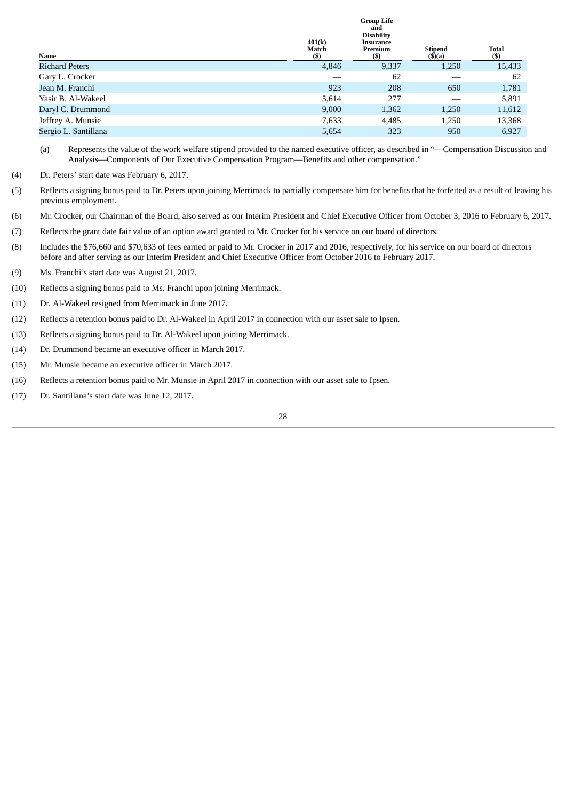| Name                  | 401(k)<br>Match<br>(S) | and<br><b>Disability</b><br>Insurance<br>Premium<br>(S) | <b>Stipend</b><br>$($ \$ $)(a)$ | <b>Total</b><br>$($ \$ |
|-----------------------|------------------------|---------------------------------------------------------|---------------------------------|------------------------|
| <b>Richard Peters</b> | 4,846                  | 9,337                                                   | 1,250                           | 15,433                 |
| Gary L. Crocker       |                        | 62                                                      |                                 | 62                     |
| Jean M. Franchi       | 923                    | 208                                                     | 650                             | 1,781                  |
| Yasir B. Al-Wakeel    | 5,614                  | 277                                                     |                                 | 5,891                  |
| Daryl C. Drummond     | 9,000                  | 1,362                                                   | 1,250                           | 11,612                 |
| Jeffrey A. Munsie     | 7,633                  | 4,485                                                   | 1,250                           | 13,368                 |
| Sergio L. Santillana  | 5,654                  | 323                                                     | 950                             | 6,927                  |

**Group Life**

(a) Represents the value of the work welfare stipend provided to the named executive officer, as described in "—Compensation Discussion and Analysis—Components of Our Executive Compensation Program—Benefits and other compensation."

- (4) Dr. Peters' start date was February 6, 2017.
- (5) Reflects a signing bonus paid to Dr. Peters upon joining Merrimack to partially compensate him for benefits that he forfeited as a result of leaving his previous employment.
- (6) Mr. Crocker, our Chairman of the Board, also served as our Interim President and Chief Executive Officer from October 3, 2016 to February 6, 2017.
- (7) Reflects the grant date fair value of an option award granted to Mr. Crocker for his service on our board of directors.
- (8) Includes the \$76,660 and \$70,633 of fees earned or paid to Mr. Crocker in 2017 and 2016, respectively, for his service on our board of directors before and after serving as our Interim President and Chief Executive Officer from October 2016 to February 2017.
- (9) Ms. Franchi's start date was August 21, 2017.
- (10) Reflects a signing bonus paid to Ms. Franchi upon joining Merrimack.
- (11) Dr. Al-Wakeel resigned from Merrimack in June 2017.
- (12) Reflects a retention bonus paid to Dr. Al-Wakeel in April 2017 in connection with our asset sale to Ipsen.
- (13) Reflects a signing bonus paid to Dr. Al-Wakeel upon joining Merrimack.
- (14) Dr. Drummond became an executive officer in March 2017.
- (15) Mr. Munsie became an executive officer in March 2017.
- (16) Reflects a retention bonus paid to Mr. Munsie in April 2017 in connection with our asset sale to Ipsen.
- (17) Dr. Santillana's start date was June 12, 2017.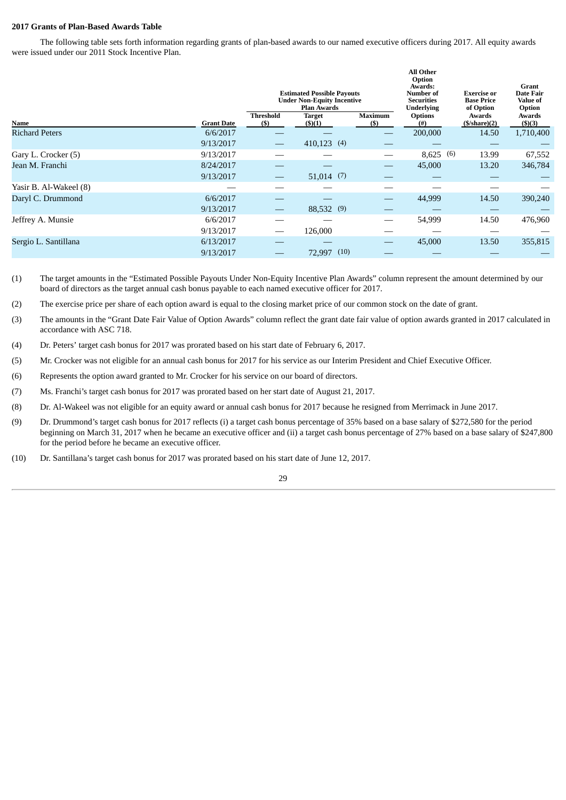# <span id="page-32-0"></span>**2017 Grants of Plan-Based Awards Table**

The following table sets forth information regarding grants of plan-based awards to our named executive officers during 2017. All equity awards were issued under our 2011 Stock Incentive Plan.

| Name                   | <b>Grant Date</b> | <b>Threshold</b><br>(5) | <b>Estimated Possible Payouts</b><br><b>Under Non-Equity Incentive</b><br><b>Plan Awards</b><br><b>Target</b><br>(5)(1) | <b>Maximum</b><br>$($ \$) | <b>All Other</b><br>Option<br>Awards:<br><b>Number of</b><br><b>Securities</b><br>Underlying<br><b>Options</b><br>(#) | <b>Exercise</b> or<br><b>Base Price</b><br>of Option<br>Awards<br>(\$/share)(2) | <b>Grant</b><br>Date Fair<br><b>Value of</b><br>Option<br>Awards<br>$($ \$ $)(3)$ |
|------------------------|-------------------|-------------------------|-------------------------------------------------------------------------------------------------------------------------|---------------------------|-----------------------------------------------------------------------------------------------------------------------|---------------------------------------------------------------------------------|-----------------------------------------------------------------------------------|
| <b>Richard Peters</b>  | 6/6/2017          |                         |                                                                                                                         |                           | 200,000                                                                                                               | 14.50                                                                           | 1,710,400                                                                         |
|                        | 9/13/2017         |                         | $410,123$ (4)                                                                                                           |                           |                                                                                                                       |                                                                                 |                                                                                   |
| Gary L. Crocker (5)    | 9/13/2017         |                         |                                                                                                                         |                           | 8,625(6)                                                                                                              | 13.99                                                                           | 67,552                                                                            |
| Jean M. Franchi        | 8/24/2017         |                         |                                                                                                                         |                           | 45,000                                                                                                                | 13.20                                                                           | 346,784                                                                           |
|                        | 9/13/2017         |                         | $51,014$ (7)                                                                                                            |                           |                                                                                                                       |                                                                                 |                                                                                   |
| Yasir B. Al-Wakeel (8) |                   |                         |                                                                                                                         |                           |                                                                                                                       |                                                                                 |                                                                                   |
| Daryl C. Drummond      | 6/6/2017          |                         |                                                                                                                         |                           | 44,999                                                                                                                | 14.50                                                                           | 390,240                                                                           |
|                        | 9/13/2017         |                         | 88,532 (9)                                                                                                              |                           |                                                                                                                       |                                                                                 |                                                                                   |
| Jeffrey A. Munsie      | 6/6/2017          |                         |                                                                                                                         |                           | 54,999                                                                                                                | 14.50                                                                           | 476,960                                                                           |
|                        | 9/13/2017         |                         | 126,000                                                                                                                 |                           |                                                                                                                       |                                                                                 |                                                                                   |
| Sergio L. Santillana   | 6/13/2017         |                         |                                                                                                                         |                           | 45,000                                                                                                                | 13.50                                                                           | 355,815                                                                           |
|                        | 9/13/2017         |                         | 72,997 (10)                                                                                                             |                           |                                                                                                                       |                                                                                 |                                                                                   |

(1) The target amounts in the "Estimated Possible Payouts Under Non-Equity Incentive Plan Awards" column represent the amount determined by our board of directors as the target annual cash bonus payable to each named executive officer for 2017.

(2) The exercise price per share of each option award is equal to the closing market price of our common stock on the date of grant.

(3) The amounts in the "Grant Date Fair Value of Option Awards" column reflect the grant date fair value of option awards granted in 2017 calculated in accordance with ASC 718.

- (4) Dr. Peters' target cash bonus for 2017 was prorated based on his start date of February 6, 2017.
- (5) Mr. Crocker was not eligible for an annual cash bonus for 2017 for his service as our Interim President and Chief Executive Officer.
- (6) Represents the option award granted to Mr. Crocker for his service on our board of directors.
- (7) Ms. Franchi's target cash bonus for 2017 was prorated based on her start date of August 21, 2017.
- (8) Dr. Al-Wakeel was not eligible for an equity award or annual cash bonus for 2017 because he resigned from Merrimack in June 2017.
- (9) Dr. Drummond's target cash bonus for 2017 reflects (i) a target cash bonus percentage of 35% based on a base salary of \$272,580 for the period beginning on March 31, 2017 when he became an executive officer and (ii) a target cash bonus percentage of 27% based on a base salary of \$247,800 for the period before he became an executive officer.
- (10) Dr. Santillana's target cash bonus for 2017 was prorated based on his start date of June 12, 2017.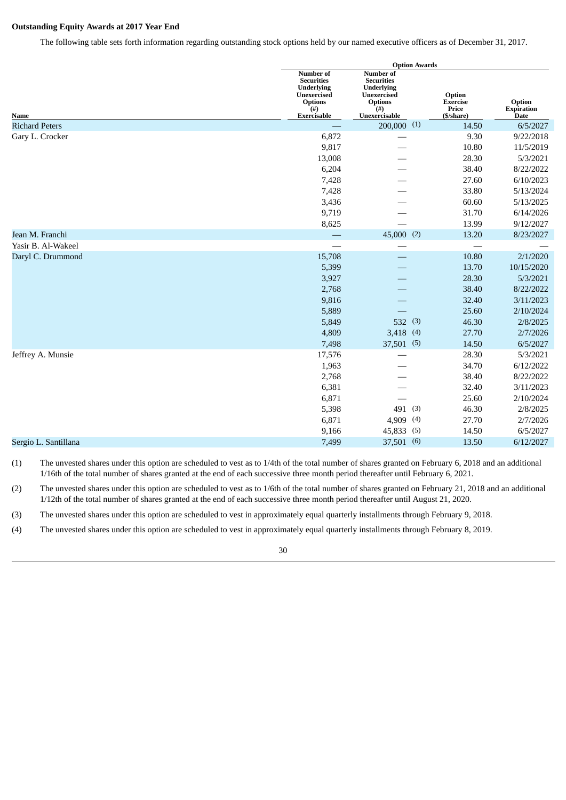# <span id="page-33-0"></span>**Outstanding Equity Awards at 2017 Year End**

The following table sets forth information regarding outstanding stock options held by our named executive officers as of December 31, 2017.

|                       |                                                                                                                     | <b>Option Awards</b>                                                                                               |                                           |                                            |  |  |  |
|-----------------------|---------------------------------------------------------------------------------------------------------------------|--------------------------------------------------------------------------------------------------------------------|-------------------------------------------|--------------------------------------------|--|--|--|
| Name                  | Number of<br><b>Securities</b><br>Underlying<br>Unexercised<br><b>Options</b><br>$\bar{(\#)}$<br><b>Exercisable</b> | Number of<br><b>Securities</b><br><b>Underlying</b><br>Unexercised<br><b>Options</b><br>$\bar{t}$<br>Unexercisable | Option<br>Exercise<br>Price<br>(\$/share) | Option<br><b>Expiration</b><br><b>Date</b> |  |  |  |
| <b>Richard Peters</b> |                                                                                                                     | $200,000$ (1)                                                                                                      | 14.50                                     | 6/5/2027                                   |  |  |  |
| Gary L. Crocker       | 6,872                                                                                                               |                                                                                                                    | 9.30                                      | 9/22/2018                                  |  |  |  |
|                       | 9,817                                                                                                               |                                                                                                                    | 10.80                                     | 11/5/2019                                  |  |  |  |
|                       | 13,008                                                                                                              |                                                                                                                    | 28.30                                     | 5/3/2021                                   |  |  |  |
|                       | 6,204                                                                                                               |                                                                                                                    | 38.40                                     | 8/22/2022                                  |  |  |  |
|                       | 7,428                                                                                                               |                                                                                                                    | 27.60                                     | 6/10/2023                                  |  |  |  |
|                       | 7,428                                                                                                               |                                                                                                                    | 33.80                                     | 5/13/2024                                  |  |  |  |
|                       | 3,436                                                                                                               |                                                                                                                    | 60.60                                     | 5/13/2025                                  |  |  |  |
|                       | 9,719                                                                                                               |                                                                                                                    | 31.70                                     | 6/14/2026                                  |  |  |  |
|                       | 8,625                                                                                                               |                                                                                                                    | 13.99                                     | 9/12/2027                                  |  |  |  |
| Jean M. Franchi       |                                                                                                                     | 45,000 (2)                                                                                                         | 13.20                                     | 8/23/2027                                  |  |  |  |
| Yasir B. Al-Wakeel    |                                                                                                                     |                                                                                                                    | $\overline{\phantom{0}}$                  |                                            |  |  |  |
| Daryl C. Drummond     | 15,708                                                                                                              |                                                                                                                    | 10.80                                     | 2/1/2020                                   |  |  |  |
|                       | 5,399                                                                                                               |                                                                                                                    | 13.70                                     | 10/15/2020                                 |  |  |  |
|                       | 3,927                                                                                                               |                                                                                                                    | 28.30                                     | 5/3/2021                                   |  |  |  |
|                       | 2,768                                                                                                               |                                                                                                                    | 38.40                                     | 8/22/2022                                  |  |  |  |
|                       | 9,816                                                                                                               |                                                                                                                    | 32.40                                     | 3/11/2023                                  |  |  |  |
|                       | 5,889                                                                                                               |                                                                                                                    | 25.60                                     | 2/10/2024                                  |  |  |  |
|                       | 5,849                                                                                                               | 532 (3)                                                                                                            | 46.30                                     | 2/8/2025                                   |  |  |  |
|                       | 4,809                                                                                                               | $3,418$ (4)                                                                                                        | 27.70                                     | 2/7/2026                                   |  |  |  |
|                       | 7,498                                                                                                               | 37,501 (5)                                                                                                         | 14.50                                     | 6/5/2027                                   |  |  |  |
| Jeffrey A. Munsie     | 17,576                                                                                                              |                                                                                                                    | 28.30                                     | 5/3/2021                                   |  |  |  |
|                       | 1,963                                                                                                               |                                                                                                                    | 34.70                                     | 6/12/2022                                  |  |  |  |
|                       | 2,768                                                                                                               |                                                                                                                    | 38.40                                     | 8/22/2022                                  |  |  |  |
|                       | 6,381                                                                                                               |                                                                                                                    | 32.40                                     | 3/11/2023                                  |  |  |  |
|                       | 6,871                                                                                                               |                                                                                                                    | 25.60                                     | 2/10/2024                                  |  |  |  |
|                       | 5,398                                                                                                               | 491 (3)                                                                                                            | 46.30                                     | 2/8/2025                                   |  |  |  |
|                       | 6,871                                                                                                               | 4,909 (4)                                                                                                          | 27.70                                     | 2/7/2026                                   |  |  |  |
|                       | 9,166                                                                                                               | 45,833 (5)                                                                                                         | 14.50                                     | 6/5/2027                                   |  |  |  |
| Sergio L. Santillana  | 7,499                                                                                                               | 37,501 (6)                                                                                                         | 13.50                                     | 6/12/2027                                  |  |  |  |

(1) The unvested shares under this option are scheduled to vest as to 1/4th of the total number of shares granted on February 6, 2018 and an additional 1/16th of the total number of shares granted at the end of each successive three month period thereafter until February 6, 2021.

(2) The unvested shares under this option are scheduled to vest as to 1/6th of the total number of shares granted on February 21, 2018 and an additional 1/12th of the total number of shares granted at the end of each successive three month period thereafter until August 21, 2020.

(3) The unvested shares under this option are scheduled to vest in approximately equal quarterly installments through February 9, 2018.

(4) The unvested shares under this option are scheduled to vest in approximately equal quarterly installments through February 8, 2019.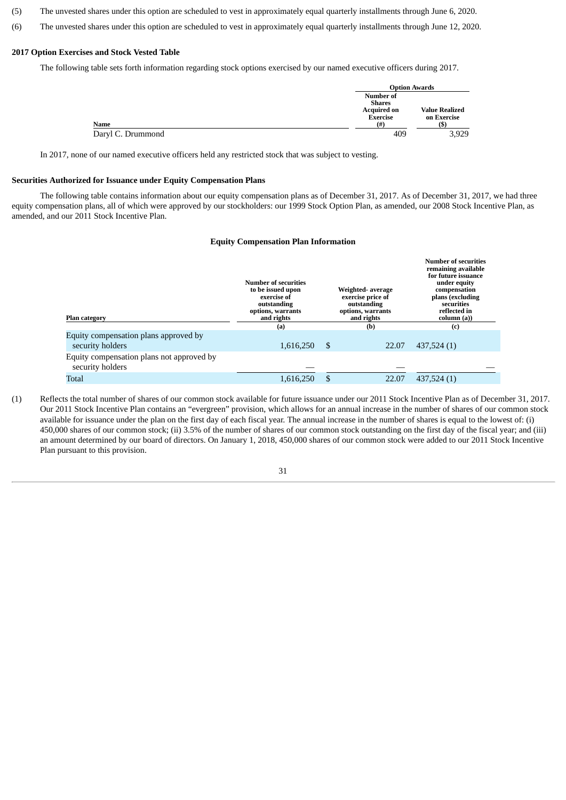- (5) The unvested shares under this option are scheduled to vest in approximately equal quarterly installments through June 6, 2020.
- (6) The unvested shares under this option are scheduled to vest in approximately equal quarterly installments through June 12, 2020.

# <span id="page-34-0"></span>**2017 Option Exercises and Stock Vested Table**

The following table sets forth information regarding stock options exercised by our named executive officers during 2017.

|                   |                                                                            | <b>Option Awards</b>                 |
|-------------------|----------------------------------------------------------------------------|--------------------------------------|
| Name              | Number of<br><b>Shares</b><br><b>Acquired on</b><br><b>Exercise</b><br>(#) | <b>Value Realized</b><br>on Exercise |
| Daryl C. Drummond |                                                                            | 3,929<br>409                         |

In 2017, none of our named executive officers held any restricted stock that was subject to vesting.

# <span id="page-34-1"></span>**Securities Authorized for Issuance under Equity Compensation Plans**

The following table contains information about our equity compensation plans as of December 31, 2017. As of December 31, 2017, we had three equity compensation plans, all of which were approved by our stockholders: our 1999 Stock Option Plan, as amended, our 2008 Stock Incentive Plan, as amended, and our 2011 Stock Incentive Plan.

#### **Equity Compensation Plan Information**

| Plan category                                                 | Number of securities<br>to be issued upon<br>exercise of<br>outstanding<br>options, warrants<br>and rights |   | Weighted- average<br>exercise price of<br>outstanding<br>options, warrants<br>and rights | <b>Number of securities</b><br>remaining available<br>for future issuance<br>under equity<br>compensation<br>plans (excluding<br>securities<br>reflected in<br>column (a)) |  |
|---------------------------------------------------------------|------------------------------------------------------------------------------------------------------------|---|------------------------------------------------------------------------------------------|----------------------------------------------------------------------------------------------------------------------------------------------------------------------------|--|
|                                                               | (a)                                                                                                        |   | (b)                                                                                      | (c)                                                                                                                                                                        |  |
| Equity compensation plans approved by<br>security holders     | 1,616,250                                                                                                  | S | 22.07                                                                                    | 437,524(1)                                                                                                                                                                 |  |
| Equity compensation plans not approved by<br>security holders |                                                                                                            |   |                                                                                          |                                                                                                                                                                            |  |
| Total                                                         | 1,616,250                                                                                                  |   | 22.07                                                                                    | 437,524(1)                                                                                                                                                                 |  |

(1) Reflects the total number of shares of our common stock available for future issuance under our 2011 Stock Incentive Plan as of December 31, 2017. Our 2011 Stock Incentive Plan contains an "evergreen" provision, which allows for an annual increase in the number of shares of our common stock available for issuance under the plan on the first day of each fiscal year. The annual increase in the number of shares is equal to the lowest of: (i) 450,000 shares of our common stock; (ii) 3.5% of the number of shares of our common stock outstanding on the first day of the fiscal year; and (iii) an amount determined by our board of directors. On January 1, 2018, 450,000 shares of our common stock were added to our 2011 Stock Incentive Plan pursuant to this provision.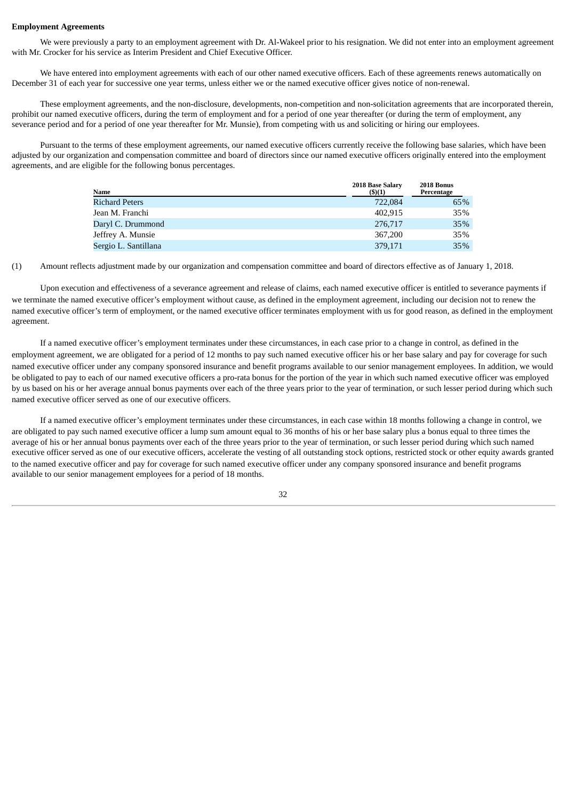### <span id="page-35-0"></span>**Employment Agreements**

We were previously a party to an employment agreement with Dr. Al-Wakeel prior to his resignation. We did not enter into an employment agreement with Mr. Crocker for his service as Interim President and Chief Executive Officer.

We have entered into employment agreements with each of our other named executive officers. Each of these agreements renews automatically on December 31 of each year for successive one year terms, unless either we or the named executive officer gives notice of non-renewal.

These employment agreements, and the non-disclosure, developments, non-competition and non-solicitation agreements that are incorporated therein, prohibit our named executive officers, during the term of employment and for a period of one year thereafter (or during the term of employment, any severance period and for a period of one year thereafter for Mr. Munsie), from competing with us and soliciting or hiring our employees.

Pursuant to the terms of these employment agreements, our named executive officers currently receive the following base salaries, which have been adjusted by our organization and compensation committee and board of directors since our named executive officers originally entered into the employment agreements, and are eligible for the following bonus percentages.

| Name                  | 2018 Base Salary<br>(5)(1) | 2018 Bonus<br>Percentage |
|-----------------------|----------------------------|--------------------------|
| <b>Richard Peters</b> | 722,084                    | 65%                      |
| Jean M. Franchi       | 402.915                    | 35%                      |
| Daryl C. Drummond     | 276,717                    | 35%                      |
| Jeffrey A. Munsie     | 367,200                    | 35%                      |
| Sergio L. Santillana  | 379,171                    | 35%                      |

(1) Amount reflects adjustment made by our organization and compensation committee and board of directors effective as of January 1, 2018.

Upon execution and effectiveness of a severance agreement and release of claims, each named executive officer is entitled to severance payments if we terminate the named executive officer's employment without cause, as defined in the employment agreement, including our decision not to renew the named executive officer's term of employment, or the named executive officer terminates employment with us for good reason, as defined in the employment agreement.

If a named executive officer's employment terminates under these circumstances, in each case prior to a change in control, as defined in the employment agreement, we are obligated for a period of 12 months to pay such named executive officer his or her base salary and pay for coverage for such named executive officer under any company sponsored insurance and benefit programs available to our senior management employees. In addition, we would be obligated to pay to each of our named executive officers a pro-rata bonus for the portion of the year in which such named executive officer was employed by us based on his or her average annual bonus payments over each of the three years prior to the year of termination, or such lesser period during which such named executive officer served as one of our executive officers.

If a named executive officer's employment terminates under these circumstances, in each case within 18 months following a change in control, we are obligated to pay such named executive officer a lump sum amount equal to 36 months of his or her base salary plus a bonus equal to three times the average of his or her annual bonus payments over each of the three years prior to the year of termination, or such lesser period during which such named executive officer served as one of our executive officers, accelerate the vesting of all outstanding stock options, restricted stock or other equity awards granted to the named executive officer and pay for coverage for such named executive officer under any company sponsored insurance and benefit programs available to our senior management employees for a period of 18 months.

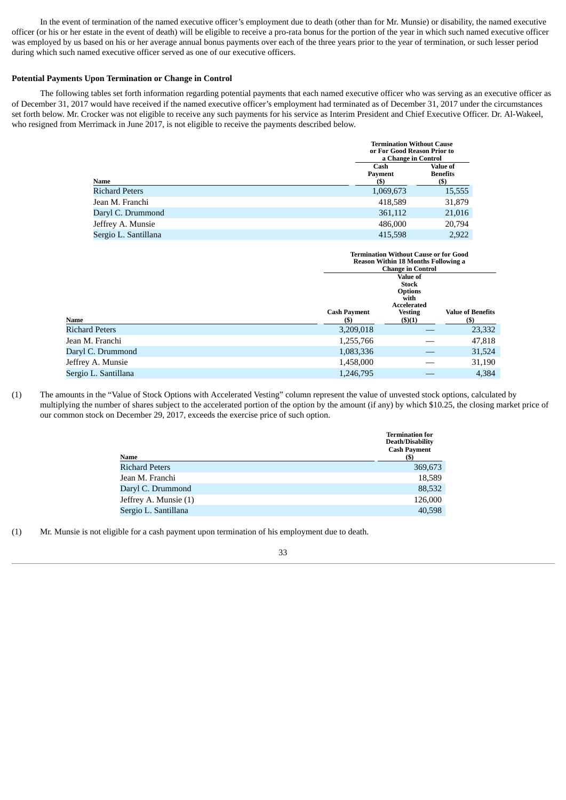In the event of termination of the named executive officer's employment due to death (other than for Mr. Munsie) or disability, the named executive officer (or his or her estate in the event of death) will be eligible to receive a pro-rata bonus for the portion of the year in which such named executive officer was employed by us based on his or her average annual bonus payments over each of the three years prior to the year of termination, or such lesser period during which such named executive officer served as one of our executive officers.

# <span id="page-36-0"></span>**Potential Payments Upon Termination or Change in Control**

The following tables set forth information regarding potential payments that each named executive officer who was serving as an executive officer as of December 31, 2017 would have received if the named executive officer's employment had terminated as of December 31, 2017 under the circumstances set forth below. Mr. Crocker was not eligible to receive any such payments for his service as Interim President and Chief Executive Officer. Dr. Al-Wakeel, who resigned from Merrimack in June 2017, is not eligible to receive the payments described below.

| Name<br><b>Richard Peters</b><br>Jean M. Franchi<br>Daryl C. Drummond |                        | <b>Termination Without Cause</b><br>or For Good Reason Prior to<br>a Change in Control |  |  |  |  |
|-----------------------------------------------------------------------|------------------------|----------------------------------------------------------------------------------------|--|--|--|--|
|                                                                       | Cash<br>Payment<br>(S) | Value of<br><b>Benefits</b><br>(\$)                                                    |  |  |  |  |
|                                                                       | 1,069,673              | 15,555                                                                                 |  |  |  |  |
|                                                                       | 418,589                | 31,879                                                                                 |  |  |  |  |
|                                                                       | 361,112                | 21,016                                                                                 |  |  |  |  |
| Jeffrey A. Munsie                                                     | 486,000                | 20,794                                                                                 |  |  |  |  |
| Sergio L. Santillana                                                  | 415,598                | 2.922                                                                                  |  |  |  |  |

|                       |                     | <b>Termination Without Cause or for Good</b><br><b>Reason Within 18 Months Following a</b><br><b>Change in Control</b> |                          |
|-----------------------|---------------------|------------------------------------------------------------------------------------------------------------------------|--------------------------|
|                       | <b>Cash Payment</b> | <b>Value of</b><br>Stock<br><b>Options</b><br>with<br><b>Accelerated</b><br><b>Vesting</b>                             | <b>Value of Benefits</b> |
| Name                  | (S)                 | $($ \$ $)(1)$                                                                                                          | (S)                      |
| <b>Richard Peters</b> | 3,209,018           |                                                                                                                        | 23,332                   |
| Jean M. Franchi       | 1,255,766           |                                                                                                                        | 47,818                   |
| Daryl C. Drummond     | 1,083,336           |                                                                                                                        | 31,524                   |
| Jeffrey A. Munsie     | 1,458,000           |                                                                                                                        | 31,190                   |
| Sergio L. Santillana  | 1.246.795           |                                                                                                                        | 4,384                    |

(1) The amounts in the "Value of Stock Options with Accelerated Vesting" column represent the value of unvested stock options, calculated by multiplying the number of shares subject to the accelerated portion of the option by the amount (if any) by which \$10.25, the closing market price of our common stock on December 29, 2017, exceeds the exercise price of such option.

| Name                  | <b>Termination for</b><br>Death/Disability<br><b>Cash Payment</b> |
|-----------------------|-------------------------------------------------------------------|
| <b>Richard Peters</b> | 369,673                                                           |
| Jean M. Franchi       | 18,589                                                            |
| Daryl C. Drummond     | 88,532                                                            |
| Jeffrey A. Munsie (1) | 126,000                                                           |
| Sergio L. Santillana  | 40.598                                                            |

(1) Mr. Munsie is not eligible for a cash payment upon termination of his employment due to death.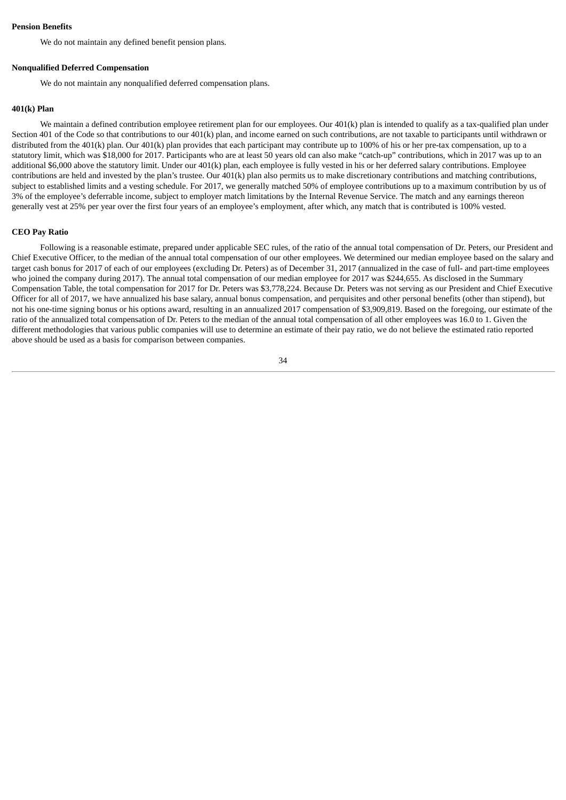# <span id="page-37-0"></span>**Pension Benefits**

We do not maintain any defined benefit pension plans.

## <span id="page-37-1"></span>**Nonqualified Deferred Compensation**

We do not maintain any nonqualified deferred compensation plans.

### <span id="page-37-2"></span>**401(k) Plan**

We maintain a defined contribution employee retirement plan for our employees. Our 401(k) plan is intended to qualify as a tax-qualified plan under Section 401 of the Code so that contributions to our 401(k) plan, and income earned on such contributions, are not taxable to participants until withdrawn or distributed from the 401(k) plan. Our 401(k) plan provides that each participant may contribute up to 100% of his or her pre-tax compensation, up to a statutory limit, which was \$18,000 for 2017. Participants who are at least 50 years old can also make "catch-up" contributions, which in 2017 was up to an additional \$6,000 above the statutory limit. Under our 401(k) plan, each employee is fully vested in his or her deferred salary contributions. Employee contributions are held and invested by the plan's trustee. Our 401(k) plan also permits us to make discretionary contributions and matching contributions, subject to established limits and a vesting schedule. For 2017, we generally matched 50% of employee contributions up to a maximum contribution by us of 3% of the employee's deferrable income, subject to employer match limitations by the Internal Revenue Service. The match and any earnings thereon generally vest at 25% per year over the first four years of an employee's employment, after which, any match that is contributed is 100% vested.

# <span id="page-37-3"></span>**CEO Pay Ratio**

Following is a reasonable estimate, prepared under applicable SEC rules, of the ratio of the annual total compensation of Dr. Peters, our President and Chief Executive Officer, to the median of the annual total compensation of our other employees. We determined our median employee based on the salary and target cash bonus for 2017 of each of our employees (excluding Dr. Peters) as of December 31, 2017 (annualized in the case of full- and part-time employees who joined the company during 2017). The annual total compensation of our median employee for 2017 was \$244,655. As disclosed in the Summary Compensation Table, the total compensation for 2017 for Dr. Peters was \$3,778,224. Because Dr. Peters was not serving as our President and Chief Executive Officer for all of 2017, we have annualized his base salary, annual bonus compensation, and perquisites and other personal benefits (other than stipend), but not his one-time signing bonus or his options award, resulting in an annualized 2017 compensation of \$3,909,819. Based on the foregoing, our estimate of the ratio of the annualized total compensation of Dr. Peters to the median of the annual total compensation of all other employees was 16.0 to 1. Given the different methodologies that various public companies will use to determine an estimate of their pay ratio, we do not believe the estimated ratio reported above should be used as a basis for comparison between companies.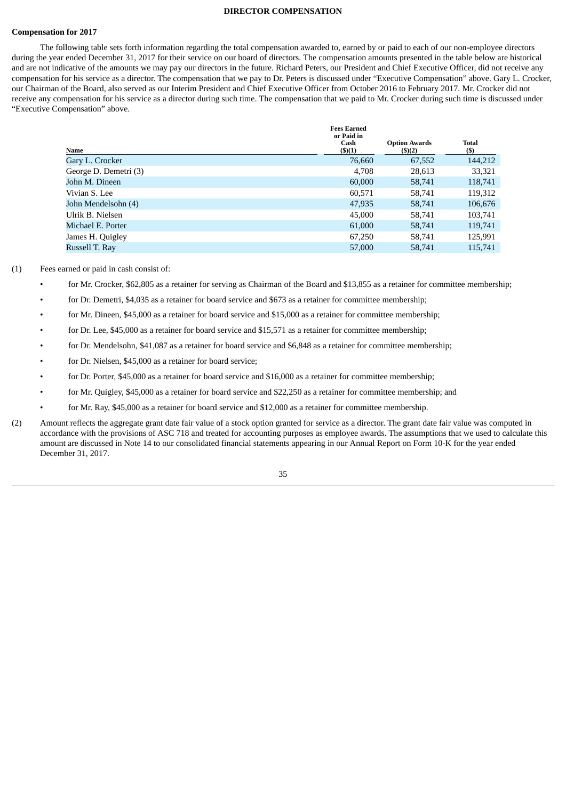# **DIRECTOR COMPENSATION**

# <span id="page-38-1"></span><span id="page-38-0"></span>**Compensation for 2017**

The following table sets forth information regarding the total compensation awarded to, earned by or paid to each of our non-employee directors during the year ended December 31, 2017 for their service on our board of directors. The compensation amounts presented in the table below are historical and are not indicative of the amounts we may pay our directors in the future. Richard Peters, our President and Chief Executive Officer, did not receive any compensation for his service as a director. The compensation that we pay to Dr. Peters is discussed under "Executive Compensation" above. Gary L. Crocker, our Chairman of the Board, also served as our Interim President and Chief Executive Officer from October 2016 to February 2017. Mr. Crocker did not receive any compensation for his service as a director during such time. The compensation that we paid to Mr. Crocker during such time is discussed under "Executive Compensation" above.

| Name<br>Gary L. Crocker<br>George D. Demetri (3)<br>John M. Dineen<br>Vivian S. Lee<br>John Mendelsohn (4)<br>Ulrik B. Nielsen | <b>Fees Earned</b><br>or Paid in<br>Cash<br>(5)(1) | <b>Option Awards</b><br>(5)(2) | <b>Total</b><br>$($)$ |  |
|--------------------------------------------------------------------------------------------------------------------------------|----------------------------------------------------|--------------------------------|-----------------------|--|
|                                                                                                                                | 76,660                                             | 67,552                         | 144,212               |  |
|                                                                                                                                | 4,708                                              | 28,613                         | 33,321                |  |
|                                                                                                                                | 60,000                                             | 58,741                         | 118,741               |  |
|                                                                                                                                | 60,571                                             | 58,741                         | 119,312               |  |
|                                                                                                                                | 47,935                                             | 58,741                         | 106,676               |  |
|                                                                                                                                | 45,000                                             | 58,741                         | 103,741               |  |
| Michael E. Porter                                                                                                              | 61,000                                             | 58,741                         | 119,741               |  |
| James H. Quigley                                                                                                               | 67.250                                             | 58,741                         | 125,991               |  |
| Russell T. Ray                                                                                                                 | 57,000                                             | 58,741                         | 115,741               |  |

#### (1) Fees earned or paid in cash consist of:

- for Mr. Crocker, \$62,805 as a retainer for serving as Chairman of the Board and \$13,855 as a retainer for committee membership;
- for Dr. Demetri, \$4,035 as a retainer for board service and \$673 as a retainer for committee membership;
- for Mr. Dineen, \$45,000 as a retainer for board service and \$15,000 as a retainer for committee membership;
- for Dr. Lee, \$45,000 as a retainer for board service and \$15,571 as a retainer for committee membership;
- for Dr. Mendelsohn, \$41,087 as a retainer for board service and \$6,848 as a retainer for committee membership;
- for Dr. Nielsen, \$45,000 as a retainer for board service;
- for Dr. Porter, \$45,000 as a retainer for board service and \$16,000 as a retainer for committee membership;
- for Mr. Quigley, \$45,000 as a retainer for board service and \$22,250 as a retainer for committee membership; and
- for Mr. Ray, \$45,000 as a retainer for board service and \$12,000 as a retainer for committee membership.
- (2) Amount reflects the aggregate grant date fair value of a stock option granted for service as a director. The grant date fair value was computed in accordance with the provisions of ASC 718 and treated for accounting purposes as employee awards. The assumptions that we used to calculate this amount are discussed in Note 14 to our consolidated financial statements appearing in our Annual Report on Form 10-K for the year ended December 31, 2017.

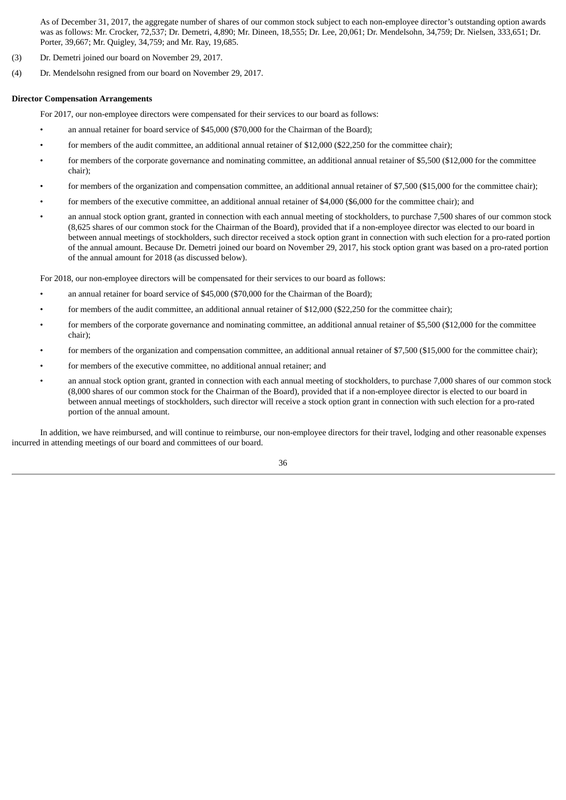As of December 31, 2017, the aggregate number of shares of our common stock subject to each non-employee director's outstanding option awards was as follows: Mr. Crocker, 72,537; Dr. Demetri, 4,890; Mr. Dineen, 18,555; Dr. Lee, 20,061; Dr. Mendelsohn, 34,759; Dr. Nielsen, 333,651; Dr. Porter, 39,667; Mr. Quigley, 34,759; and Mr. Ray, 19,685.

- (3) Dr. Demetri joined our board on November 29, 2017.
- (4) Dr. Mendelsohn resigned from our board on November 29, 2017.

# <span id="page-39-0"></span>**Director Compensation Arrangements**

For 2017, our non-employee directors were compensated for their services to our board as follows:

- an annual retainer for board service of \$45,000 (\$70,000 for the Chairman of the Board);
- for members of the audit committee, an additional annual retainer of \$12,000 (\$22,250 for the committee chair);
- for members of the corporate governance and nominating committee, an additional annual retainer of \$5,500 (\$12,000 for the committee chair);
- for members of the organization and compensation committee, an additional annual retainer of \$7,500 (\$15,000 for the committee chair);
- for members of the executive committee, an additional annual retainer of \$4,000 (\$6,000 for the committee chair); and
- an annual stock option grant, granted in connection with each annual meeting of stockholders, to purchase 7,500 shares of our common stock (8,625 shares of our common stock for the Chairman of the Board), provided that if a non-employee director was elected to our board in between annual meetings of stockholders, such director received a stock option grant in connection with such election for a pro-rated portion of the annual amount. Because Dr. Demetri joined our board on November 29, 2017, his stock option grant was based on a pro-rated portion of the annual amount for 2018 (as discussed below).

For 2018, our non-employee directors will be compensated for their services to our board as follows:

- an annual retainer for board service of \$45,000 (\$70,000 for the Chairman of the Board);
- for members of the audit committee, an additional annual retainer of \$12,000 (\$22,250 for the committee chair);
- for members of the corporate governance and nominating committee, an additional annual retainer of \$5,500 (\$12,000 for the committee chair);
- for members of the organization and compensation committee, an additional annual retainer of \$7,500 (\$15,000 for the committee chair);
- for members of the executive committee, no additional annual retainer; and
- an annual stock option grant, granted in connection with each annual meeting of stockholders, to purchase 7,000 shares of our common stock (8,000 shares of our common stock for the Chairman of the Board), provided that if a non-employee director is elected to our board in between annual meetings of stockholders, such director will receive a stock option grant in connection with such election for a pro-rated portion of the annual amount.

In addition, we have reimbursed, and will continue to reimburse, our non-employee directors for their travel, lodging and other reasonable expenses incurred in attending meetings of our board and committees of our board.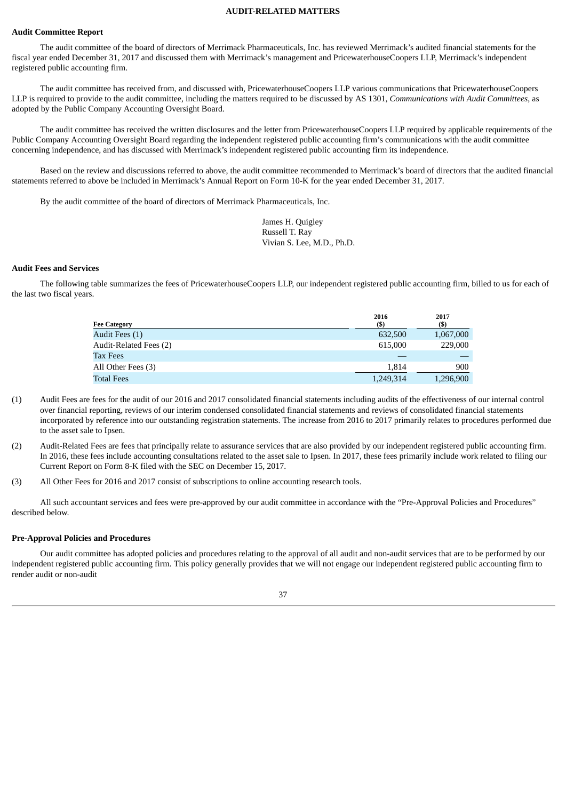### **AUDIT-RELATED MATTERS**

# <span id="page-40-1"></span><span id="page-40-0"></span>**Audit Committee Report**

The audit committee of the board of directors of Merrimack Pharmaceuticals, Inc. has reviewed Merrimack's audited financial statements for the fiscal year ended December 31, 2017 and discussed them with Merrimack's management and PricewaterhouseCoopers LLP, Merrimack's independent registered public accounting firm.

The audit committee has received from, and discussed with, PricewaterhouseCoopers LLP various communications that PricewaterhouseCoopers LLP is required to provide to the audit committee, including the matters required to be discussed by AS 1301, *Communications with Audit Committees*, as adopted by the Public Company Accounting Oversight Board.

The audit committee has received the written disclosures and the letter from PricewaterhouseCoopers LLP required by applicable requirements of the Public Company Accounting Oversight Board regarding the independent registered public accounting firm's communications with the audit committee concerning independence, and has discussed with Merrimack's independent registered public accounting firm its independence.

Based on the review and discussions referred to above, the audit committee recommended to Merrimack's board of directors that the audited financial statements referred to above be included in Merrimack's Annual Report on Form 10-K for the year ended December 31, 2017.

By the audit committee of the board of directors of Merrimack Pharmaceuticals, Inc.

James H. Quigley Russell T. Ray Vivian S. Lee, M.D., Ph.D.

# <span id="page-40-2"></span>**Audit Fees and Services**

The following table summarizes the fees of PricewaterhouseCoopers LLP, our independent registered public accounting firm, billed to us for each of the last two fiscal years.

| 2016      | 2017      |
|-----------|-----------|
| (\$)      | (S)       |
| 632,500   | 1,067,000 |
| 615,000   | 229,000   |
|           |           |
| 1.814     | 900       |
| 1,249,314 | 1,296,900 |
|           |           |

- (1) Audit Fees are fees for the audit of our 2016 and 2017 consolidated financial statements including audits of the effectiveness of our internal control over financial reporting, reviews of our interim condensed consolidated financial statements and reviews of consolidated financial statements incorporated by reference into our outstanding registration statements. The increase from 2016 to 2017 primarily relates to procedures performed due to the asset sale to Ipsen.
- (2) Audit-Related Fees are fees that principally relate to assurance services that are also provided by our independent registered public accounting firm. In 2016, these fees include accounting consultations related to the asset sale to Ipsen. In 2017, these fees primarily include work related to filing our Current Report on Form 8-K filed with the SEC on December 15, 2017.
- (3) All Other Fees for 2016 and 2017 consist of subscriptions to online accounting research tools.

All such accountant services and fees were pre-approved by our audit committee in accordance with the "Pre-Approval Policies and Procedures" described below.

# <span id="page-40-3"></span>**Pre-Approval Policies and Procedures**

Our audit committee has adopted policies and procedures relating to the approval of all audit and non-audit services that are to be performed by our independent registered public accounting firm. This policy generally provides that we will not engage our independent registered public accounting firm to render audit or non-audit

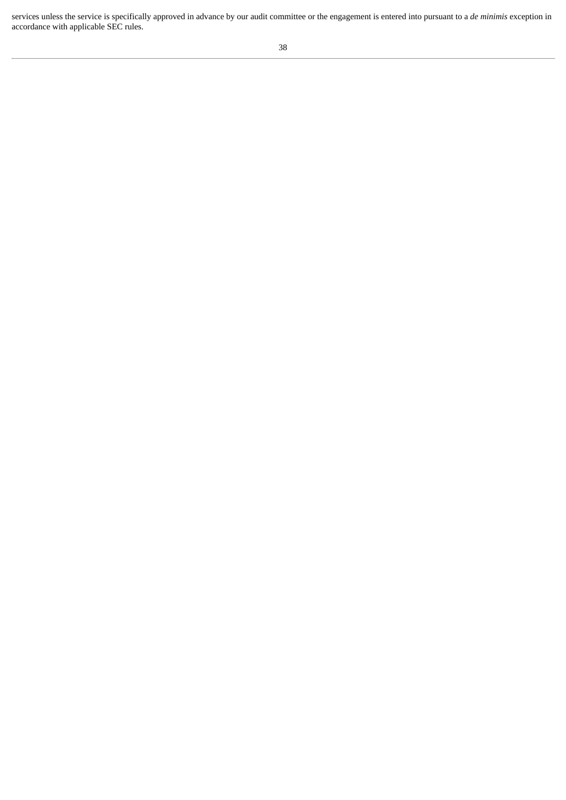services unless the service is specifically approved in advance by our audit committee or the engagement is entered into pursuant to a *de minimis* exception in accordance with applicable SEC rules.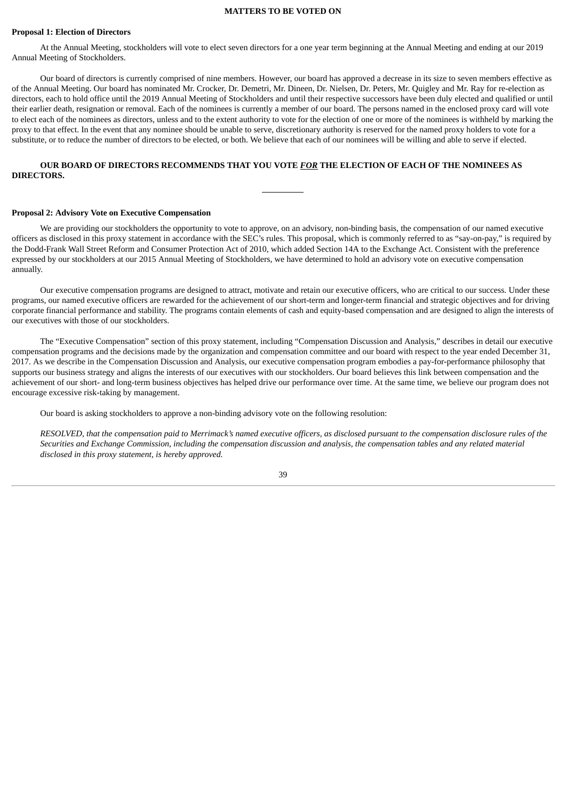#### **MATTERS TO BE VOTED ON**

#### <span id="page-42-1"></span><span id="page-42-0"></span>**Proposal 1: Election of Directors**

At the Annual Meeting, stockholders will vote to elect seven directors for a one year term beginning at the Annual Meeting and ending at our 2019 Annual Meeting of Stockholders.

Our board of directors is currently comprised of nine members. However, our board has approved a decrease in its size to seven members effective as of the Annual Meeting. Our board has nominated Mr. Crocker, Dr. Demetri, Mr. Dineen, Dr. Nielsen, Dr. Peters, Mr. Quigley and Mr. Ray for re-election as directors, each to hold office until the 2019 Annual Meeting of Stockholders and until their respective successors have been duly elected and qualified or until their earlier death, resignation or removal. Each of the nominees is currently a member of our board. The persons named in the enclosed proxy card will vote to elect each of the nominees as directors, unless and to the extent authority to vote for the election of one or more of the nominees is withheld by marking the proxy to that effect. In the event that any nominee should be unable to serve, discretionary authority is reserved for the named proxy holders to vote for a substitute, or to reduce the number of directors to be elected, or both. We believe that each of our nominees will be willing and able to serve if elected.

# **OUR BOARD OF DIRECTORS RECOMMENDS THAT YOU VOTE** *FOR* **THE ELECTION OF EACH OF THE NOMINEES AS DIRECTORS.**

#### <span id="page-42-2"></span>**Proposal 2: Advisory Vote on Executive Compensation**

We are providing our stockholders the opportunity to vote to approve, on an advisory, non-binding basis, the compensation of our named executive officers as disclosed in this proxy statement in accordance with the SEC's rules. This proposal, which is commonly referred to as "say-on-pay," is required by the Dodd-Frank Wall Street Reform and Consumer Protection Act of 2010, which added Section 14A to the Exchange Act. Consistent with the preference expressed by our stockholders at our 2015 Annual Meeting of Stockholders, we have determined to hold an advisory vote on executive compensation annually.

Our executive compensation programs are designed to attract, motivate and retain our executive officers, who are critical to our success. Under these programs, our named executive officers are rewarded for the achievement of our short-term and longer-term financial and strategic objectives and for driving corporate financial performance and stability. The programs contain elements of cash and equity-based compensation and are designed to align the interests of our executives with those of our stockholders.

The "Executive Compensation" section of this proxy statement, including "Compensation Discussion and Analysis," describes in detail our executive compensation programs and the decisions made by the organization and compensation committee and our board with respect to the year ended December 31, 2017. As we describe in the Compensation Discussion and Analysis, our executive compensation program embodies a pay-for-performance philosophy that supports our business strategy and aligns the interests of our executives with our stockholders. Our board believes this link between compensation and the achievement of our short- and long-term business objectives has helped drive our performance over time. At the same time, we believe our program does not encourage excessive risk-taking by management.

Our board is asking stockholders to approve a non-binding advisory vote on the following resolution:

RESOLVED, that the compensation paid to Merrimack's named executive officers, as disclosed pursuant to the compensation disclosure rules of the Securities and Exchange Commission, including the compensation discussion and analysis, the compensation tables and any related material *disclosed in this proxy statement, is hereby approved.*

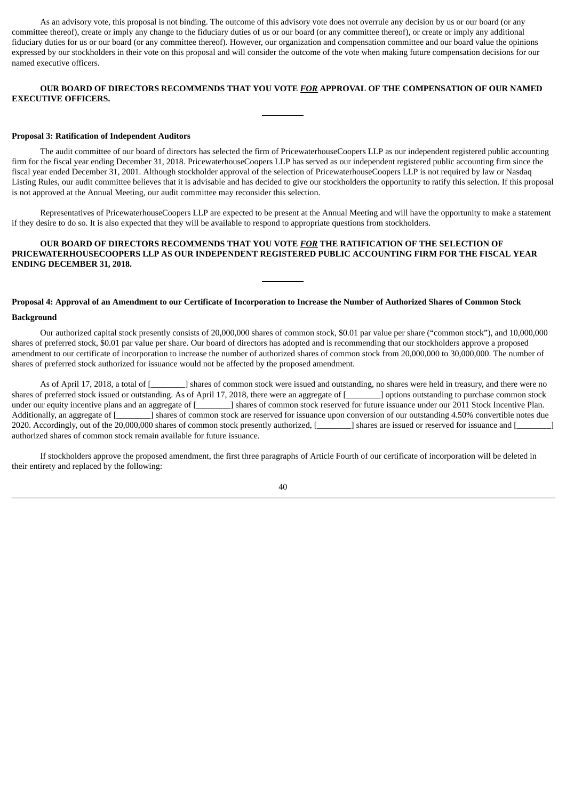As an advisory vote, this proposal is not binding. The outcome of this advisory vote does not overrule any decision by us or our board (or any committee thereof), create or imply any change to the fiduciary duties of us or our board (or any committee thereof), or create or imply any additional fiduciary duties for us or our board (or any committee thereof). However, our organization and compensation committee and our board value the opinions expressed by our stockholders in their vote on this proposal and will consider the outcome of the vote when making future compensation decisions for our named executive officers.

# **OUR BOARD OF DIRECTORS RECOMMENDS THAT YOU VOTE** *FOR* **APPROVAL OF THE COMPENSATION OF OUR NAMED EXECUTIVE OFFICERS.**

#### <span id="page-43-0"></span>**Proposal 3: Ratification of Independent Auditors**

The audit committee of our board of directors has selected the firm of PricewaterhouseCoopers LLP as our independent registered public accounting firm for the fiscal year ending December 31, 2018. PricewaterhouseCoopers LLP has served as our independent registered public accounting firm since the fiscal year ended December 31, 2001. Although stockholder approval of the selection of PricewaterhouseCoopers LLP is not required by law or Nasdaq Listing Rules, our audit committee believes that it is advisable and has decided to give our stockholders the opportunity to ratify this selection. If this proposal is not approved at the Annual Meeting, our audit committee may reconsider this selection.

Representatives of PricewaterhouseCoopers LLP are expected to be present at the Annual Meeting and will have the opportunity to make a statement if they desire to do so. It is also expected that they will be available to respond to appropriate questions from stockholders.

# **OUR BOARD OF DIRECTORS RECOMMENDS THAT YOU VOTE** *FOR* **THE RATIFICATION OF THE SELECTION OF PRICEWATERHOUSECOOPERS LLP AS OUR INDEPENDENT REGISTERED PUBLIC ACCOUNTING FIRM FOR THE FISCAL YEAR ENDING DECEMBER 31, 2018.**

# <span id="page-43-1"></span>Proposal 4: Approval of an Amendment to our Certificate of Incorporation to Increase the Number of Authorized Shares of Common Stock

# **Background**

Our authorized capital stock presently consists of 20,000,000 shares of common stock, \$0.01 par value per share ("common stock"), and 10,000,000 shares of preferred stock, \$0.01 par value per share. Our board of directors has adopted and is recommending that our stockholders approve a proposed amendment to our certificate of incorporation to increase the number of authorized shares of common stock from 20,000,000 to 30,000,000. The number of shares of preferred stock authorized for issuance would not be affected by the proposed amendment.

As of April 17, 2018, a total of [1] shares of common stock were issued and outstanding, no shares were held in treasury, and there were no shares of preferred stock issued or outstanding. As of April 17, 2018, there were an aggregate of [\_\_\_\_\_\_\_] options outstanding to purchase common stock under our equity incentive plans and an aggregate of [\_\_\_\_\_\_\_\_] shares of common stock reserved for future issuance under our 2011 Stock Incentive Plan. Additionally, an aggregate of [\_\_\_\_\_\_\_\_] shares of common stock are reserved for issuance upon conversion of our outstanding 4.50% convertible notes due 2020. Accordingly, out of the 20,000,000 shares of common stock presently authorized, [\_\_\_\_\_\_\_\_] shares are issued or reserved for issuance and [\_\_\_\_\_\_\_\_] authorized shares of common stock remain available for future issuance.

If stockholders approve the proposed amendment, the first three paragraphs of Article Fourth of our certificate of incorporation will be deleted in their entirety and replaced by the following: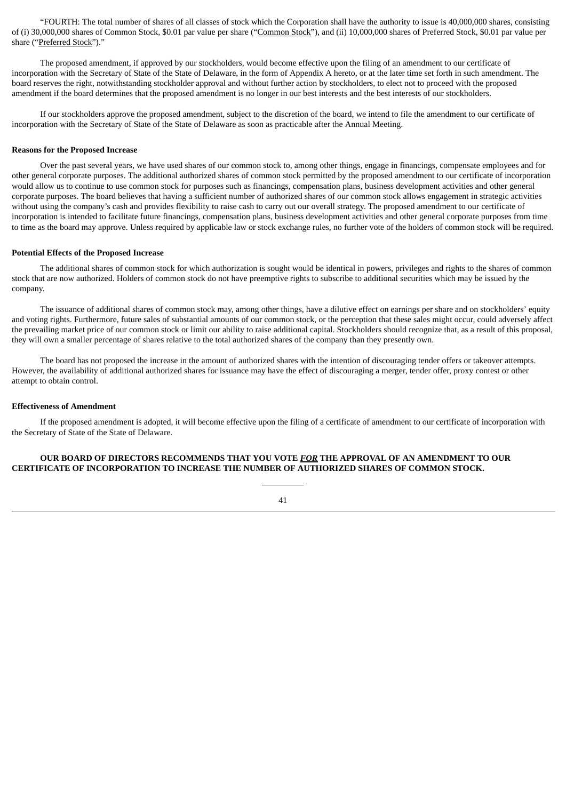"FOURTH: The total number of shares of all classes of stock which the Corporation shall have the authority to issue is 40,000,000 shares, consisting of (i) 30,000,000 shares of Common Stock, \$0.01 par value per share ("Common Stock"), and (ii) 10,000,000 shares of Preferred Stock, \$0.01 par value per share ("Preferred Stock")."

The proposed amendment, if approved by our stockholders, would become effective upon the filing of an amendment to our certificate of incorporation with the Secretary of State of the State of Delaware, in the form of Appendix A hereto, or at the later time set forth in such amendment. The board reserves the right, notwithstanding stockholder approval and without further action by stockholders, to elect not to proceed with the proposed amendment if the board determines that the proposed amendment is no longer in our best interests and the best interests of our stockholders.

If our stockholders approve the proposed amendment, subject to the discretion of the board, we intend to file the amendment to our certificate of incorporation with the Secretary of State of the State of Delaware as soon as practicable after the Annual Meeting.

# **Reasons for the Proposed Increase**

Over the past several years, we have used shares of our common stock to, among other things, engage in financings, compensate employees and for other general corporate purposes. The additional authorized shares of common stock permitted by the proposed amendment to our certificate of incorporation would allow us to continue to use common stock for purposes such as financings, compensation plans, business development activities and other general corporate purposes. The board believes that having a sufficient number of authorized shares of our common stock allows engagement in strategic activities without using the company's cash and provides flexibility to raise cash to carry out our overall strategy. The proposed amendment to our certificate of incorporation is intended to facilitate future financings, compensation plans, business development activities and other general corporate purposes from time to time as the board may approve. Unless required by applicable law or stock exchange rules, no further vote of the holders of common stock will be required.

#### **Potential Effects of the Proposed Increase**

The additional shares of common stock for which authorization is sought would be identical in powers, privileges and rights to the shares of common stock that are now authorized. Holders of common stock do not have preemptive rights to subscribe to additional securities which may be issued by the company.

The issuance of additional shares of common stock may, among other things, have a dilutive effect on earnings per share and on stockholders' equity and voting rights. Furthermore, future sales of substantial amounts of our common stock, or the perception that these sales might occur, could adversely affect the prevailing market price of our common stock or limit our ability to raise additional capital. Stockholders should recognize that, as a result of this proposal, they will own a smaller percentage of shares relative to the total authorized shares of the company than they presently own.

The board has not proposed the increase in the amount of authorized shares with the intention of discouraging tender offers or takeover attempts. However, the availability of additional authorized shares for issuance may have the effect of discouraging a merger, tender offer, proxy contest or other attempt to obtain control.

#### **Effectiveness of Amendment**

If the proposed amendment is adopted, it will become effective upon the filing of a certificate of amendment to our certificate of incorporation with the Secretary of State of the State of Delaware.

# **OUR BOARD OF DIRECTORS RECOMMENDS THAT YOU VOTE** *FOR* **THE APPROVAL OF AN AMENDMENT TO OUR CERTIFICATE OF INCORPORATION TO INCREASE THE NUMBER OF AUTHORIZED SHARES OF COMMON STOCK.**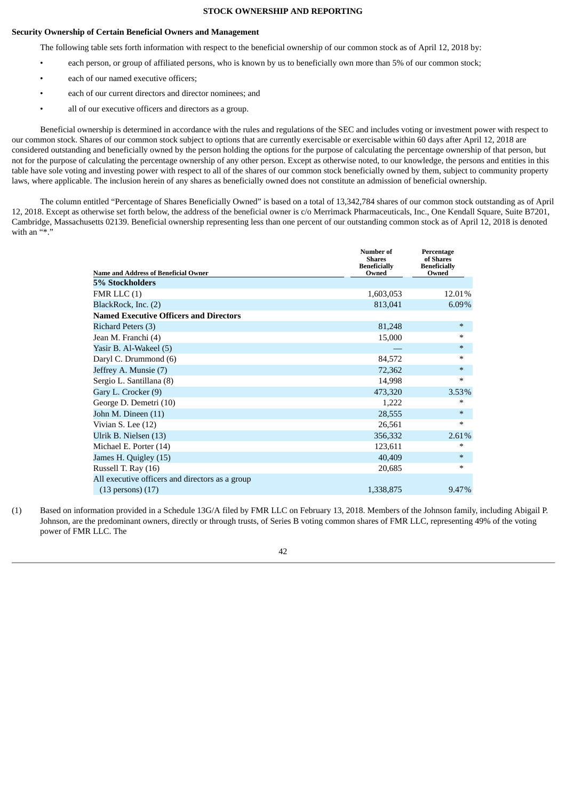# **STOCK OWNERSHIP AND REPORTING**

# <span id="page-45-1"></span><span id="page-45-0"></span>**Security Ownership of Certain Beneficial Owners and Management**

The following table sets forth information with respect to the beneficial ownership of our common stock as of April 12, 2018 by:

- each person, or group of affiliated persons, who is known by us to beneficially own more than 5% of our common stock;
- each of our named executive officers;
- each of our current directors and director nominees; and
- all of our executive officers and directors as a group.

Beneficial ownership is determined in accordance with the rules and regulations of the SEC and includes voting or investment power with respect to our common stock. Shares of our common stock subject to options that are currently exercisable or exercisable within 60 days after April 12, 2018 are considered outstanding and beneficially owned by the person holding the options for the purpose of calculating the percentage ownership of that person, but not for the purpose of calculating the percentage ownership of any other person. Except as otherwise noted, to our knowledge, the persons and entities in this table have sole voting and investing power with respect to all of the shares of our common stock beneficially owned by them, subject to community property laws, where applicable. The inclusion herein of any shares as beneficially owned does not constitute an admission of beneficial ownership.

The column entitled "Percentage of Shares Beneficially Owned" is based on a total of 13,342,784 shares of our common stock outstanding as of April 12, 2018. Except as otherwise set forth below, the address of the beneficial owner is c/o Merrimack Pharmaceuticals, Inc., One Kendall Square, Suite B7201, Cambridge, Massachusetts 02139. Beneficial ownership representing less than one percent of our outstanding common stock as of April 12, 2018 is denoted with an "\*."

| <b>Name and Address of Beneficial Owner</b>     | <b>Number of</b><br><b>Shares</b><br><b>Beneficially</b><br>Owned | Percentage<br>of Shares<br><b>Beneficially</b><br>Owned |
|-------------------------------------------------|-------------------------------------------------------------------|---------------------------------------------------------|
| 5% Stockholders                                 |                                                                   |                                                         |
| FMR LLC $(1)$                                   | 1,603,053                                                         | 12.01%                                                  |
| BlackRock, Inc. (2)                             | 813,041                                                           | 6.09%                                                   |
| <b>Named Executive Officers and Directors</b>   |                                                                   |                                                         |
| Richard Peters (3)                              | 81,248                                                            | $*$                                                     |
| Jean M. Franchi (4)                             | 15,000                                                            | $\ast$                                                  |
| Yasir B. Al-Wakeel (5)                          |                                                                   | $\ast$                                                  |
| Daryl C. Drummond (6)                           | 84,572                                                            | $\ast$                                                  |
| Jeffrey A. Munsie (7)                           | 72,362                                                            | $\ast$                                                  |
| Sergio L. Santillana (8)                        | 14,998                                                            | $\ast$                                                  |
| Gary L. Crocker (9)                             | 473,320                                                           | 3.53%                                                   |
| George D. Demetri (10)                          | 1,222                                                             | $\ast$                                                  |
| John M. Dineen (11)                             | 28,555                                                            | $\ast$                                                  |
| Vivian S. Lee (12)                              | 26,561                                                            | $\ast$                                                  |
| Ulrik B. Nielsen (13)                           | 356,332                                                           | 2.61%                                                   |
| Michael E. Porter (14)                          | 123,611                                                           | $\ast$                                                  |
| James H. Quigley (15)                           | 40,409                                                            | $*$                                                     |
| Russell T. Ray (16)                             | 20,685                                                            | $\ast$                                                  |
| All executive officers and directors as a group |                                                                   |                                                         |
| $(13$ persons) $(17)$                           | 1,338,875                                                         | 9.47%                                                   |

(1) Based on information provided in a Schedule 13G/A filed by FMR LLC on February 13, 2018. Members of the Johnson family, including Abigail P. Johnson, are the predominant owners, directly or through trusts, of Series B voting common shares of FMR LLC, representing 49% of the voting power of FMR LLC. The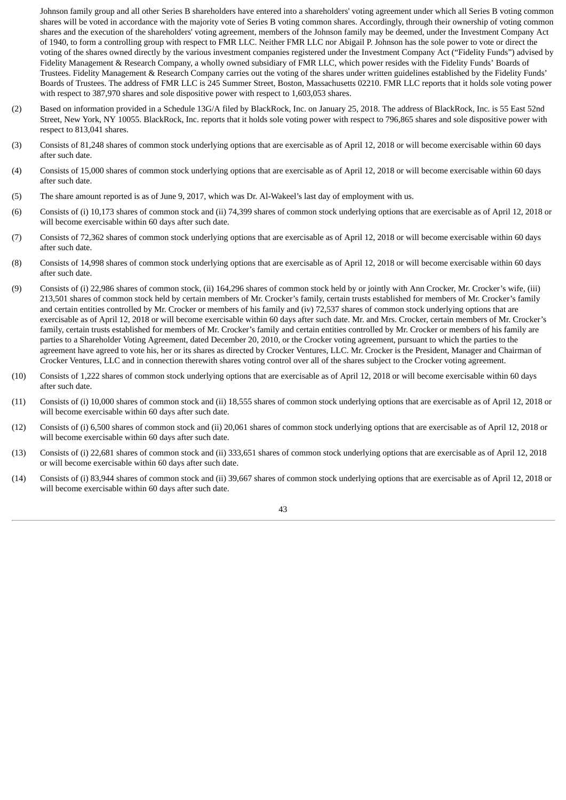Johnson family group and all other Series B shareholders have entered into a shareholders' voting agreement under which all Series B voting common shares will be voted in accordance with the majority vote of Series B voting common shares. Accordingly, through their ownership of voting common shares and the execution of the shareholders' voting agreement, members of the Johnson family may be deemed, under the Investment Company Act of 1940, to form a controlling group with respect to FMR LLC. Neither FMR LLC nor Abigail P. Johnson has the sole power to vote or direct the voting of the shares owned directly by the various investment companies registered under the Investment Company Act ("Fidelity Funds") advised by Fidelity Management & Research Company, a wholly owned subsidiary of FMR LLC, which power resides with the Fidelity Funds' Boards of Trustees. Fidelity Management & Research Company carries out the voting of the shares under written guidelines established by the Fidelity Funds' Boards of Trustees. The address of FMR LLC is 245 Summer Street, Boston, Massachusetts 02210. FMR LLC reports that it holds sole voting power with respect to 387,970 shares and sole dispositive power with respect to 1,603,053 shares.

- (2) Based on information provided in a Schedule 13G/A filed by BlackRock, Inc. on January 25, 2018. The address of BlackRock, Inc. is 55 East 52nd Street, New York, NY 10055. BlackRock, Inc. reports that it holds sole voting power with respect to 796,865 shares and sole dispositive power with respect to 813,041 shares.
- (3) Consists of 81,248 shares of common stock underlying options that are exercisable as of April 12, 2018 or will become exercisable within 60 days after such date.
- (4) Consists of 15,000 shares of common stock underlying options that are exercisable as of April 12, 2018 or will become exercisable within 60 days after such date.
- (5) The share amount reported is as of June 9, 2017, which was Dr. Al-Wakeel's last day of employment with us.
- (6) Consists of (i) 10,173 shares of common stock and (ii) 74,399 shares of common stock underlying options that are exercisable as of April 12, 2018 or will become exercisable within 60 days after such date.
- (7) Consists of 72,362 shares of common stock underlying options that are exercisable as of April 12, 2018 or will become exercisable within 60 days after such date.
- (8) Consists of 14,998 shares of common stock underlying options that are exercisable as of April 12, 2018 or will become exercisable within 60 days after such date.
- (9) Consists of (i) 22,986 shares of common stock, (ii) 164,296 shares of common stock held by or jointly with Ann Crocker, Mr. Crocker's wife, (iii) 213,501 shares of common stock held by certain members of Mr. Crocker's family, certain trusts established for members of Mr. Crocker's family and certain entities controlled by Mr. Crocker or members of his family and (iv) 72,537 shares of common stock underlying options that are exercisable as of April 12, 2018 or will become exercisable within 60 days after such date. Mr. and Mrs. Crocker, certain members of Mr. Crocker's family, certain trusts established for members of Mr. Crocker's family and certain entities controlled by Mr. Crocker or members of his family are parties to a Shareholder Voting Agreement, dated December 20, 2010, or the Crocker voting agreement, pursuant to which the parties to the agreement have agreed to vote his, her or its shares as directed by Crocker Ventures, LLC. Mr. Crocker is the President, Manager and Chairman of Crocker Ventures, LLC and in connection therewith shares voting control over all of the shares subject to the Crocker voting agreement.
- (10) Consists of 1,222 shares of common stock underlying options that are exercisable as of April 12, 2018 or will become exercisable within 60 days after such date.
- (11) Consists of (i) 10,000 shares of common stock and (ii) 18,555 shares of common stock underlying options that are exercisable as of April 12, 2018 or will become exercisable within 60 days after such date.
- (12) Consists of (i) 6,500 shares of common stock and (ii) 20,061 shares of common stock underlying options that are exercisable as of April 12, 2018 or will become exercisable within 60 days after such date.
- (13) Consists of (i) 22,681 shares of common stock and (ii) 333,651 shares of common stock underlying options that are exercisable as of April 12, 2018 or will become exercisable within 60 days after such date.
- (14) Consists of (i) 83,944 shares of common stock and (ii) 39,667 shares of common stock underlying options that are exercisable as of April 12, 2018 or will become exercisable within 60 days after such date.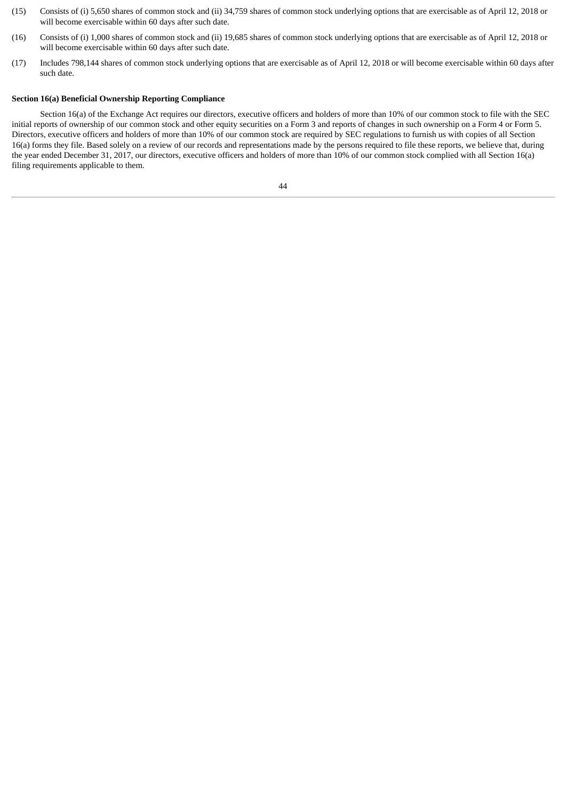- (15) Consists of (i) 5,650 shares of common stock and (ii) 34,759 shares of common stock underlying options that are exercisable as of April 12, 2018 or will become exercisable within 60 days after such date.
- (16) Consists of (i) 1,000 shares of common stock and (ii) 19,685 shares of common stock underlying options that are exercisable as of April 12, 2018 or will become exercisable within 60 days after such date.
- (17) Includes 798,144 shares of common stock underlying options that are exercisable as of April 12, 2018 or will become exercisable within 60 days after such date.

# <span id="page-47-0"></span>**Section 16(a) Beneficial Ownership Reporting Compliance**

Section 16(a) of the Exchange Act requires our directors, executive officers and holders of more than 10% of our common stock to file with the SEC initial reports of ownership of our common stock and other equity securities on a Form 3 and reports of changes in such ownership on a Form 4 or Form 5. Directors, executive officers and holders of more than 10% of our common stock are required by SEC regulations to furnish us with copies of all Section 16(a) forms they file. Based solely on a review of our records and representations made by the persons required to file these reports, we believe that, during the year ended December 31, 2017, our directors, executive officers and holders of more than 10% of our common stock complied with all Section 16(a) filing requirements applicable to them.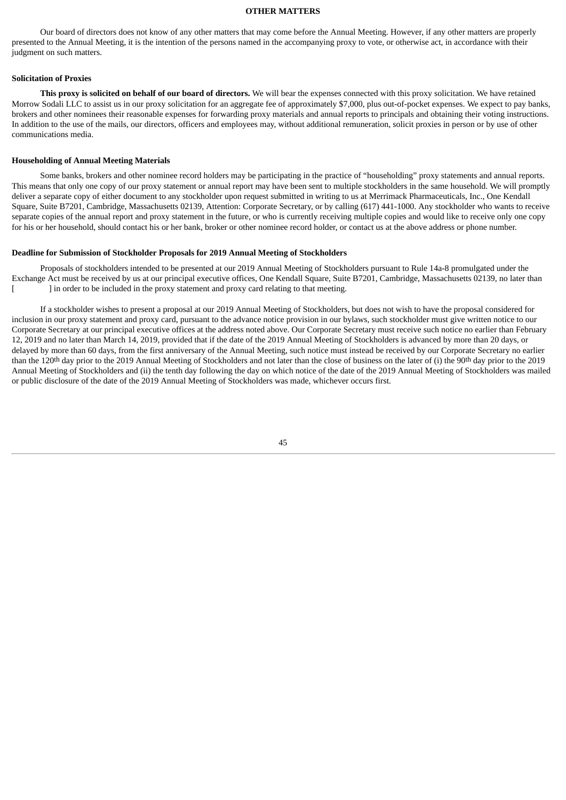# **OTHER MATTERS**

<span id="page-48-0"></span>Our board of directors does not know of any other matters that may come before the Annual Meeting. However, if any other matters are properly presented to the Annual Meeting, it is the intention of the persons named in the accompanying proxy to vote, or otherwise act, in accordance with their judgment on such matters.

# <span id="page-48-1"></span>**Solicitation of Proxies**

**This proxy is solicited on behalf of our board of directors.** We will bear the expenses connected with this proxy solicitation. We have retained Morrow Sodali LLC to assist us in our proxy solicitation for an aggregate fee of approximately \$7,000, plus out-of-pocket expenses. We expect to pay banks, brokers and other nominees their reasonable expenses for forwarding proxy materials and annual reports to principals and obtaining their voting instructions. In addition to the use of the mails, our directors, officers and employees may, without additional remuneration, solicit proxies in person or by use of other communications media.

# <span id="page-48-2"></span>**Householding of Annual Meeting Materials**

Some banks, brokers and other nominee record holders may be participating in the practice of "householding" proxy statements and annual reports. This means that only one copy of our proxy statement or annual report may have been sent to multiple stockholders in the same household. We will promptly deliver a separate copy of either document to any stockholder upon request submitted in writing to us at Merrimack Pharmaceuticals, Inc., One Kendall Square, Suite B7201, Cambridge, Massachusetts 02139, Attention: Corporate Secretary, or by calling (617) 441-1000. Any stockholder who wants to receive separate copies of the annual report and proxy statement in the future, or who is currently receiving multiple copies and would like to receive only one copy for his or her household, should contact his or her bank, broker or other nominee record holder, or contact us at the above address or phone number.

#### <span id="page-48-3"></span>**Deadline for Submission of Stockholder Proposals for 2019 Annual Meeting of Stockholders**

Proposals of stockholders intended to be presented at our 2019 Annual Meeting of Stockholders pursuant to Rule 14a-8 promulgated under the Exchange Act must be received by us at our principal executive offices, One Kendall Square, Suite B7201, Cambridge, Massachusetts 02139, no later than [ ] in order to be included in the proxy statement and proxy card relating to that meeting.

If a stockholder wishes to present a proposal at our 2019 Annual Meeting of Stockholders, but does not wish to have the proposal considered for inclusion in our proxy statement and proxy card, pursuant to the advance notice provision in our bylaws, such stockholder must give written notice to our Corporate Secretary at our principal executive offices at the address noted above. Our Corporate Secretary must receive such notice no earlier than February 12, 2019 and no later than March 14, 2019, provided that if the date of the 2019 Annual Meeting of Stockholders is advanced by more than 20 days, or delayed by more than 60 days, from the first anniversary of the Annual Meeting, such notice must instead be received by our Corporate Secretary no earlier than the 120th day prior to the 2019 Annual Meeting of Stockholders and not later than the close of business on the later of (i) the 90th day prior to the 2019 Annual Meeting of Stockholders and (ii) the tenth day following the day on which notice of the date of the 2019 Annual Meeting of Stockholders was mailed or public disclosure of the date of the 2019 Annual Meeting of Stockholders was made, whichever occurs first.

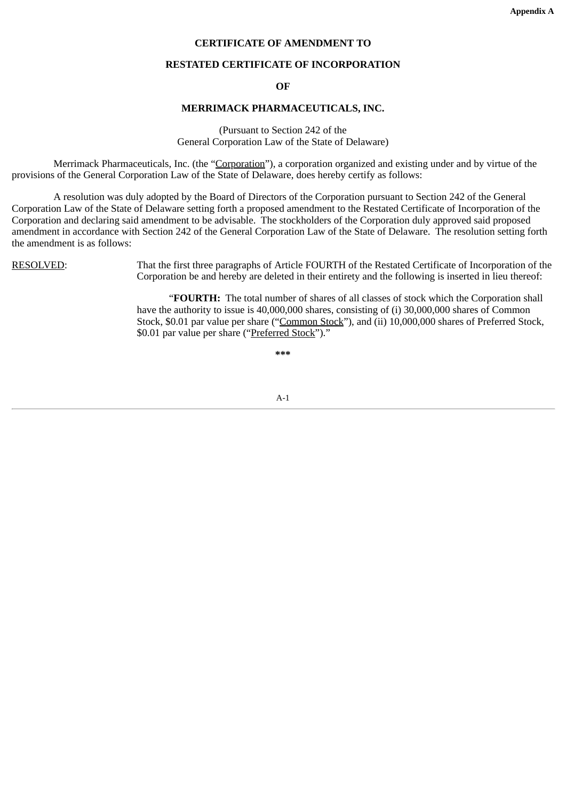# **CERTIFICATE OF AMENDMENT TO**

# **RESTATED CERTIFICATE OF INCORPORATION**

**OF**

# **MERRIMACK PHARMACEUTICALS, INC.**

(Pursuant to Section 242 of the General Corporation Law of the State of Delaware)

Merrimack Pharmaceuticals, Inc. (the "Corporation"), a corporation organized and existing under and by virtue of the provisions of the General Corporation Law of the State of Delaware, does hereby certify as follows:

A resolution was duly adopted by the Board of Directors of the Corporation pursuant to Section 242 of the General Corporation Law of the State of Delaware setting forth a proposed amendment to the Restated Certificate of Incorporation of the Corporation and declaring said amendment to be advisable. The stockholders of the Corporation duly approved said proposed amendment in accordance with Section 242 of the General Corporation Law of the State of Delaware. The resolution setting forth the amendment is as follows:

RESOLVED: That the first three paragraphs of Article FOURTH of the Restated Certificate of Incorporation of the Corporation be and hereby are deleted in their entirety and the following is inserted in lieu thereof:

> "**FOURTH:** The total number of shares of all classes of stock which the Corporation shall have the authority to issue is 40,000,000 shares, consisting of (i) 30,000,000 shares of Common Stock, \$0.01 par value per share ("Common Stock"), and (ii) 10,000,000 shares of Preferred Stock, \$0.01 par value per share ("Preferred Stock")."

> > **\*\*\***

A-1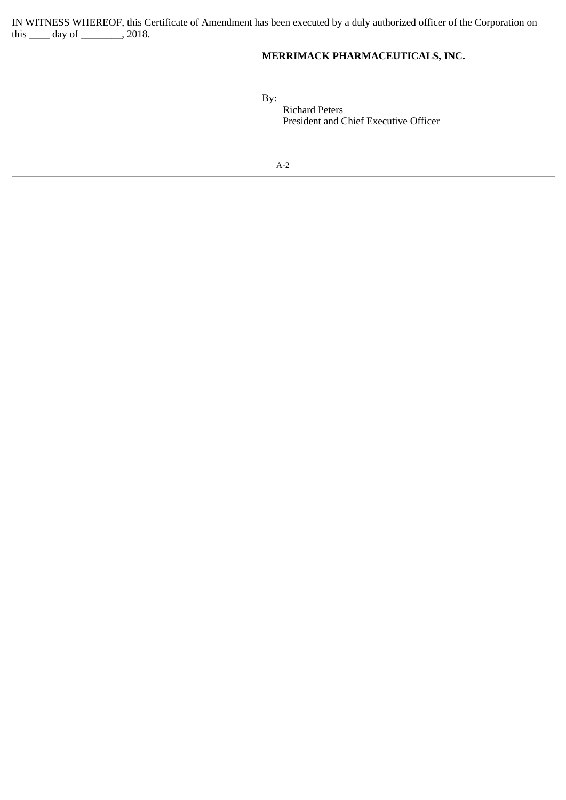IN WITNESS WHEREOF, this Certificate of Amendment has been executed by a duly authorized officer of the Corporation on this \_\_\_\_ day of \_\_\_\_\_\_\_\_, 2018.

# **MERRIMACK PHARMACEUTICALS, INC.**

By:

Richard Peters President and Chief Executive Officer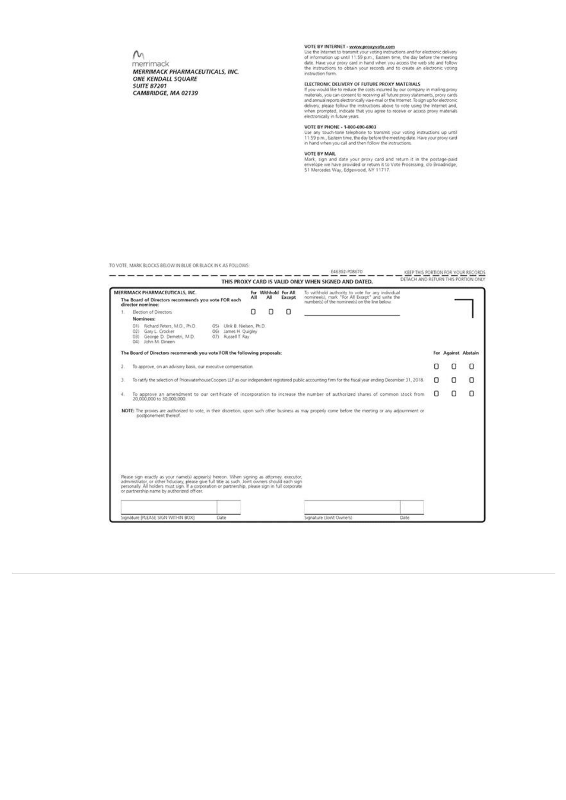$\sim$ merrimack MERRIMACK PHARMACEUTICALS, INC.<br>ONE KENDALL SQUARE **SUITE 87201** CAMBRIDGE, MA 02139

**VOTE BY INTERNET - MONOLOGOSYVORE.COM**<br>Use the Internet to transmit your voting instructions and for electronic delivery<br>of information up until 11.59 p.m., Eastern time, the day before the meeting<br>date. Here your proxy

# ELECTRONIC DELIVERY OF FUTURE PROXY MATERIALS

**ELECTRONIC DELIVERY OF FUTURE PROXY MATERIALS**<br>If you would like to reduce the costs incurred by our company in mailing proxy<br>materials, you can consent to receiving all future proxy statements, proxy cards<br>and annual rep

VOTE BY PHONE - 1-800-690-6903<br>Use any touch-tone telephone to transmit your voting instructions up until<br>11:59 p.m., Eastern time, the day below the investing date. Have your proxy card<br>in hand when you call and then foll

VOTE BY MAIL<br>Mark, sign and date your proxy card and return it in the postage-paid<br>envelope we have provided or return it to Vote Processing, c/o Broadridge,<br>51 Mercedes Way, Edgewood, NY 11717.

TO VOTE, MARK BLOCKS BELOW IN BLUE OR BLACK INK AS FOLLOWS:

|    |                                                                                                                                                                                                                                                                                                                                                  |                                            |     |                             |        | E46392-P08670                                                                                                                                            |   |                     | KEEP THIS PORTION FOR YOUR RECORDS |
|----|--------------------------------------------------------------------------------------------------------------------------------------------------------------------------------------------------------------------------------------------------------------------------------------------------------------------------------------------------|--------------------------------------------|-----|-----------------------------|--------|----------------------------------------------------------------------------------------------------------------------------------------------------------|---|---------------------|------------------------------------|
|    |                                                                                                                                                                                                                                                                                                                                                  |                                            |     |                             |        | DETACH AND RETURN THIS PORTION ONLY<br>THIS PROXY CARD IS VALID ONLY WHEN SIGNED AND DATED.                                                              |   |                     |                                    |
|    | MERRIMACK PHARMACEUTICALS, INC.<br>The Board of Directors recommends you vote FOR each<br>director nominee:                                                                                                                                                                                                                                      |                                            | All | For Withhold For All<br>All | Except | To withhold authority to vote for any individual<br>nomineels), mark "For All Except" and write the<br>number(s) of the nominee(s) on the line below.    |   |                     |                                    |
|    | Election of Directors<br>Nominees:<br>01) Richard Peters, M.D., Ph.D.                                                                                                                                                                                                                                                                            | 05) Ulrik B. Nielsen, Ph.D.                | Π   | n                           | n      |                                                                                                                                                          |   |                     |                                    |
|    | 02) Gary L. Crocker<br>03) George D. Demetri, M.D.<br>04) John M. Dineen                                                                                                                                                                                                                                                                         | 06) James H. Quigley<br>O7) Russell T. Ray |     |                             |        |                                                                                                                                                          |   |                     |                                    |
|    | The Board of Directors recommends you vote FOR the following proposals:                                                                                                                                                                                                                                                                          |                                            |     |                             |        |                                                                                                                                                          |   | For Against Abstain |                                    |
| ž. | To approve, on an advisory basis, our executive compensation.                                                                                                                                                                                                                                                                                    |                                            |     |                             |        |                                                                                                                                                          | П | Ω                   | O                                  |
| 3. |                                                                                                                                                                                                                                                                                                                                                  |                                            |     |                             |        | To ratify the selection of PricewaterhouseCoopers LLP as our independent registered public accounting firm for the fiscal year ending December 31, 2018. | Ω | σ                   | O                                  |
| 4. | 20.000.000 to 30.000.000                                                                                                                                                                                                                                                                                                                         |                                            |     |                             |        | To approve an amendment to our certificate of incorporation to increase the number of authorized shares of common stock from                             | Ω | Ω                   | O                                  |
|    | postponement thereof.                                                                                                                                                                                                                                                                                                                            |                                            |     |                             |        | NOTE: The proxies are authorized to vote, in their discretion, upon such other business as may properly come before the meeting or any adjournment or    |   |                     |                                    |
|    |                                                                                                                                                                                                                                                                                                                                                  |                                            |     |                             |        |                                                                                                                                                          |   |                     |                                    |
|    |                                                                                                                                                                                                                                                                                                                                                  |                                            |     |                             |        |                                                                                                                                                          |   |                     |                                    |
|    |                                                                                                                                                                                                                                                                                                                                                  |                                            |     |                             |        |                                                                                                                                                          |   |                     |                                    |
|    |                                                                                                                                                                                                                                                                                                                                                  |                                            |     |                             |        |                                                                                                                                                          |   |                     |                                    |
|    | Please sign exactly as your name(s) appear(s) hereon. When signing as attorney, executor,<br>administrator, or other fiduciary, please give full title as such. Joint owners should each sign<br>personally. All holders must sign. If a corporation or partnership, please sign in full corporate<br>or partnership name by authorized officer. |                                            |     |                             |        |                                                                                                                                                          |   |                     |                                    |
|    |                                                                                                                                                                                                                                                                                                                                                  |                                            |     |                             |        |                                                                                                                                                          |   |                     |                                    |
|    | Signature IPLEASE SIGN WITHIN BOX3                                                                                                                                                                                                                                                                                                               | Date                                       |     |                             |        | Signature (Joint Owners)<br>Date                                                                                                                         |   |                     |                                    |